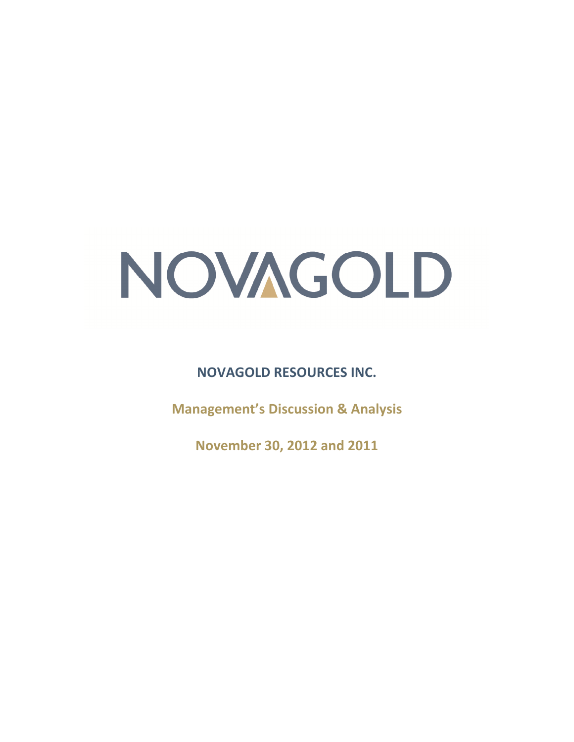# NOVAGOLD

NOVAGOLD RESOURCES INC.

Management's Discussion & Analysis

November 30, 2012 and 2011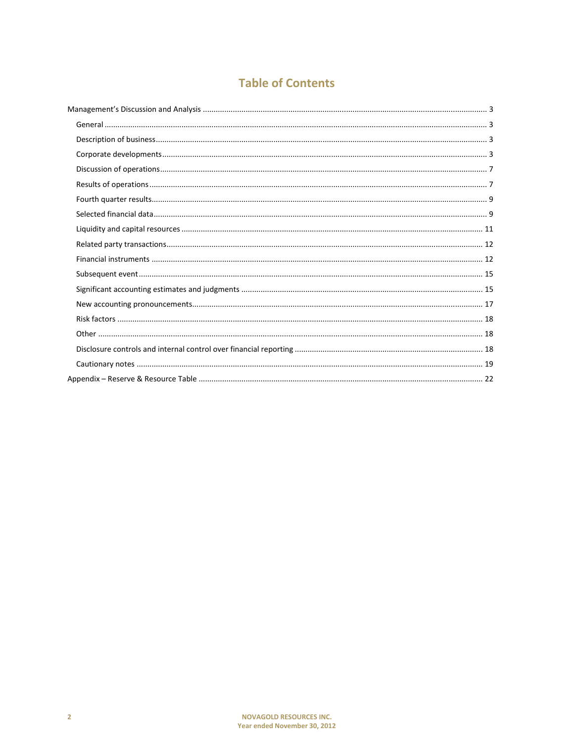# **Table of Contents**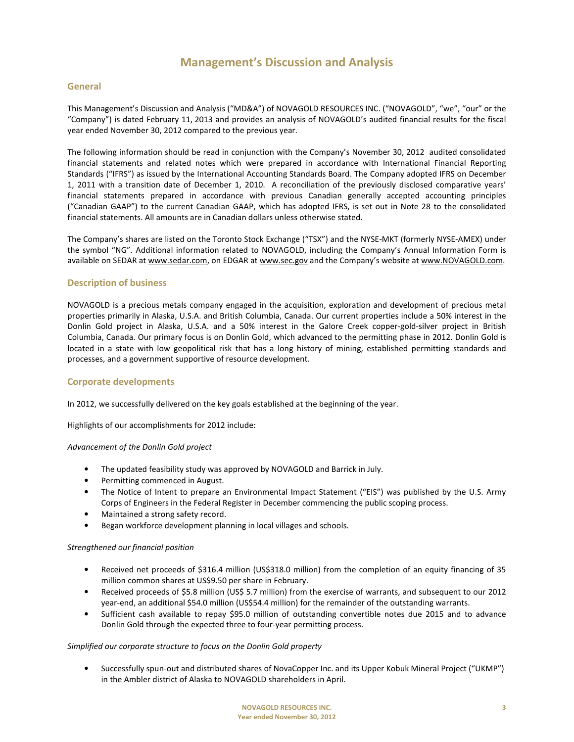# General

This Management's Discussion and Analysis ("MD&A") of NOVAGOLD RESOURCES INC. ("NOVAGOLD", "we", "our" or the "Company") is dated February 11, 2013 and provides an analysis of NOVAGOLD's audited financial results for the fiscal year ended November 30, 2012 compared to the previous year.

The following information should be read in conjunction with the Company's November 30, 2012 audited consolidated financial statements and related notes which were prepared in accordance with International Financial Reporting Standards ("IFRS") as issued by the International Accounting Standards Board. The Company adopted IFRS on December 1, 2011 with a transition date of December 1, 2010. A reconciliation of the previously disclosed comparative years' financial statements prepared in accordance with previous Canadian generally accepted accounting principles ("Canadian GAAP") to the current Canadian GAAP, which has adopted IFRS, is set out in Note 28 to the consolidated financial statements. All amounts are in Canadian dollars unless otherwise stated.

The Company's shares are listed on the Toronto Stock Exchange ("TSX") and the NYSE-MKT (formerly NYSE-AMEX) under the symbol "NG". Additional information related to NOVAGOLD, including the Company's Annual Information Form is available on SEDAR at www.sedar.com, on EDGAR at www.sec.gov and the Company's website at www.NOVAGOLD.com.

## Description of business

NOVAGOLD is a precious metals company engaged in the acquisition, exploration and development of precious metal properties primarily in Alaska, U.S.A. and British Columbia, Canada. Our current properties include a 50% interest in the Donlin Gold project in Alaska, U.S.A. and a 50% interest in the Galore Creek copper-gold-silver project in British Columbia, Canada. Our primary focus is on Donlin Gold, which advanced to the permitting phase in 2012. Donlin Gold is located in a state with low geopolitical risk that has a long history of mining, established permitting standards and processes, and a government supportive of resource development.

# Corporate developments

In 2012, we successfully delivered on the key goals established at the beginning of the year.

Highlights of our accomplishments for 2012 include:

## Advancement of the Donlin Gold project

- The updated feasibility study was approved by NOVAGOLD and Barrick in July.
- Permitting commenced in August.
- The Notice of Intent to prepare an Environmental Impact Statement ("EIS") was published by the U.S. Army Corps of Engineers in the Federal Register in December commencing the public scoping process.
- Maintained a strong safety record.
- Began workforce development planning in local villages and schools.

## Strengthened our financial position

- Received net proceeds of \$316.4 million (US\$318.0 million) from the completion of an equity financing of 35 million common shares at US\$9.50 per share in February.
- Received proceeds of \$5.8 million (US\$ 5.7 million) from the exercise of warrants, and subsequent to our 2012 year-end, an additional \$54.0 million (US\$54.4 million) for the remainder of the outstanding warrants.
- Sufficient cash available to repay \$95.0 million of outstanding convertible notes due 2015 and to advance Donlin Gold through the expected three to four-year permitting process.

## Simplified our corporate structure to focus on the Donlin Gold property

• Successfully spun-out and distributed shares of NovaCopper Inc. and its Upper Kobuk Mineral Project ("UKMP") in the Ambler district of Alaska to NOVAGOLD shareholders in April.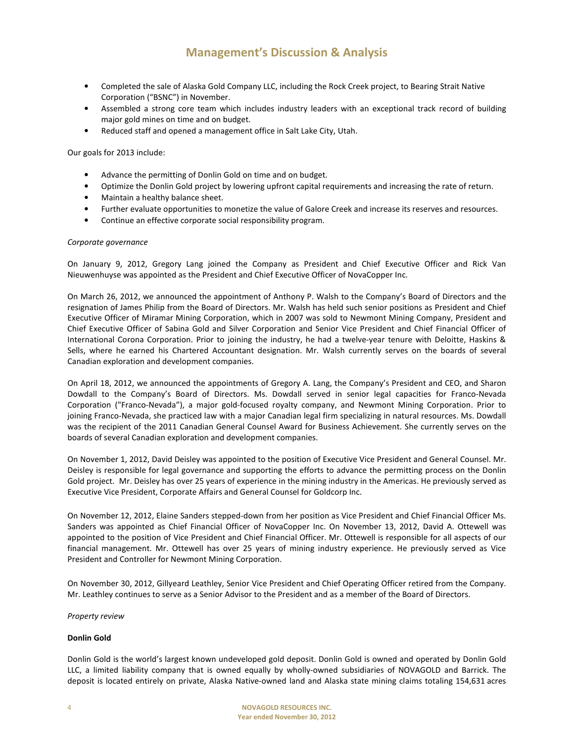- Completed the sale of Alaska Gold Company LLC, including the Rock Creek project, to Bearing Strait Native Corporation ("BSNC") in November.
- Assembled a strong core team which includes industry leaders with an exceptional track record of building major gold mines on time and on budget.
- Reduced staff and opened a management office in Salt Lake City, Utah.

Our goals for 2013 include:

- Advance the permitting of Donlin Gold on time and on budget.
- Optimize the Donlin Gold project by lowering upfront capital requirements and increasing the rate of return.
- Maintain a healthy balance sheet.
- Further evaluate opportunities to monetize the value of Galore Creek and increase its reserves and resources.
- Continue an effective corporate social responsibility program.

#### Corporate governance

On January 9, 2012, Gregory Lang joined the Company as President and Chief Executive Officer and Rick Van Nieuwenhuyse was appointed as the President and Chief Executive Officer of NovaCopper Inc.

On March 26, 2012, we announced the appointment of Anthony P. Walsh to the Company's Board of Directors and the resignation of James Philip from the Board of Directors. Mr. Walsh has held such senior positions as President and Chief Executive Officer of Miramar Mining Corporation, which in 2007 was sold to Newmont Mining Company, President and Chief Executive Officer of Sabina Gold and Silver Corporation and Senior Vice President and Chief Financial Officer of International Corona Corporation. Prior to joining the industry, he had a twelve-year tenure with Deloitte, Haskins & Sells, where he earned his Chartered Accountant designation. Mr. Walsh currently serves on the boards of several Canadian exploration and development companies.

On April 18, 2012, we announced the appointments of Gregory A. Lang, the Company's President and CEO, and Sharon Dowdall to the Company's Board of Directors. Ms. Dowdall served in senior legal capacities for Franco-Nevada Corporation ("Franco-Nevada"), a major gold-focused royalty company, and Newmont Mining Corporation. Prior to joining Franco-Nevada, she practiced law with a major Canadian legal firm specializing in natural resources. Ms. Dowdall was the recipient of the 2011 Canadian General Counsel Award for Business Achievement. She currently serves on the boards of several Canadian exploration and development companies.

On November 1, 2012, David Deisley was appointed to the position of Executive Vice President and General Counsel. Mr. Deisley is responsible for legal governance and supporting the efforts to advance the permitting process on the Donlin Gold project. Mr. Deisley has over 25 years of experience in the mining industry in the Americas. He previously served as Executive Vice President, Corporate Affairs and General Counsel for Goldcorp Inc.

On November 12, 2012, Elaine Sanders stepped-down from her position as Vice President and Chief Financial Officer Ms. Sanders was appointed as Chief Financial Officer of NovaCopper Inc. On November 13, 2012, David A. Ottewell was appointed to the position of Vice President and Chief Financial Officer. Mr. Ottewell is responsible for all aspects of our financial management. Mr. Ottewell has over 25 years of mining industry experience. He previously served as Vice President and Controller for Newmont Mining Corporation.

On November 30, 2012, Gillyeard Leathley, Senior Vice President and Chief Operating Officer retired from the Company. Mr. Leathley continues to serve as a Senior Advisor to the President and as a member of the Board of Directors.

## Property review

## Donlin Gold

Donlin Gold is the world's largest known undeveloped gold deposit. Donlin Gold is owned and operated by Donlin Gold LLC, a limited liability company that is owned equally by wholly-owned subsidiaries of NOVAGOLD and Barrick. The deposit is located entirely on private, Alaska Native-owned land and Alaska state mining claims totaling 154,631 acres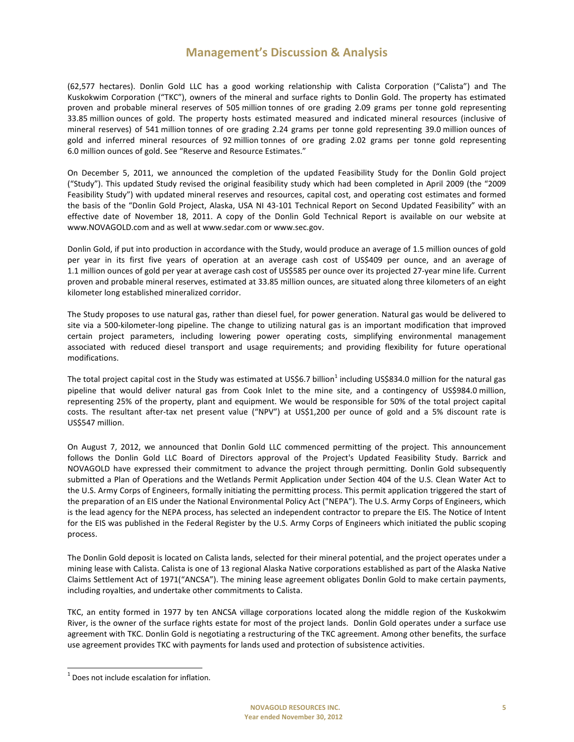(62,577 hectares). Donlin Gold LLC has a good working relationship with Calista Corporation ("Calista") and The Kuskokwim Corporation ("TKC"), owners of the mineral and surface rights to Donlin Gold. The property has estimated proven and probable mineral reserves of 505 million tonnes of ore grading 2.09 grams per tonne gold representing 33.85 million ounces of gold. The property hosts estimated measured and indicated mineral resources (inclusive of mineral reserves) of 541 million tonnes of ore grading 2.24 grams per tonne gold representing 39.0 million ounces of gold and inferred mineral resources of 92 million tonnes of ore grading 2.02 grams per tonne gold representing 6.0 million ounces of gold. See "Reserve and Resource Estimates."

On December 5, 2011, we announced the completion of the updated Feasibility Study for the Donlin Gold project ("Study"). This updated Study revised the original feasibility study which had been completed in April 2009 (the "2009 Feasibility Study") with updated mineral reserves and resources, capital cost, and operating cost estimates and formed the basis of the "Donlin Gold Project, Alaska, USA NI 43-101 Technical Report on Second Updated Feasibility" with an effective date of November 18, 2011. A copy of the Donlin Gold Technical Report is available on our website at www.NOVAGOLD.com and as well at www.sedar.com or www.sec.gov.

Donlin Gold, if put into production in accordance with the Study, would produce an average of 1.5 million ounces of gold per year in its first five years of operation at an average cash cost of US\$409 per ounce, and an average of 1.1 million ounces of gold per year at average cash cost of US\$585 per ounce over its projected 27-year mine life. Current proven and probable mineral reserves, estimated at 33.85 million ounces, are situated along three kilometers of an eight kilometer long established mineralized corridor.

The Study proposes to use natural gas, rather than diesel fuel, for power generation. Natural gas would be delivered to site via a 500-kilometer-long pipeline. The change to utilizing natural gas is an important modification that improved certain project parameters, including lowering power operating costs, simplifying environmental management associated with reduced diesel transport and usage requirements; and providing flexibility for future operational modifications.

The total project capital cost in the Study was estimated at US\$6.7 billion<sup>1</sup> including US\$834.0 million for the natural gas pipeline that would deliver natural gas from Cook Inlet to the mine site, and a contingency of US\$984.0 million, representing 25% of the property, plant and equipment. We would be responsible for 50% of the total project capital costs. The resultant after-tax net present value ("NPV") at US\$1,200 per ounce of gold and a 5% discount rate is US\$547 million.

On August 7, 2012, we announced that Donlin Gold LLC commenced permitting of the project. This announcement follows the Donlin Gold LLC Board of Directors approval of the Project's Updated Feasibility Study. Barrick and NOVAGOLD have expressed their commitment to advance the project through permitting. Donlin Gold subsequently submitted a Plan of Operations and the Wetlands Permit Application under Section 404 of the U.S. Clean Water Act to the U.S. Army Corps of Engineers, formally initiating the permitting process. This permit application triggered the start of the preparation of an EIS under the National Environmental Policy Act ("NEPA"). The U.S. Army Corps of Engineers, which is the lead agency for the NEPA process, has selected an independent contractor to prepare the EIS. The Notice of Intent for the EIS was published in the Federal Register by the U.S. Army Corps of Engineers which initiated the public scoping process.

The Donlin Gold deposit is located on Calista lands, selected for their mineral potential, and the project operates under a mining lease with Calista. Calista is one of 13 regional Alaska Native corporations established as part of the Alaska Native Claims Settlement Act of 1971("ANCSA"). The mining lease agreement obligates Donlin Gold to make certain payments, including royalties, and undertake other commitments to Calista.

TKC, an entity formed in 1977 by ten ANCSA village corporations located along the middle region of the Kuskokwim River, is the owner of the surface rights estate for most of the project lands. Donlin Gold operates under a surface use agreement with TKC. Donlin Gold is negotiating a restructuring of the TKC agreement. Among other benefits, the surface use agreement provides TKC with payments for lands used and protection of subsistence activities.

l

<sup>&</sup>lt;sup>1</sup> Does not include escalation for inflation.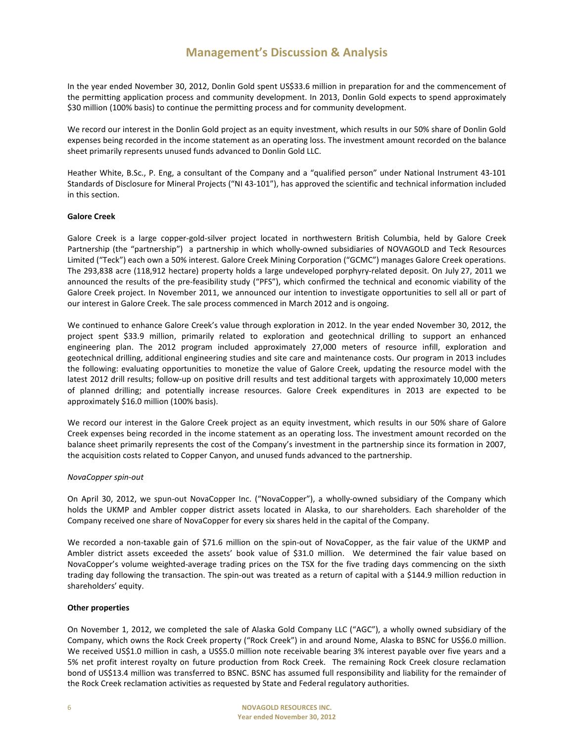In the year ended November 30, 2012, Donlin Gold spent US\$33.6 million in preparation for and the commencement of the permitting application process and community development. In 2013, Donlin Gold expects to spend approximately \$30 million (100% basis) to continue the permitting process and for community development.

We record our interest in the Donlin Gold project as an equity investment, which results in our 50% share of Donlin Gold expenses being recorded in the income statement as an operating loss. The investment amount recorded on the balance sheet primarily represents unused funds advanced to Donlin Gold LLC.

Heather White, B.Sc., P. Eng, a consultant of the Company and a "qualified person" under National Instrument 43-101 Standards of Disclosure for Mineral Projects ("NI 43-101"), has approved the scientific and technical information included in this section.

## Galore Creek

Galore Creek is a large copper-gold-silver project located in northwestern British Columbia, held by Galore Creek Partnership (the "partnership") a partnership in which wholly-owned subsidiaries of NOVAGOLD and Teck Resources Limited ("Teck") each own a 50% interest. Galore Creek Mining Corporation ("GCMC") manages Galore Creek operations. The 293,838 acre (118,912 hectare) property holds a large undeveloped porphyry-related deposit. On July 27, 2011 we announced the results of the pre-feasibility study ("PFS"), which confirmed the technical and economic viability of the Galore Creek project. In November 2011, we announced our intention to investigate opportunities to sell all or part of our interest in Galore Creek. The sale process commenced in March 2012 and is ongoing.

We continued to enhance Galore Creek's value through exploration in 2012. In the year ended November 30, 2012, the project spent \$33.9 million, primarily related to exploration and geotechnical drilling to support an enhanced engineering plan. The 2012 program included approximately 27,000 meters of resource infill, exploration and geotechnical drilling, additional engineering studies and site care and maintenance costs. Our program in 2013 includes the following: evaluating opportunities to monetize the value of Galore Creek, updating the resource model with the latest 2012 drill results; follow-up on positive drill results and test additional targets with approximately 10,000 meters of planned drilling; and potentially increase resources. Galore Creek expenditures in 2013 are expected to be approximately \$16.0 million (100% basis).

We record our interest in the Galore Creek project as an equity investment, which results in our 50% share of Galore Creek expenses being recorded in the income statement as an operating loss. The investment amount recorded on the balance sheet primarily represents the cost of the Company's investment in the partnership since its formation in 2007, the acquisition costs related to Copper Canyon, and unused funds advanced to the partnership.

## NovaCopper spin-out

On April 30, 2012, we spun-out NovaCopper Inc. ("NovaCopper"), a wholly-owned subsidiary of the Company which holds the UKMP and Ambler copper district assets located in Alaska, to our shareholders. Each shareholder of the Company received one share of NovaCopper for every six shares held in the capital of the Company.

We recorded a non-taxable gain of \$71.6 million on the spin-out of NovaCopper, as the fair value of the UKMP and Ambler district assets exceeded the assets' book value of \$31.0 million. We determined the fair value based on NovaCopper's volume weighted-average trading prices on the TSX for the five trading days commencing on the sixth trading day following the transaction. The spin-out was treated as a return of capital with a \$144.9 million reduction in shareholders' equity.

#### Other properties

On November 1, 2012, we completed the sale of Alaska Gold Company LLC ("AGC"), a wholly owned subsidiary of the Company, which owns the Rock Creek property ("Rock Creek") in and around Nome, Alaska to BSNC for US\$6.0 million. We received US\$1.0 million in cash, a US\$5.0 million note receivable bearing 3% interest payable over five years and a 5% net profit interest royalty on future production from Rock Creek. The remaining Rock Creek closure reclamation bond of US\$13.4 million was transferred to BSNC. BSNC has assumed full responsibility and liability for the remainder of the Rock Creek reclamation activities as requested by State and Federal regulatory authorities.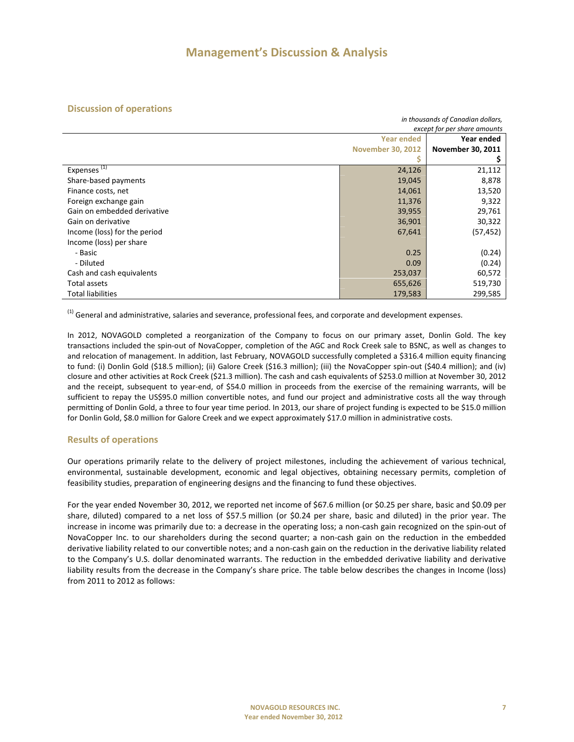# Discussion of operations

| in thousands of Canadian dollars,         |                          |                          |  |  |
|-------------------------------------------|--------------------------|--------------------------|--|--|
| except for per share amounts              |                          |                          |  |  |
|                                           | <b>Year ended</b>        | Year ended               |  |  |
|                                           | <b>November 30, 2012</b> | <b>November 30, 2011</b> |  |  |
|                                           |                          |                          |  |  |
| Expenses <sup>(1)</sup>                   | 24,126                   | 21,112                   |  |  |
| Share-based payments                      | 19,045                   | 8,878                    |  |  |
| Finance costs, net                        | 14,061                   | 13,520                   |  |  |
| Foreign exchange gain                     | 11,376                   | 9,322                    |  |  |
| Gain on embedded derivative               | 39,955                   | 29,761                   |  |  |
| Gain on derivative                        | 36,901                   |                          |  |  |
| Income (loss) for the period              | 67,641                   | (57, 452)                |  |  |
| Income (loss) per share                   |                          |                          |  |  |
| - Basic                                   | (0.24)<br>0.25           |                          |  |  |
| - Diluted                                 | 0.09                     | (0.24)                   |  |  |
| Cash and cash equivalents                 | 253,037                  | 60,572                   |  |  |
| <b>Total assets</b><br>519,730<br>655,626 |                          |                          |  |  |
| <b>Total liabilities</b>                  | 179,583                  | 299,585                  |  |  |

 $<sup>(1)</sup>$  General and administrative, salaries and severance, professional fees, and corporate and development expenses.</sup>

In 2012, NOVAGOLD completed a reorganization of the Company to focus on our primary asset, Donlin Gold. The key transactions included the spin-out of NovaCopper, completion of the AGC and Rock Creek sale to BSNC, as well as changes to and relocation of management. In addition, last February, NOVAGOLD successfully completed a \$316.4 million equity financing to fund: (i) Donlin Gold (\$18.5 million); (ii) Galore Creek (\$16.3 million); (iii) the NovaCopper spin-out (\$40.4 million); and (iv) closure and other activities at Rock Creek (\$21.3 million). The cash and cash equivalents of \$253.0 million at November 30, 2012 and the receipt, subsequent to year-end, of \$54.0 million in proceeds from the exercise of the remaining warrants, will be sufficient to repay the US\$95.0 million convertible notes, and fund our project and administrative costs all the way through permitting of Donlin Gold, a three to four year time period. In 2013, our share of project funding is expected to be \$15.0 million for Donlin Gold, \$8.0 million for Galore Creek and we expect approximately \$17.0 million in administrative costs.

# Results of operations

Our operations primarily relate to the delivery of project milestones, including the achievement of various technical, environmental, sustainable development, economic and legal objectives, obtaining necessary permits, completion of feasibility studies, preparation of engineering designs and the financing to fund these objectives.

For the year ended November 30, 2012, we reported net income of \$67.6 million (or \$0.25 per share, basic and \$0.09 per share, diluted) compared to a net loss of \$57.5 million (or \$0.24 per share, basic and diluted) in the prior year. The increase in income was primarily due to: a decrease in the operating loss; a non-cash gain recognized on the spin-out of NovaCopper Inc. to our shareholders during the second quarter; a non-cash gain on the reduction in the embedded derivative liability related to our convertible notes; and a non-cash gain on the reduction in the derivative liability related to the Company's U.S. dollar denominated warrants. The reduction in the embedded derivative liability and derivative liability results from the decrease in the Company's share price. The table below describes the changes in Income (loss) from 2011 to 2012 as follows: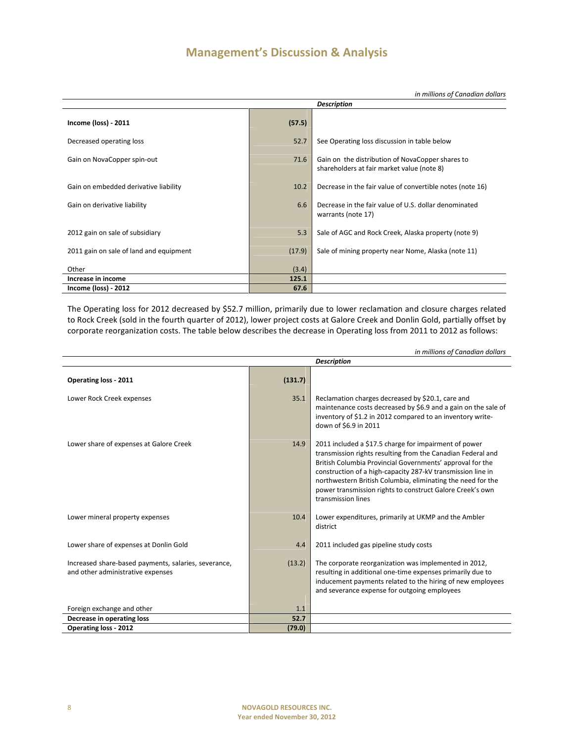| in millions of Canadian dollars         |        |                                                                                                |  |  |  |
|-----------------------------------------|--------|------------------------------------------------------------------------------------------------|--|--|--|
| <b>Description</b>                      |        |                                                                                                |  |  |  |
| Income (loss) - 2011                    | (57.5) |                                                                                                |  |  |  |
| Decreased operating loss                | 52.7   | See Operating loss discussion in table below                                                   |  |  |  |
| Gain on NovaCopper spin-out             | 71.6   | Gain on the distribution of NovaCopper shares to<br>shareholders at fair market value (note 8) |  |  |  |
| Gain on embedded derivative liability   | 10.2   | Decrease in the fair value of convertible notes (note 16)                                      |  |  |  |
| Gain on derivative liability            | 6.6    | Decrease in the fair value of U.S. dollar denominated<br>warrants (note 17)                    |  |  |  |
| 2012 gain on sale of subsidiary         | 5.3    | Sale of AGC and Rock Creek, Alaska property (note 9)                                           |  |  |  |
| 2011 gain on sale of land and equipment | (17.9) | Sale of mining property near Nome, Alaska (note 11)                                            |  |  |  |
| Other                                   | (3.4)  |                                                                                                |  |  |  |
| Increase in income                      | 125.1  |                                                                                                |  |  |  |
| Income ( $loss$ ) - 2012                | 67.6   |                                                                                                |  |  |  |

The Operating loss for 2012 decreased by \$52.7 million, primarily due to lower reclamation and closure charges related to Rock Creek (sold in the fourth quarter of 2012), lower project costs at Galore Creek and Donlin Gold, partially offset by corporate reorganization costs. The table below describes the decrease in Operating loss from 2011 to 2012 as follows:

| <b>Description</b>                                                                        |         |                                                                                                                                                                                                                                                                                                                                                                                                    |  |  |  |
|-------------------------------------------------------------------------------------------|---------|----------------------------------------------------------------------------------------------------------------------------------------------------------------------------------------------------------------------------------------------------------------------------------------------------------------------------------------------------------------------------------------------------|--|--|--|
| <b>Operating loss - 2011</b>                                                              | (131.7) |                                                                                                                                                                                                                                                                                                                                                                                                    |  |  |  |
| Lower Rock Creek expenses                                                                 | 35.1    | Reclamation charges decreased by \$20.1, care and<br>maintenance costs decreased by \$6.9 and a gain on the sale of<br>inventory of \$1.2 in 2012 compared to an inventory write-<br>down of \$6.9 in 2011                                                                                                                                                                                         |  |  |  |
| Lower share of expenses at Galore Creek                                                   | 14.9    | 2011 included a \$17.5 charge for impairment of power<br>transmission rights resulting from the Canadian Federal and<br>British Columbia Provincial Governments' approval for the<br>construction of a high-capacity 287-kV transmission line in<br>northwestern British Columbia, eliminating the need for the<br>power transmission rights to construct Galore Creek's own<br>transmission lines |  |  |  |
| Lower mineral property expenses                                                           | 10.4    | Lower expenditures, primarily at UKMP and the Ambler<br>district                                                                                                                                                                                                                                                                                                                                   |  |  |  |
| Lower share of expenses at Donlin Gold                                                    | 4.4     | 2011 included gas pipeline study costs                                                                                                                                                                                                                                                                                                                                                             |  |  |  |
| Increased share-based payments, salaries, severance,<br>and other administrative expenses | (13.2)  | The corporate reorganization was implemented in 2012,<br>resulting in additional one-time expenses primarily due to<br>inducement payments related to the hiring of new employees<br>and severance expense for outgoing employees                                                                                                                                                                  |  |  |  |
| Foreign exchange and other                                                                | 1.1     |                                                                                                                                                                                                                                                                                                                                                                                                    |  |  |  |
| Decrease in operating loss                                                                | 52.7    |                                                                                                                                                                                                                                                                                                                                                                                                    |  |  |  |
| <b>Operating loss - 2012</b>                                                              | (79.0)  |                                                                                                                                                                                                                                                                                                                                                                                                    |  |  |  |

in millions of Canadian dollars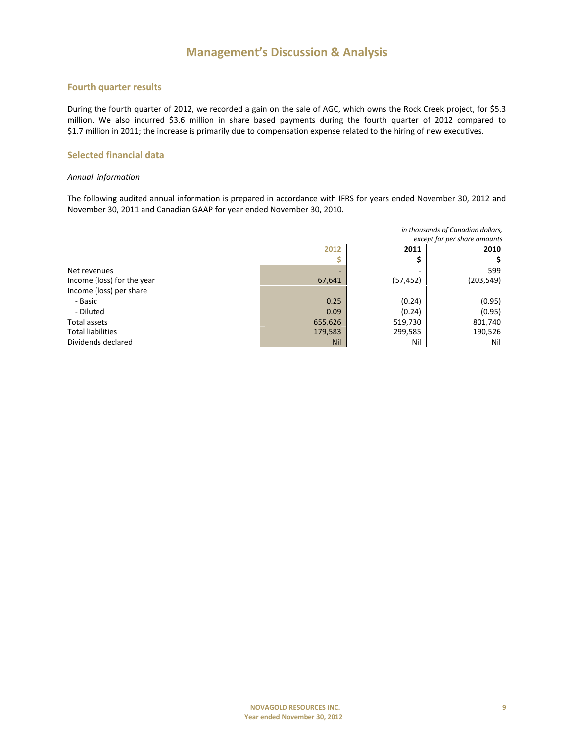# Fourth quarter results

During the fourth quarter of 2012, we recorded a gain on the sale of AGC, which owns the Rock Creek project, for \$5.3 million. We also incurred \$3.6 million in share based payments during the fourth quarter of 2012 compared to \$1.7 million in 2011; the increase is primarily due to compensation expense related to the hiring of new executives.

# Selected financial data

## Annual information

The following audited annual information is prepared in accordance with IFRS for years ended November 30, 2012 and November 30, 2011 and Canadian GAAP for year ended November 30, 2010.

| in thousands of Canadian dollars, |            |          |                              |  |
|-----------------------------------|------------|----------|------------------------------|--|
|                                   |            |          | except for per share amounts |  |
|                                   | 2012       | 2011     | 2010                         |  |
|                                   |            |          |                              |  |
| Net revenues                      |            |          | 599                          |  |
| Income (loss) for the year        | 67,641     | (57,452) | (203, 549)                   |  |
| Income (loss) per share           |            |          |                              |  |
| - Basic                           | 0.25       | (0.24)   | (0.95)                       |  |
| - Diluted                         | 0.09       | (0.24)   | (0.95)                       |  |
| Total assets                      | 655,626    | 519,730  | 801,740                      |  |
| <b>Total liabilities</b>          | 179,583    | 299,585  | 190,526                      |  |
| Dividends declared                | <b>Nil</b> | Nil      | Nil                          |  |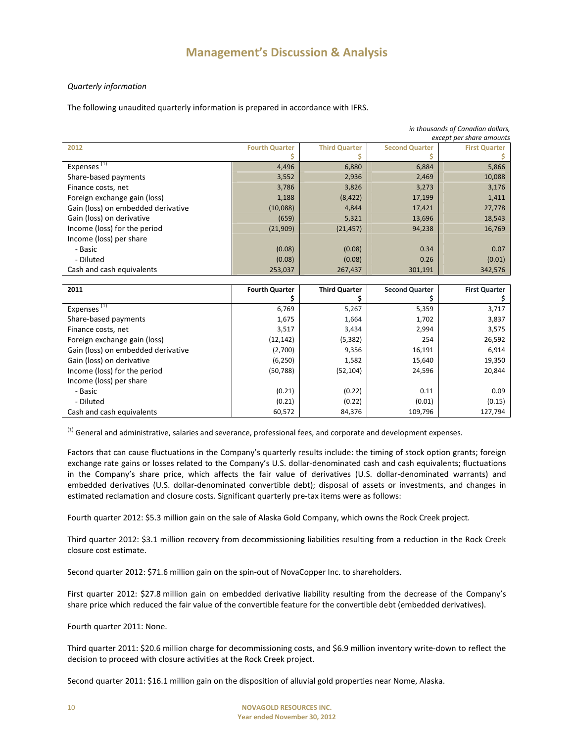# Quarterly information

The following unaudited quarterly information is prepared in accordance with IFRS.

| in thousands of Canadian dollars,  |                       |                      |                       |                      |  |
|------------------------------------|-----------------------|----------------------|-----------------------|----------------------|--|
| except per share amounts           |                       |                      |                       |                      |  |
| 2012                               | <b>Fourth Quarter</b> | <b>Third Quarter</b> | <b>Second Quarter</b> | <b>First Quarter</b> |  |
|                                    |                       |                      |                       |                      |  |
| Expenses <sup>(1)</sup>            | 4,496                 | 6,880                | 6,884                 | 5,866                |  |
| Share-based payments               | 3,552                 | 2,936                | 2,469                 | 10,088               |  |
| Finance costs, net                 | 3,786                 | 3,826                | 3,273                 | 3,176                |  |
| Foreign exchange gain (loss)       | 1,188                 | (8, 422)             | 17,199                | 1,411                |  |
| Gain (loss) on embedded derivative | (10,088)              | 4,844                | 17,421                | 27,778               |  |
| Gain (loss) on derivative          | (659)                 | 5,321                | 13,696                | 18,543               |  |
| Income (loss) for the period       | (21,909)              | (21, 457)            | 94,238                | 16,769               |  |
| Income (loss) per share            |                       |                      |                       |                      |  |
| - Basic                            | (0.08)                | (0.08)               | 0.34                  | 0.07                 |  |
| - Diluted                          | (0.08)                | (0.08)               | 0.26                  | (0.01)               |  |
| Cash and cash equivalents          | 253,037               | 267,437              | 301,191               | 342,576              |  |

| 2011                               | <b>Fourth Quarter</b> | <b>Third Quarter</b> | <b>Second Quarter</b> | <b>First Quarter</b> |
|------------------------------------|-----------------------|----------------------|-----------------------|----------------------|
|                                    |                       |                      |                       |                      |
| Expenses <sup>(I)</sup>            | 6,769                 | 5,267                | 5,359                 | 3,717                |
| Share-based payments               | 1,675                 | 1,664                | 1,702                 | 3,837                |
| Finance costs, net                 | 3,517                 | 3,434                | 2,994                 | 3,575                |
| Foreign exchange gain (loss)       | (12, 142)             | (5, 382)             | 254                   | 26,592               |
| Gain (loss) on embedded derivative | (2,700)               | 9,356                | 16,191                | 6,914                |
| Gain (loss) on derivative          | (6, 250)              | 1,582                | 15,640                | 19,350               |
| Income (loss) for the period       | (50, 788)             | (52, 104)            | 24,596                | 20,844               |
| Income (loss) per share            |                       |                      |                       |                      |
| - Basic                            | (0.21)                | (0.22)               | 0.11                  | 0.09                 |
| - Diluted                          | (0.21)                | (0.22)               | (0.01)                | (0.15)               |
| Cash and cash equivalents          | 60,572                | 84,376               | 109,796               | 127,794              |

 $<sup>(1)</sup>$  General and administrative, salaries and severance, professional fees, and corporate and development expenses.</sup>

Factors that can cause fluctuations in the Company's quarterly results include: the timing of stock option grants; foreign exchange rate gains or losses related to the Company's U.S. dollar-denominated cash and cash equivalents; fluctuations in the Company's share price, which affects the fair value of derivatives (U.S. dollar-denominated warrants) and embedded derivatives (U.S. dollar-denominated convertible debt); disposal of assets or investments, and changes in estimated reclamation and closure costs. Significant quarterly pre-tax items were as follows:

Fourth quarter 2012: \$5.3 million gain on the sale of Alaska Gold Company, which owns the Rock Creek project.

Third quarter 2012: \$3.1 million recovery from decommissioning liabilities resulting from a reduction in the Rock Creek closure cost estimate.

Second quarter 2012: \$71.6 million gain on the spin-out of NovaCopper Inc. to shareholders.

First quarter 2012: \$27.8 million gain on embedded derivative liability resulting from the decrease of the Company's share price which reduced the fair value of the convertible feature for the convertible debt (embedded derivatives).

Fourth quarter 2011: None.

Third quarter 2011: \$20.6 million charge for decommissioning costs, and \$6.9 million inventory write-down to reflect the decision to proceed with closure activities at the Rock Creek project.

Second quarter 2011: \$16.1 million gain on the disposition of alluvial gold properties near Nome, Alaska.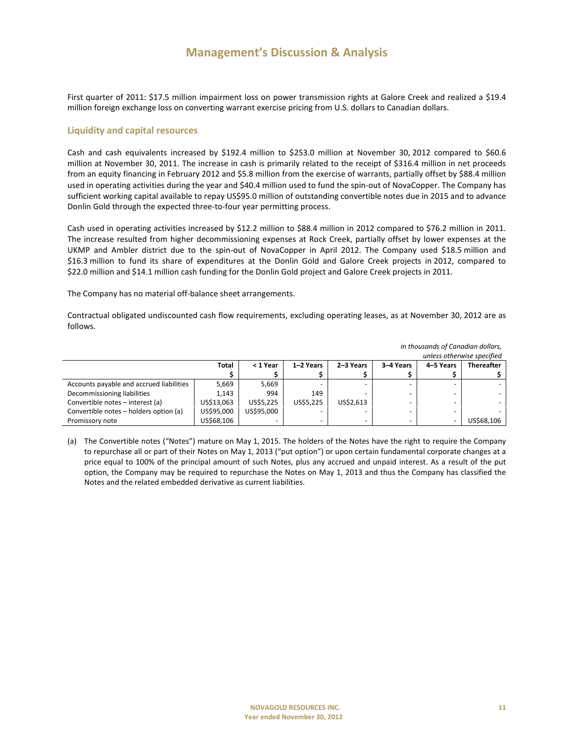First quarter of 2011: \$17.5 million impairment loss on power transmission rights at Galore Creek and realized a \$19.4 million foreign exchange loss on converting warrant exercise pricing from U.S. dollars to Canadian dollars.

## Liquidity and capital resources

Cash and cash equivalents increased by \$192.4 million to \$253.0 million at November 30, 2012 compared to \$60.6 million at November 30, 2011. The increase in cash is primarily related to the receipt of \$316.4 million in net proceeds from an equity financing in February 2012 and \$5.8 million from the exercise of warrants, partially offset by \$88.4 million used in operating activities during the year and \$40.4 million used to fund the spin-out of NovaCopper. The Company has sufficient working capital available to repay US\$95.0 million of outstanding convertible notes due in 2015 and to advance Donlin Gold through the expected three-to-four year permitting process.

Cash used in operating activities increased by \$12.2 million to \$88.4 million in 2012 compared to \$76.2 million in 2011. The increase resulted from higher decommissioning expenses at Rock Creek, partially offset by lower expenses at the UKMP and Ambler district due to the spin-out of NovaCopper in April 2012. The Company used \$18.5 million and \$16.3 million to fund its share of expenditures at the Donlin Gold and Galore Creek projects in 2012, compared to \$22.0 million and \$14.1 million cash funding for the Donlin Gold project and Galore Creek projects in 2011.

The Company has no material off-balance sheet arrangements.

Contractual obligated undiscounted cash flow requirements, excluding operating leases, as at November 30, 2012 are as follows.

| in thousands of Canadian dollars,        |              |            |           |           |           |           |                            |
|------------------------------------------|--------------|------------|-----------|-----------|-----------|-----------|----------------------------|
|                                          |              |            |           |           |           |           | unless otherwise specified |
|                                          | <b>Total</b> | < 1 Year   | 1-2 Years | 2-3 Years | 3-4 Years | 4-5 Years | <b>Thereafter</b>          |
|                                          |              |            |           |           |           |           |                            |
| Accounts payable and accrued liabilities | 5,669        | 5.669      |           |           |           |           |                            |
| Decommissioning liabilities              | 1,143        | 994        | 149       |           |           |           |                            |
| Convertible notes - interest (a)         | US\$13,063   | US\$5.225  | US\$5.225 | US\$2.613 |           |           |                            |
| Convertible notes - holders option (a)   | US\$95,000   | US\$95,000 |           |           |           |           |                            |
| Promissory note                          | US\$68,106   |            |           |           |           |           | US\$68.106                 |

(a) The Convertible notes ("Notes") mature on May 1, 2015. The holders of the Notes have the right to require the Company to repurchase all or part of their Notes on May 1, 2013 ("put option") or upon certain fundamental corporate changes at a price equal to 100% of the principal amount of such Notes, plus any accrued and unpaid interest. As a result of the put option, the Company may be required to repurchase the Notes on May 1, 2013 and thus the Company has classified the Notes and the related embedded derivative as current liabilities.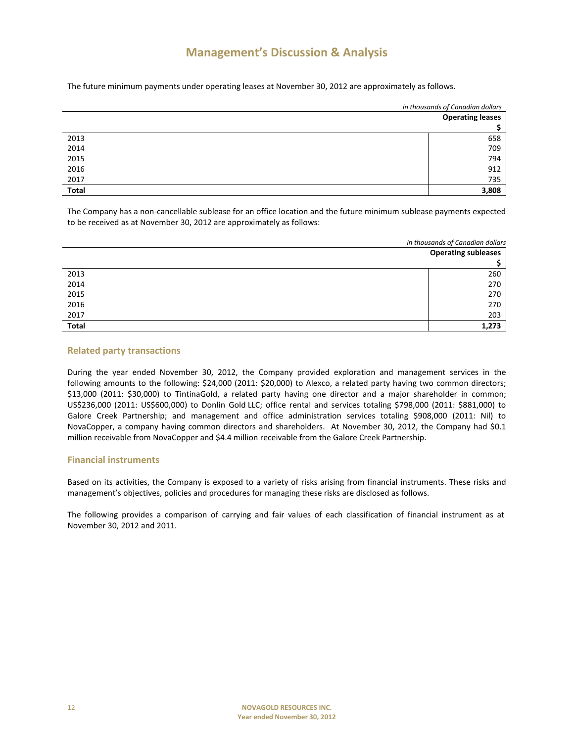The future minimum payments under operating leases at November 30, 2012 are approximately as follows.

|              | in thousands of Canadian dollars |  |
|--------------|----------------------------------|--|
|              | <b>Operating leases</b>          |  |
|              |                                  |  |
| 2013         | 658                              |  |
| 2014         | 709                              |  |
| 2015         | 794                              |  |
| 2016         | 912                              |  |
| 2017         | 735                              |  |
| <b>Total</b> | 3,808                            |  |

The Company has a non-cancellable sublease for an office location and the future minimum sublease payments expected to be received as at November 30, 2012 are approximately as follows:

|              | in thousands of Canadian dollars |  |
|--------------|----------------------------------|--|
|              | <b>Operating subleases</b>       |  |
|              |                                  |  |
| 2013         | 260                              |  |
| 2014         | 270                              |  |
| 2015         | 270                              |  |
| 2016         | 270                              |  |
| 2017         | 203                              |  |
| <b>Total</b> | 1,273                            |  |

# Related party transactions

During the year ended November 30, 2012, the Company provided exploration and management services in the following amounts to the following: \$24,000 (2011: \$20,000) to Alexco, a related party having two common directors; \$13,000 (2011: \$30,000) to TintinaGold, a related party having one director and a major shareholder in common; US\$236,000 (2011: US\$600,000) to Donlin Gold LLC; office rental and services totaling \$798,000 (2011: \$881,000) to Galore Creek Partnership; and management and office administration services totaling \$908,000 (2011: Nil) to NovaCopper, a company having common directors and shareholders. At November 30, 2012, the Company had \$0.1 million receivable from NovaCopper and \$4.4 million receivable from the Galore Creek Partnership.

# Financial instruments

Based on its activities, the Company is exposed to a variety of risks arising from financial instruments. These risks and management's objectives, policies and procedures for managing these risks are disclosed as follows.

The following provides a comparison of carrying and fair values of each classification of financial instrument as at November 30, 2012 and 2011.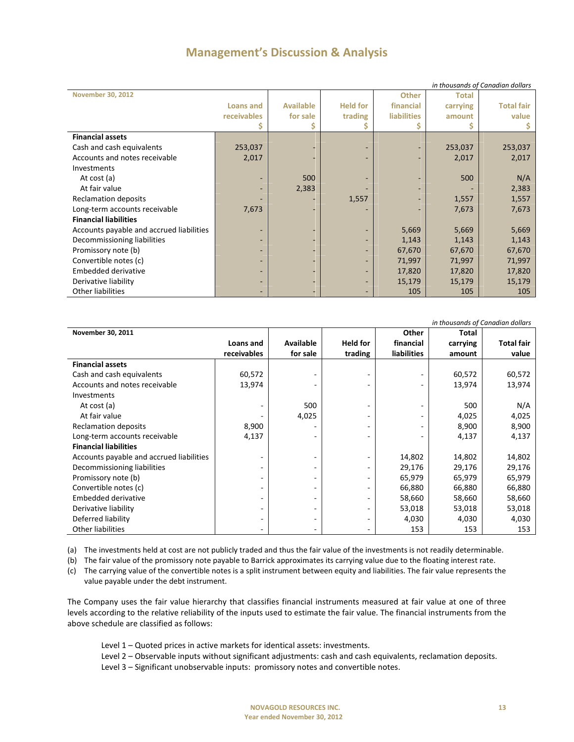| <b>Management's Discussion &amp; Analysis</b> |  |  |
|-----------------------------------------------|--|--|
|-----------------------------------------------|--|--|

| in thousands of Canadian dollars         |                    |                  |                 |                    |              |                   |
|------------------------------------------|--------------------|------------------|-----------------|--------------------|--------------|-------------------|
| <b>November 30, 2012</b>                 |                    |                  |                 | <b>Other</b>       | <b>Total</b> |                   |
|                                          | Loans and          | <b>Available</b> | <b>Held for</b> | financial          | carrying     | <b>Total fair</b> |
|                                          | <b>receivables</b> | for sale         | trading         | <b>liabilities</b> | amount       | value             |
|                                          |                    |                  |                 |                    |              |                   |
| <b>Financial assets</b>                  |                    |                  |                 |                    |              |                   |
| Cash and cash equivalents                | 253,037            |                  |                 | ٠                  | 253,037      | 253,037           |
| Accounts and notes receivable            | 2,017              |                  |                 | ۳                  | 2,017        | 2,017             |
| Investments                              |                    |                  |                 |                    |              |                   |
| At $cost(a)$                             |                    | 500              |                 | ۳                  | 500          | N/A               |
| At fair value                            |                    | 2,383            |                 | -                  |              | 2,383             |
| <b>Reclamation deposits</b>              |                    |                  | 1,557           | н.                 | 1,557        | 1,557             |
| Long-term accounts receivable            | 7,673              |                  |                 |                    | 7,673        | 7,673             |
| <b>Financial liabilities</b>             |                    |                  |                 |                    |              |                   |
| Accounts payable and accrued liabilities |                    |                  |                 | 5,669              | 5,669        | 5,669             |
| Decommissioning liabilities              |                    |                  |                 | 1,143              | 1,143        | 1,143             |
| Promissory note (b)                      |                    |                  |                 | 67,670             | 67,670       | 67,670            |
| Convertible notes (c)                    |                    |                  |                 | 71,997             | 71,997       | 71,997            |
| Embedded derivative                      | ۰                  | ٠                |                 | 17,820             | 17,820       | 17,820            |
| Derivative liability                     |                    |                  |                 | 15,179             | 15,179       | 15,179            |
| Other liabilities                        |                    |                  |                 | 105                | 105          | 105               |

| in thousands of Canadian dollars         |             |                  |                          |                    |              |                   |
|------------------------------------------|-------------|------------------|--------------------------|--------------------|--------------|-------------------|
| November 30, 2011                        |             |                  |                          | Other              | <b>Total</b> |                   |
|                                          | Loans and   | <b>Available</b> | <b>Held for</b>          | financial          | carrying     | <b>Total fair</b> |
|                                          | receivables | for sale         | trading                  | <b>liabilities</b> | amount       | value             |
| <b>Financial assets</b>                  |             |                  |                          |                    |              |                   |
| Cash and cash equivalents                | 60,572      |                  |                          |                    | 60,572       | 60,572            |
| Accounts and notes receivable            | 13,974      |                  | ۰                        |                    | 13,974       | 13,974            |
| Investments                              |             |                  |                          |                    |              |                   |
| At cost (a)                              |             | 500              | ۰                        |                    | 500          | N/A               |
| At fair value                            |             | 4,025            | ۰                        |                    | 4,025        | 4,025             |
| <b>Reclamation deposits</b>              | 8,900       |                  | ۰                        |                    | 8,900        | 8,900             |
| Long-term accounts receivable            | 4,137       |                  | ۰                        |                    | 4,137        | 4,137             |
| <b>Financial liabilities</b>             |             |                  |                          |                    |              |                   |
| Accounts payable and accrued liabilities |             |                  | ۰.                       | 14,802             | 14,802       | 14,802            |
| Decommissioning liabilities              |             |                  | ۰.                       | 29,176             | 29,176       | 29,176            |
| Promissory note (b)                      |             |                  | ٠                        | 65,979             | 65,979       | 65,979            |
| Convertible notes (c)                    |             |                  | ٠                        | 66,880             | 66,880       | 66,880            |
| Embedded derivative                      |             |                  | $\overline{\phantom{0}}$ | 58,660             | 58,660       | 58,660            |
| Derivative liability                     |             |                  | ٠                        | 53,018             | 53,018       | 53,018            |
| Deferred liability                       |             |                  | ٠                        | 4,030              | 4,030        | 4,030             |
| <b>Other liabilities</b>                 |             |                  |                          | 153                | 153          | 153               |

(a) The investments held at cost are not publicly traded and thus the fair value of the investments is not readily determinable.

(b) The fair value of the promissory note payable to Barrick approximates its carrying value due to the floating interest rate.

(c) The carrying value of the convertible notes is a split instrument between equity and liabilities. The fair value represents the value payable under the debt instrument.

The Company uses the fair value hierarchy that classifies financial instruments measured at fair value at one of three levels according to the relative reliability of the inputs used to estimate the fair value. The financial instruments from the above schedule are classified as follows:

Level 1 – Quoted prices in active markets for identical assets: investments.

Level 2 – Observable inputs without significant adjustments: cash and cash equivalents, reclamation deposits.

Level 3 – Significant unobservable inputs: promissory notes and convertible notes.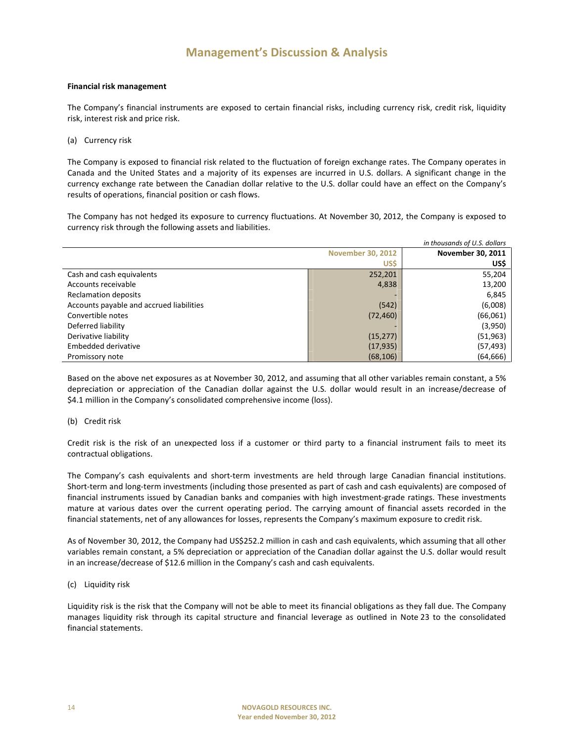## Financial risk management

The Company's financial instruments are exposed to certain financial risks, including currency risk, credit risk, liquidity risk, interest risk and price risk.

(a) Currency risk

The Company is exposed to financial risk related to the fluctuation of foreign exchange rates. The Company operates in Canada and the United States and a majority of its expenses are incurred in U.S. dollars. A significant change in the currency exchange rate between the Canadian dollar relative to the U.S. dollar could have an effect on the Company's results of operations, financial position or cash flows.

The Company has not hedged its exposure to currency fluctuations. At November 30, 2012, the Company is exposed to currency risk through the following assets and liabilities.

| in thousands of U.S. dollars             |                          |                   |  |  |
|------------------------------------------|--------------------------|-------------------|--|--|
|                                          | <b>November 30, 2012</b> | November 30, 2011 |  |  |
|                                          | <b>US\$</b>              | US\$              |  |  |
| Cash and cash equivalents                | 252,201                  | 55,204            |  |  |
| Accounts receivable                      | 4,838                    | 13,200            |  |  |
| <b>Reclamation deposits</b>              |                          | 6,845             |  |  |
| Accounts payable and accrued liabilities | (542)                    | (6,008)           |  |  |
| Convertible notes                        | (72, 460)                | (66,061)          |  |  |
| Deferred liability                       |                          | (3,950)           |  |  |
| Derivative liability                     | (15, 277)                | (51, 963)         |  |  |
| Embedded derivative                      | (17, 935)                | (57, 493)         |  |  |
| Promissory note                          | (68, 106)                | (64,666)          |  |  |

Based on the above net exposures as at November 30, 2012, and assuming that all other variables remain constant, a 5% depreciation or appreciation of the Canadian dollar against the U.S. dollar would result in an increase/decrease of \$4.1 million in the Company's consolidated comprehensive income (loss).

#### (b) Credit risk

Credit risk is the risk of an unexpected loss if a customer or third party to a financial instrument fails to meet its contractual obligations.

The Company's cash equivalents and short-term investments are held through large Canadian financial institutions. Short-term and long-term investments (including those presented as part of cash and cash equivalents) are composed of financial instruments issued by Canadian banks and companies with high investment-grade ratings. These investments mature at various dates over the current operating period. The carrying amount of financial assets recorded in the financial statements, net of any allowances for losses, represents the Company's maximum exposure to credit risk.

As of November 30, 2012, the Company had US\$252.2 million in cash and cash equivalents, which assuming that all other variables remain constant, a 5% depreciation or appreciation of the Canadian dollar against the U.S. dollar would result in an increase/decrease of \$12.6 million in the Company's cash and cash equivalents.

#### (c) Liquidity risk

Liquidity risk is the risk that the Company will not be able to meet its financial obligations as they fall due. The Company manages liquidity risk through its capital structure and financial leverage as outlined in Note 23 to the consolidated financial statements.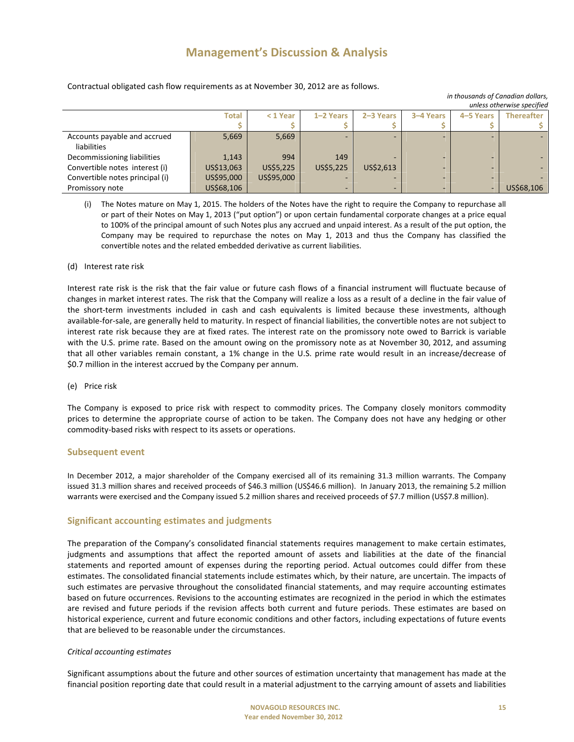| unless otherwise specified      |            |            |               |           |           |           |                   |
|---------------------------------|------------|------------|---------------|-----------|-----------|-----------|-------------------|
|                                 | Total      | $<$ 1 Year | $1 - 2$ Years | 2-3 Years | 3-4 Years | 4-5 Years | <b>Thereafter</b> |
|                                 |            |            |               |           |           |           |                   |
| Accounts payable and accrued    | 5,669      | 5,669      | -             | -         | -         | -         |                   |
| liabilities                     |            |            |               |           |           |           |                   |
| Decommissioning liabilities     | 1,143      | 994        | 149           |           | -         | -         |                   |
| Convertible notes interest (i)  | US\$13,063 | US\$5,225  | US\$5,225     | US\$2,613 | -         | -         |                   |
| Convertible notes principal (i) | US\$95,000 | US\$95,000 |               |           | -         | -         |                   |
| Promissory note                 | US\$68,106 |            | -             | -         | -         |           | US\$68,106        |

Contractual obligated cash flow requirements as at November 30, 2012 are as follows.

(i) The Notes mature on May 1, 2015. The holders of the Notes have the right to require the Company to repurchase all or part of their Notes on May 1, 2013 ("put option") or upon certain fundamental corporate changes at a price equal to 100% of the principal amount of such Notes plus any accrued and unpaid interest. As a result of the put option, the Company may be required to repurchase the notes on May 1, 2013 and thus the Company has classified the convertible notes and the related embedded derivative as current liabilities.

#### (d) Interest rate risk

Interest rate risk is the risk that the fair value or future cash flows of a financial instrument will fluctuate because of changes in market interest rates. The risk that the Company will realize a loss as a result of a decline in the fair value of the short-term investments included in cash and cash equivalents is limited because these investments, although available-for-sale, are generally held to maturity. In respect of financial liabilities, the convertible notes are not subject to interest rate risk because they are at fixed rates. The interest rate on the promissory note owed to Barrick is variable with the U.S. prime rate. Based on the amount owing on the promissory note as at November 30, 2012, and assuming that all other variables remain constant, a 1% change in the U.S. prime rate would result in an increase/decrease of \$0.7 million in the interest accrued by the Company per annum.

(e) Price risk

The Company is exposed to price risk with respect to commodity prices. The Company closely monitors commodity prices to determine the appropriate course of action to be taken. The Company does not have any hedging or other commodity-based risks with respect to its assets or operations.

## Subsequent event

In December 2012, a major shareholder of the Company exercised all of its remaining 31.3 million warrants. The Company issued 31.3 million shares and received proceeds of \$46.3 million (US\$46.6 million). In January 2013, the remaining 5.2 million warrants were exercised and the Company issued 5.2 million shares and received proceeds of \$7.7 million (US\$7.8 million).

# Significant accounting estimates and judgments

The preparation of the Company's consolidated financial statements requires management to make certain estimates, judgments and assumptions that affect the reported amount of assets and liabilities at the date of the financial statements and reported amount of expenses during the reporting period. Actual outcomes could differ from these estimates. The consolidated financial statements include estimates which, by their nature, are uncertain. The impacts of such estimates are pervasive throughout the consolidated financial statements, and may require accounting estimates based on future occurrences. Revisions to the accounting estimates are recognized in the period in which the estimates are revised and future periods if the revision affects both current and future periods. These estimates are based on historical experience, current and future economic conditions and other factors, including expectations of future events that are believed to be reasonable under the circumstances.

#### Critical accounting estimates

Significant assumptions about the future and other sources of estimation uncertainty that management has made at the financial position reporting date that could result in a material adjustment to the carrying amount of assets and liabilities

in thousands of Canadian dollars,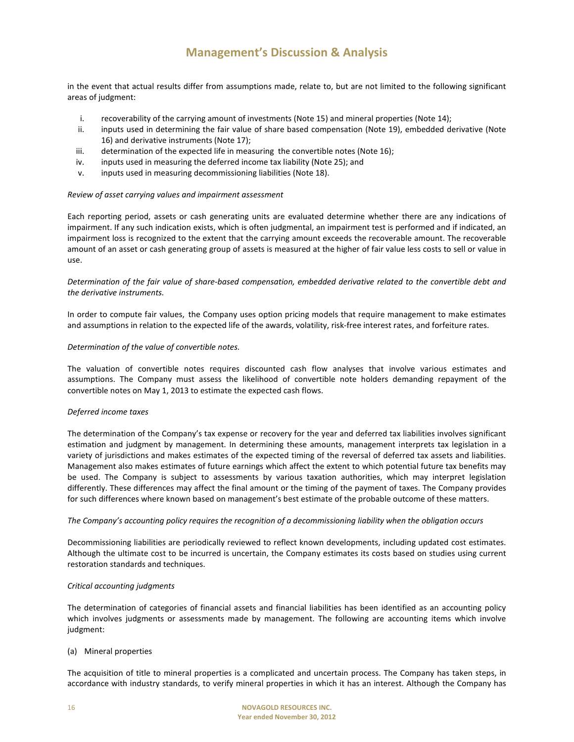in the event that actual results differ from assumptions made, relate to, but are not limited to the following significant areas of judgment:

- i. recoverability of the carrying amount of investments (Note 15) and mineral properties (Note 14);
- ii. inputs used in determining the fair value of share based compensation (Note 19), embedded derivative (Note 16) and derivative instruments (Note 17);
- iii. determination of the expected life in measuring the convertible notes (Note 16);
- iv. inputs used in measuring the deferred income tax liability (Note 25); and
- v. inputs used in measuring decommissioning liabilities (Note 18).

## Review of asset carrying values and impairment assessment

Each reporting period, assets or cash generating units are evaluated determine whether there are any indications of impairment. If any such indication exists, which is often judgmental, an impairment test is performed and if indicated, an impairment loss is recognized to the extent that the carrying amount exceeds the recoverable amount. The recoverable amount of an asset or cash generating group of assets is measured at the higher of fair value less costs to sell or value in use.

## Determination of the fair value of share-based compensation, embedded derivative related to the convertible debt and the derivative instruments.

In order to compute fair values, the Company uses option pricing models that require management to make estimates and assumptions in relation to the expected life of the awards, volatility, risk-free interest rates, and forfeiture rates.

#### Determination of the value of convertible notes.

The valuation of convertible notes requires discounted cash flow analyses that involve various estimates and assumptions. The Company must assess the likelihood of convertible note holders demanding repayment of the convertible notes on May 1, 2013 to estimate the expected cash flows.

## Deferred income taxes

The determination of the Company's tax expense or recovery for the year and deferred tax liabilities involves significant estimation and judgment by management. In determining these amounts, management interprets tax legislation in a variety of jurisdictions and makes estimates of the expected timing of the reversal of deferred tax assets and liabilities. Management also makes estimates of future earnings which affect the extent to which potential future tax benefits may be used. The Company is subject to assessments by various taxation authorities, which may interpret legislation differently. These differences may affect the final amount or the timing of the payment of taxes. The Company provides for such differences where known based on management's best estimate of the probable outcome of these matters.

## The Company's accounting policy requires the recognition of a decommissioning liability when the obligation occurs

Decommissioning liabilities are periodically reviewed to reflect known developments, including updated cost estimates. Although the ultimate cost to be incurred is uncertain, the Company estimates its costs based on studies using current restoration standards and techniques.

## Critical accounting judgments

The determination of categories of financial assets and financial liabilities has been identified as an accounting policy which involves judgments or assessments made by management. The following are accounting items which involve judgment:

## (a) Mineral properties

The acquisition of title to mineral properties is a complicated and uncertain process. The Company has taken steps, in accordance with industry standards, to verify mineral properties in which it has an interest. Although the Company has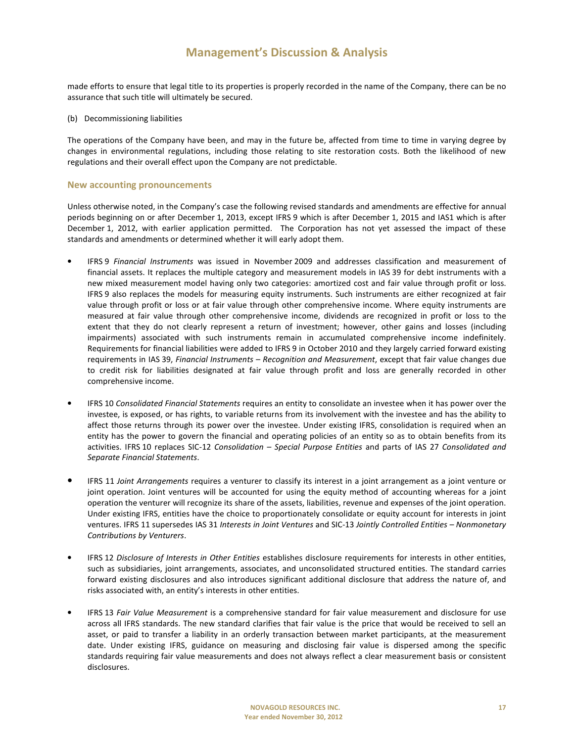made efforts to ensure that legal title to its properties is properly recorded in the name of the Company, there can be no assurance that such title will ultimately be secured.

(b) Decommissioning liabilities

The operations of the Company have been, and may in the future be, affected from time to time in varying degree by changes in environmental regulations, including those relating to site restoration costs. Both the likelihood of new regulations and their overall effect upon the Company are not predictable.

## New accounting pronouncements

Unless otherwise noted, in the Company's case the following revised standards and amendments are effective for annual periods beginning on or after December 1, 2013, except IFRS 9 which is after December 1, 2015 and IAS1 which is after December 1, 2012, with earlier application permitted. The Corporation has not yet assessed the impact of these standards and amendments or determined whether it will early adopt them.

- IFRS 9 Financial Instruments was issued in November 2009 and addresses classification and measurement of financial assets. It replaces the multiple category and measurement models in IAS 39 for debt instruments with a new mixed measurement model having only two categories: amortized cost and fair value through profit or loss. IFRS 9 also replaces the models for measuring equity instruments. Such instruments are either recognized at fair value through profit or loss or at fair value through other comprehensive income. Where equity instruments are measured at fair value through other comprehensive income, dividends are recognized in profit or loss to the extent that they do not clearly represent a return of investment; however, other gains and losses (including impairments) associated with such instruments remain in accumulated comprehensive income indefinitely. Requirements for financial liabilities were added to IFRS 9 in October 2010 and they largely carried forward existing requirements in IAS 39, Financial Instruments - Recognition and Measurement, except that fair value changes due to credit risk for liabilities designated at fair value through profit and loss are generally recorded in other comprehensive income.
- IFRS 10 Consolidated Financial Statements requires an entity to consolidate an investee when it has power over the investee, is exposed, or has rights, to variable returns from its involvement with the investee and has the ability to affect those returns through its power over the investee. Under existing IFRS, consolidation is required when an entity has the power to govern the financial and operating policies of an entity so as to obtain benefits from its activities. IFRS 10 replaces SIC-12 Consolidation – Special Purpose Entities and parts of IAS 27 Consolidated and Separate Financial Statements.
- IFRS 11 Joint Arrangements requires a venturer to classify its interest in a joint arrangement as a joint venture or joint operation. Joint ventures will be accounted for using the equity method of accounting whereas for a joint operation the venturer will recognize its share of the assets, liabilities, revenue and expenses of the joint operation. Under existing IFRS, entities have the choice to proportionately consolidate or equity account for interests in joint ventures. IFRS 11 supersedes IAS 31 Interests in Joint Ventures and SIC-13 Jointly Controlled Entities - Nonmonetary Contributions by Venturers.
- IFRS 12 Disclosure of Interests in Other Entities establishes disclosure requirements for interests in other entities, such as subsidiaries, joint arrangements, associates, and unconsolidated structured entities. The standard carries forward existing disclosures and also introduces significant additional disclosure that address the nature of, and risks associated with, an entity's interests in other entities.
- IFRS 13 Fair Value Measurement is a comprehensive standard for fair value measurement and disclosure for use across all IFRS standards. The new standard clarifies that fair value is the price that would be received to sell an asset, or paid to transfer a liability in an orderly transaction between market participants, at the measurement date. Under existing IFRS, guidance on measuring and disclosing fair value is dispersed among the specific standards requiring fair value measurements and does not always reflect a clear measurement basis or consistent disclosures.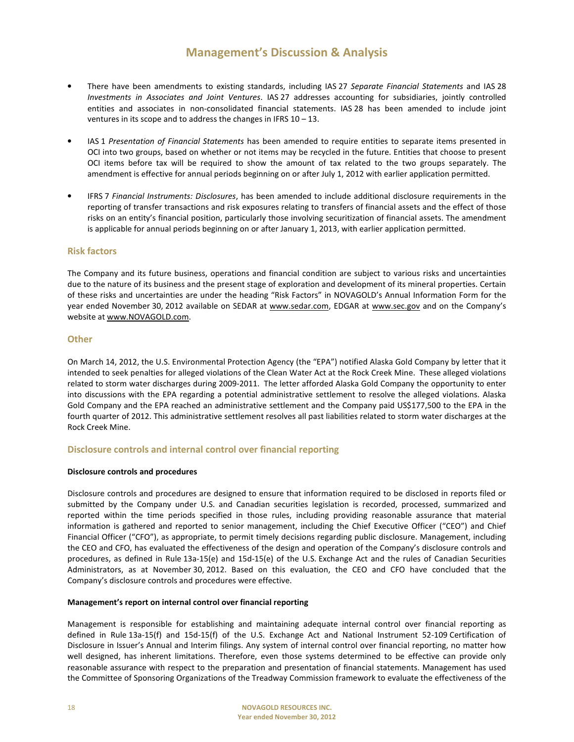- There have been amendments to existing standards, including IAS 27 Separate Financial Statements and IAS 28 Investments in Associates and Joint Ventures. IAS 27 addresses accounting for subsidiaries, jointly controlled entities and associates in non-consolidated financial statements. IAS 28 has been amended to include joint ventures in its scope and to address the changes in IFRS 10 – 13.
- IAS 1 Presentation of Financial Statements has been amended to require entities to separate items presented in OCI into two groups, based on whether or not items may be recycled in the future. Entities that choose to present OCI items before tax will be required to show the amount of tax related to the two groups separately. The amendment is effective for annual periods beginning on or after July 1, 2012 with earlier application permitted.
- IFRS 7 Financial Instruments: Disclosures, has been amended to include additional disclosure requirements in the reporting of transfer transactions and risk exposures relating to transfers of financial assets and the effect of those risks on an entity's financial position, particularly those involving securitization of financial assets. The amendment is applicable for annual periods beginning on or after January 1, 2013, with earlier application permitted.

# Risk factors

The Company and its future business, operations and financial condition are subject to various risks and uncertainties due to the nature of its business and the present stage of exploration and development of its mineral properties. Certain of these risks and uncertainties are under the heading "Risk Factors" in NOVAGOLD's Annual Information Form for the year ended November 30, 2012 available on SEDAR at www.sedar.com, EDGAR at www.sec.gov and on the Company's website at www.NOVAGOLD.com.

## **Other**

On March 14, 2012, the U.S. Environmental Protection Agency (the "EPA") notified Alaska Gold Company by letter that it intended to seek penalties for alleged violations of the Clean Water Act at the Rock Creek Mine. These alleged violations related to storm water discharges during 2009-2011. The letter afforded Alaska Gold Company the opportunity to enter into discussions with the EPA regarding a potential administrative settlement to resolve the alleged violations. Alaska Gold Company and the EPA reached an administrative settlement and the Company paid US\$177,500 to the EPA in the fourth quarter of 2012. This administrative settlement resolves all past liabilities related to storm water discharges at the Rock Creek Mine.

# Disclosure controls and internal control over financial reporting

## Disclosure controls and procedures

Disclosure controls and procedures are designed to ensure that information required to be disclosed in reports filed or submitted by the Company under U.S. and Canadian securities legislation is recorded, processed, summarized and reported within the time periods specified in those rules, including providing reasonable assurance that material information is gathered and reported to senior management, including the Chief Executive Officer ("CEO") and Chief Financial Officer ("CFO"), as appropriate, to permit timely decisions regarding public disclosure. Management, including the CEO and CFO, has evaluated the effectiveness of the design and operation of the Company's disclosure controls and procedures, as defined in Rule 13a-15(e) and 15d-15(e) of the U.S. Exchange Act and the rules of Canadian Securities Administrators, as at November 30, 2012. Based on this evaluation, the CEO and CFO have concluded that the Company's disclosure controls and procedures were effective.

## Management's report on internal control over financial reporting

Management is responsible for establishing and maintaining adequate internal control over financial reporting as defined in Rule 13a-15(f) and 15d-15(f) of the U.S. Exchange Act and National Instrument 52-109 Certification of Disclosure in Issuer's Annual and Interim filings. Any system of internal control over financial reporting, no matter how well designed, has inherent limitations. Therefore, even those systems determined to be effective can provide only reasonable assurance with respect to the preparation and presentation of financial statements. Management has used the Committee of Sponsoring Organizations of the Treadway Commission framework to evaluate the effectiveness of the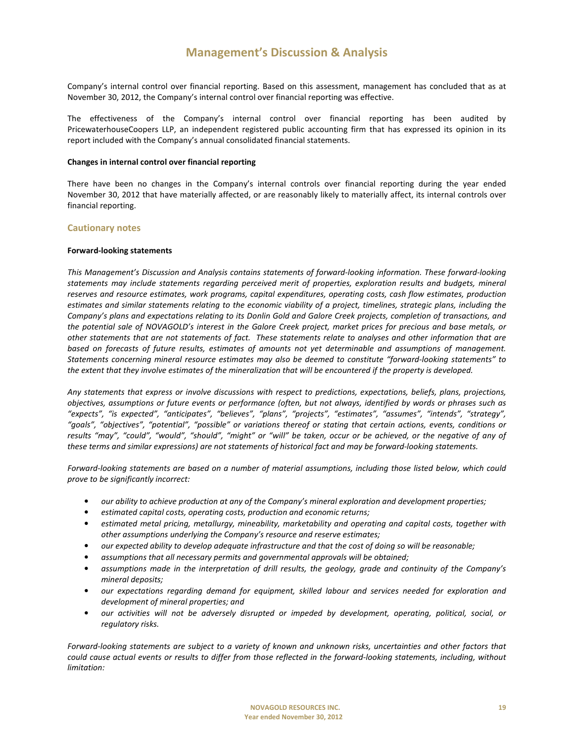Company's internal control over financial reporting. Based on this assessment, management has concluded that as at November 30, 2012, the Company's internal control over financial reporting was effective.

The effectiveness of the Company's internal control over financial reporting has been audited by PricewaterhouseCoopers LLP, an independent registered public accounting firm that has expressed its opinion in its report included with the Company's annual consolidated financial statements.

#### Changes in internal control over financial reporting

There have been no changes in the Company's internal controls over financial reporting during the year ended November 30, 2012 that have materially affected, or are reasonably likely to materially affect, its internal controls over financial reporting.

## Cautionary notes

#### Forward-looking statements

This Management's Discussion and Analysis contains statements of forward-looking information. These forward-looking statements may include statements regarding perceived merit of properties, exploration results and budgets, mineral reserves and resource estimates, work programs, capital expenditures, operating costs, cash flow estimates, production estimates and similar statements relating to the economic viability of a project, timelines, strategic plans, including the Company's plans and expectations relating to its Donlin Gold and Galore Creek projects, completion of transactions, and the potential sale of NOVAGOLD's interest in the Galore Creek project, market prices for precious and base metals, or other statements that are not statements of fact. These statements relate to analyses and other information that are based on forecasts of future results, estimates of amounts not yet determinable and assumptions of management. Statements concerning mineral resource estimates may also be deemed to constitute "forward-looking statements" to the extent that they involve estimates of the mineralization that will be encountered if the property is developed.

Any statements that express or involve discussions with respect to predictions, expectations, beliefs, plans, projections, objectives, assumptions or future events or performance (often, but not always, identified by words or phrases such as "expects", "is expected", "anticipates", "believes", "plans", "projects", "estimates", "assumes", "intends", "strategy", "goals", "objectives", "potential", "possible" or variations thereof or stating that certain actions, events, conditions or results "may", "could", "would", "should", "might" or "will" be taken, occur or be achieved, or the negative of any of these terms and similar expressions) are not statements of historical fact and may be forward-looking statements.

Forward-looking statements are based on a number of material assumptions, including those listed below, which could prove to be significantly incorrect:

- our ability to achieve production at any of the Company's mineral exploration and development properties;
- estimated capital costs, operating costs, production and economic returns;
- estimated metal pricing, metallurgy, mineability, marketability and operating and capital costs, together with other assumptions underlying the Company's resource and reserve estimates;
- our expected ability to develop adequate infrastructure and that the cost of doing so will be reasonable;
- assumptions that all necessary permits and governmental approvals will be obtained;
- assumptions made in the interpretation of drill results, the geology, grade and continuity of the Company's mineral deposits;
- our expectations regarding demand for equipment, skilled labour and services needed for exploration and development of mineral properties; and
- our activities will not be adversely disrupted or impeded by development, operating, political, social, or regulatory risks.

Forward-looking statements are subject to a variety of known and unknown risks, uncertainties and other factors that could cause actual events or results to differ from those reflected in the forward-looking statements, including, without limitation: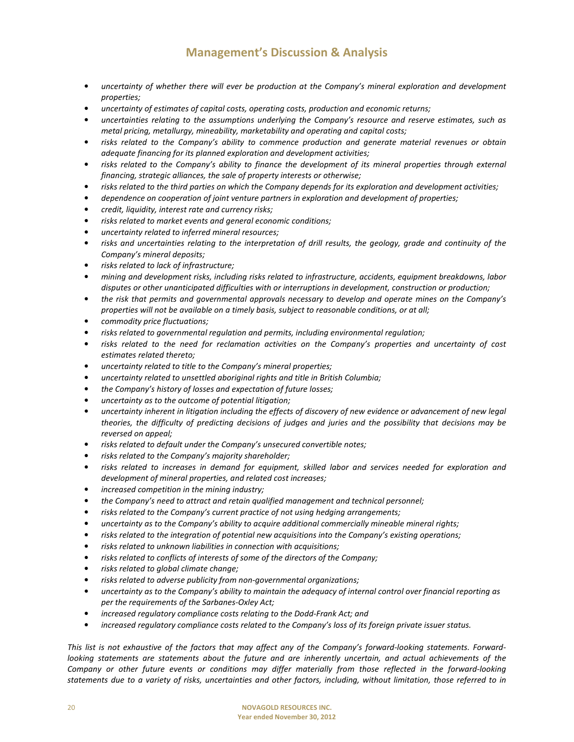- uncertainty of whether there will ever be production at the Company's mineral exploration and development properties;
- uncertainty of estimates of capital costs, operating costs, production and economic returns;
- uncertainties relating to the assumptions underlying the Company's resource and reserve estimates, such as metal pricing, metallurgy, mineability, marketability and operating and capital costs;
- risks related to the Company's ability to commence production and generate material revenues or obtain adequate financing for its planned exploration and development activities;
- risks related to the Company's ability to finance the development of its mineral properties through external financing, strategic alliances, the sale of property interests or otherwise;
- risks related to the third parties on which the Company depends for its exploration and development activities;
- dependence on cooperation of joint venture partners in exploration and development of properties;
- credit, liquidity, interest rate and currency risks;
- risks related to market events and general economic conditions;
- uncertainty related to inferred mineral resources;
- risks and uncertainties relating to the interpretation of drill results, the geology, grade and continuity of the Company's mineral deposits;
- risks related to lack of infrastructure;
- mining and development risks, including risks related to infrastructure, accidents, equipment breakdowns, labor disputes or other unanticipated difficulties with or interruptions in development, construction or production;
- the risk that permits and governmental approvals necessary to develop and operate mines on the Company's properties will not be available on a timely basis, subject to reasonable conditions, or at all;
- commodity price fluctuations;
- risks related to governmental regulation and permits, including environmental regulation;
- risks related to the need for reclamation activities on the Company's properties and uncertainty of cost estimates related thereto;
- uncertainty related to title to the Company's mineral properties;
- uncertainty related to unsettled aboriginal rights and title in British Columbia;
- the Company's history of losses and expectation of future losses;
- uncertainty as to the outcome of potential litigation;
- uncertainty inherent in litigation including the effects of discovery of new evidence or advancement of new legal theories, the difficulty of predicting decisions of judges and juries and the possibility that decisions may be reversed on appeal;
- risks related to default under the Company's unsecured convertible notes;
- risks related to the Company's majority shareholder;
- risks related to increases in demand for equipment, skilled labor and services needed for exploration and development of mineral properties, and related cost increases;
- increased competition in the mining industry;
- the Company's need to attract and retain qualified management and technical personnel;
- risks related to the Company's current practice of not using hedging arrangements;
- uncertainty as to the Company's ability to acquire additional commercially mineable mineral rights;
- risks related to the integration of potential new acquisitions into the Company's existing operations;
- risks related to unknown liabilities in connection with acquisitions;
- risks related to conflicts of interests of some of the directors of the Company;
- risks related to global climate change;
- risks related to adverse publicity from non-governmental organizations;
- uncertainty as to the Company's ability to maintain the adequacy of internal control over financial reporting as per the requirements of the Sarbanes-Oxley Act;
- increased regulatory compliance costs relating to the Dodd-Frank Act; and
- increased regulatory compliance costs related to the Company's loss of its foreign private issuer status.

This list is not exhaustive of the factors that may affect any of the Company's forward-looking statements. Forwardlooking statements are statements about the future and are inherently uncertain, and actual achievements of the Company or other future events or conditions may differ materially from those reflected in the forward-looking statements due to a variety of risks, uncertainties and other factors, including, without limitation, those referred to in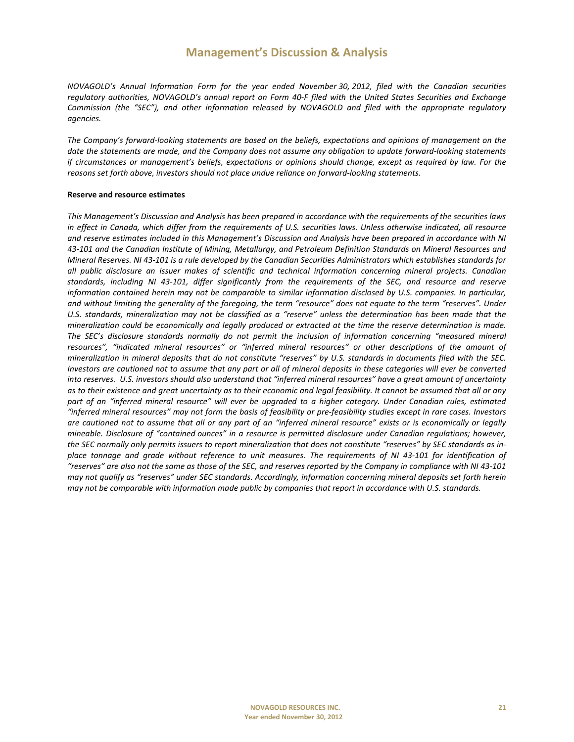NOVAGOLD's Annual Information Form for the year ended November 30, 2012, filed with the Canadian securities regulatory authorities, NOVAGOLD's annual report on Form 40-F filed with the United States Securities and Exchange Commission (the "SEC"), and other information released by NOVAGOLD and filed with the appropriate regulatory agencies.

The Company's forward-looking statements are based on the beliefs, expectations and opinions of management on the date the statements are made, and the Company does not assume any obligation to update forward-looking statements if circumstances or management's beliefs, expectations or opinions should change, except as required by law. For the reasons set forth above, investors should not place undue reliance on forward-looking statements.

#### Reserve and resource estimates

This Management's Discussion and Analysis has been prepared in accordance with the requirements of the securities laws in effect in Canada, which differ from the requirements of U.S. securities laws. Unless otherwise indicated, all resource and reserve estimates included in this Management's Discussion and Analysis have been prepared in accordance with NI 43-101 and the Canadian Institute of Mining, Metallurgy, and Petroleum Definition Standards on Mineral Resources and Mineral Reserves. NI 43-101 is a rule developed by the Canadian Securities Administrators which establishes standards for all public disclosure an issuer makes of scientific and technical information concerning mineral projects. Canadian standards, including NI 43-101, differ significantly from the requirements of the SEC, and resource and reserve information contained herein may not be comparable to similar information disclosed by U.S. companies. In particular, and without limiting the generality of the foregoing, the term "resource" does not equate to the term "reserves". Under U.S. standards, mineralization may not be classified as a "reserve" unless the determination has been made that the mineralization could be economically and legally produced or extracted at the time the reserve determination is made. The SEC's disclosure standards normally do not permit the inclusion of information concerning "measured mineral resources", "indicated mineral resources" or "inferred mineral resources" or other descriptions of the amount of mineralization in mineral deposits that do not constitute "reserves" by U.S. standards in documents filed with the SEC. Investors are cautioned not to assume that any part or all of mineral deposits in these categories will ever be converted into reserves. U.S. investors should also understand that "inferred mineral resources" have a great amount of uncertainty as to their existence and great uncertainty as to their economic and legal feasibility. It cannot be assumed that all or any part of an "inferred mineral resource" will ever be upgraded to a higher category. Under Canadian rules, estimated "inferred mineral resources" may not form the basis of feasibility or pre-feasibility studies except in rare cases. Investors are cautioned not to assume that all or any part of an "inferred mineral resource" exists or is economically or legally mineable. Disclosure of "contained ounces" in a resource is permitted disclosure under Canadian regulations; however, the SEC normally only permits issuers to report mineralization that does not constitute "reserves" by SEC standards as inplace tonnage and grade without reference to unit measures. The requirements of NI 43-101 for identification of "reserves" are also not the same as those of the SEC, and reserves reported by the Company in compliance with NI 43-101 may not qualify as "reserves" under SEC standards. Accordingly, information concerning mineral deposits set forth herein may not be comparable with information made public by companies that report in accordance with U.S. standards.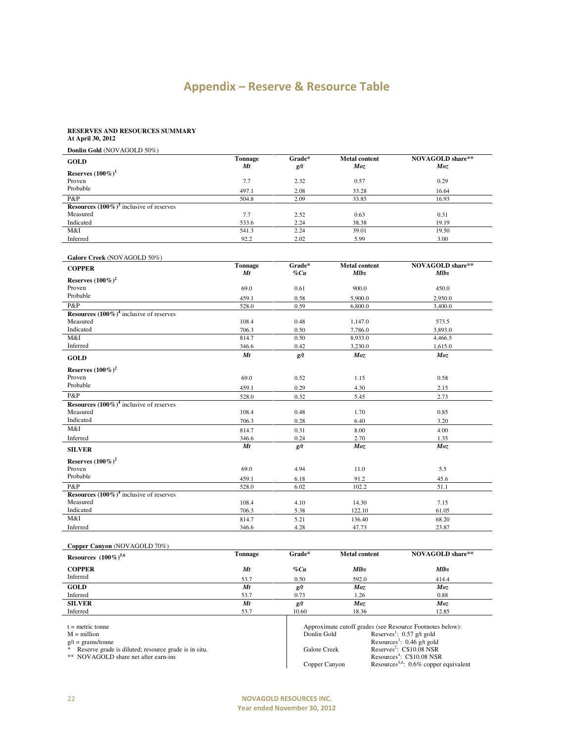# Appendix – Reserve & Resource Table

#### **RESERVES AND RESOURCES SUMMARY**

**At April 30, 2012 Donlin Gold** (NOVAGOLD 50%)

| <b>GOLD</b>                                        | Tonnage<br>Mt | Grade*<br>g/t | <b>Metal content</b><br>Moz | <b>NOVAGOLD</b> share**<br>Moz |
|----------------------------------------------------|---------------|---------------|-----------------------------|--------------------------------|
| Reserves $(100\%)^1$                               |               |               |                             |                                |
| Proven                                             | 7.7           | 2.32          | 0.57                        | 0.29                           |
| Probable                                           | 497.1         | 2.08          | 33.28                       | 16.64                          |
| P&P                                                | 504.8         | 2.09          | 33.85                       | 16.93                          |
| <b>Resources</b> $(100\%)^3$ inclusive of reserves |               |               |                             |                                |
| Measured                                           | 7.7           | 2.52          | 0.63                        | 0.31                           |
| Indicated                                          | 533.6         | 2.24          | 38.38                       | 19.19                          |
| M&I                                                | 541.3         | 2.24          | 39.01                       | 19.50                          |
| Inferred                                           | 92.2          | 2.02          | 5.99                        | 3.00                           |

#### **Galore Creek** (NOVAGOLD 50%)

| <b>COPPER</b>                                      | <b>Tonnage</b> | Grade* | <b>Metal content</b> | NOVAGOLD share** |
|----------------------------------------------------|----------------|--------|----------------------|------------------|
|                                                    | Mt             | $\%Cu$ | <b>Mlbs</b>          | <b>Mlbs</b>      |
| Reserves $(100\%)^2$                               |                |        |                      |                  |
| Proven                                             | 69.0           | 0.61   | 900.0                | 450.0            |
| Probable                                           | 459.1          | 0.58   | 5,900.0              | 2,950.0          |
| P&P                                                | 528.0          | 0.59   | 6,800.0              | 3,400.0          |
| <b>Resources</b> $(100\%)^4$ inclusive of reserves |                |        |                      |                  |
| Measured                                           | 108.4          | 0.48   | 1,147.0              | 573.5            |
| Indicated                                          | 706.3          | 0.50   | 7,786.0              | 3,893.0          |
| M&I                                                | 814.7          | 0.50   | 8,933.0              | 4,466.5          |
| Inferred                                           | 346.6          | 0.42   | 3,230.0              | 1,615.0          |
| <b>GOLD</b>                                        | Mt             | g/t    | Moz                  | Moz              |
| Reserves $(100\%)^2$                               |                |        |                      |                  |
| Proven                                             | 69.0           | 0.52   | 1.15                 | 0.58             |
| Probable                                           | 459.1          | 0.29   | 4.30                 | 2.15             |
| $P\&P$                                             | 528.0          | 0.32   | 5.45                 | 2.73             |
| <b>Resources</b> $(100\%)^4$ inclusive of reserves |                |        |                      |                  |
| Measured                                           | 108.4          | 0.48   | 1.70                 | 0.85             |
| Indicated                                          | 706.3          | 0.28   | 6.40                 | 3.20             |
| M&I                                                | 814.7          | 0.31   | 8.00                 | 4.00             |
| Inferred                                           | 346.6          | 0.24   | 2.70                 | 1.35             |
| <b>SILVER</b>                                      | Mt             | g/t    | <b>Moz</b>           | Moz              |
| Reserves $(100\%)^2$                               |                |        |                      |                  |
| Proven                                             | 69.0           | 4.94   | 11.0                 | 5.5              |
| Probable                                           | 459.1          | 6.18   | 91.2                 | 45.6             |
| P&P                                                | 528.0          | 6.02   | 102.2                | 51.1             |
| <b>Resources</b> $(100\%)^4$ inclusive of reserves |                |        |                      |                  |
| Measured                                           | 108.4          | 4.10   | 14.30                | 7.15             |
| Indicated                                          | 706.3          | 5.38   | 122.10               | 61.05            |
| M&I                                                | 814.7          | 5.21   | 136.40               | 68.20            |
| Inferred                                           | 346.6          | 4.28   | 47.73                | 23.87            |

| Copper Canyon (NOVAGOLD 70%) |  |
|------------------------------|--|
|                              |  |

| <b>Resources</b> $(100\%)^{5,6}$ | Tonnage | Grade* | <b>Metal content</b> | <b>NOVAGOLD</b> share** |
|----------------------------------|---------|--------|----------------------|-------------------------|
| <b>COPPER</b>                    | Mt      | $\%Cu$ | <b>Mlbs</b>          | <b>Mlbs</b>             |
| Inferred                         | 53.7    | 0.50   | 592.0                | 414.4                   |
| <b>GOLD</b>                      | Mt      | g/t    | Moz                  | Moz                     |
| Inferred                         | 53.7    | 0.73   | 1.26                 | 0.88                    |
| <b>SILVER</b>                    | Mt      | g/t    | Moz                  | Moz                     |
| Inferred                         | 53.7    | 10.60  | 18.36                | 12.85                   |

| $t =$ metric tonne                                     |               | Approximate cutoff grades (see Resource Footnotes below): |
|--------------------------------------------------------|---------------|-----------------------------------------------------------|
| $M =$ million                                          | Donlin Gold   | Reserves <sup>1</sup> : $0.57$ g/t gold                   |
| $g/t = \text{grams/tonne}$                             |               | Resources <sup>3</sup> : $0.46$ g/t gold                  |
| * Reserve grade is diluted; resource grade is in situ. | Galore Creek  | Reserves <sup>2</sup> : $C$10.08 NSR$                     |
| ** NOVAGOLD share net after earn-ins                   |               | Resources <sup>4</sup> : $C$10.08 NSR$                    |
|                                                        | Copper Canyon | Resources <sup>5,6</sup> : 0.6% copper equivalent         |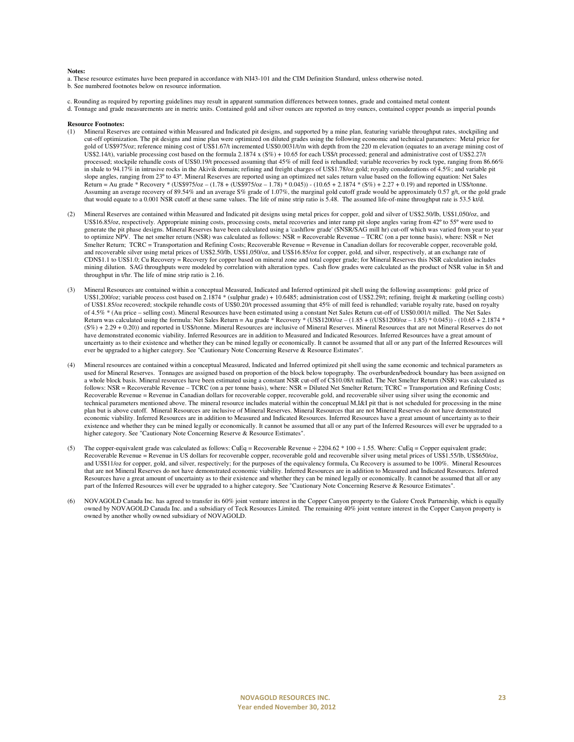#### **Notes:**

a. These resource estimates have been prepared in accordance with NI43-101 and the CIM Definition Standard, unless otherwise noted. b. See numbered footnotes below on resource information.

c. Rounding as required by reporting guidelines may result in apparent summation differences between tonnes, grade and contained metal content d. Tonnage and grade measurements are in metric units. Contained gold and silver ounces are reported as troy ounces, contained copper pounds as imperial pounds

#### **Resource Footnotes:**

- (1) Mineral Reserves are contained within Measured and Indicated pit designs, and supported by a mine plan, featuring variable throughput rates, stockpiling and cut-off optimization. The pit designs and mine plan were optimized on diluted grades using the following economic and technical parameters: Metal price for gold of US\$975/oz; reference mining cost of US\$1.67/t incremented US\$0.0031/t/m with depth from the 220 m elevation (equates to an average mining cost of US\$2.14/t), variable processing cost based on the formula 2.1874 x (S%) + 10.65 for each US\$/t processed; general and administrative cost of US\$2.27/t processed; stockpile rehandle costs of US\$0.19/t processed assuming that 45% of mill feed is rehandled; variable recoveries by rock type, ranging from 86.66% in shale to 94.17% in intrusive rocks in the Akivik domain; refining and freight charges of US\$1.78/oz gold; royalty considerations of 4.5%; and variable pit slope angles, ranging from 23º to 43º. Mineral Reserves are reported using an optimized net sales return value based on the following equation: Net Sales Return = Au grade \* Recovery \* (US\$975/oz – (1.78 + (US\$975/oz – 1.78) \* 0.045)) - (10.65 + 2.1874 \* (S%) + 2.27 + 0.19) and reported in US\$/tonne. Assuming an average recovery of 89.54% and an average S% grade of  $1.07\%$ , the marginal gold cutoff grade would be approximately 0.57 g/t, or the gold grade that would equate to a 0.001 NSR cutoff at these same values. The life of mine strip ratio is 5.48. The assumed life-of-mine throughput rate is 53.5 kt/d.
- (2) Mineral Reserves are contained within Measured and Indicated pit designs using metal prices for copper, gold and silver of US\$2.50/lb, US\$1,050/oz, and US\$16.85/oz, respectively. Appropriate mining costs, processing costs, metal recoveries and inter ramp pit slope angles varing from 42º to 55º were used to generate the pit phase designs. Mineral Reserves have been calculated using a 'cashflow grade' (\$NSR/SAG mill hr) cut-off which was varied from year to year to optimize NPV. The net smelter return (NSR) was calculated as follows: NSR = Recoverable Revenue – TCRC (on a per tonne basis), where: NSR = Net Smelter Return; TCRC = Transportation and Refining Costs; Recoverable Revenue = Revenue in Canadian dollars for recoverable copper, recoverable gold, and recoverable silver using metal prices of US\$2.50/lb, US\$1,050/oz, and US\$16.85/oz for copper, gold, and silver, respectively, at an exchange rate of CDN\$1.1 to US\$1.0; Cu Recovery = Recovery for copper based on mineral zone and total copper grade; for Mineral Reserves this NSR calculation includes mining dilution. SAG throughputs were modeled by correlation with alteration types. Cash flow grades were calculated as the product of NSR value in \$/t and throughput in t/hr. The life of mine strip ratio is 2.16.
- (3) Mineral Resources are contained within a conceptual Measured, Indicated and Inferred optimized pit shell using the following assumptions: gold price of US\$1,200/oz; variable process cost based on 2.1874 \* (sulphur grade) + 10.6485; administration cost of US\$2.29/t; refining, freight & marketing (selling costs) of US\$1.85/oz recovered; stockpile rehandle costs of US\$0.20/t processed assuming that 45% of mill feed is rehandled; variable royalty rate, based on royalty of 4.5% \* (Au price – selling cost). Mineral Resources have been estimated using a constant Net Sales Return cut-off of US\$0.001/t milled. The Net Sales Return was calculated using the formula: Net Sales Return = Au grade \* Recovery \* (US\$1200/oz – (1.85 + ((US\$1200/oz – 1.85) \* 0.045)) - (10.65 + 2.1874 \* (S%) + 2.29 + 0.20)) and reported in US\$/tonne. Mineral Resources are inclusive of Mineral Reserves. Mineral Resources that are not Mineral Reserves do not have demonstrated economic viability. Inferred Resources are in addition to Measured and Indicated Resources. Inferred Resources have a great amount of uncertainty as to their existence and whether they can be mined legally or economically. It cannot be assumed that all or any part of the Inferred Resources will ever be upgraded to a higher category. See "Cautionary Note Concerning Reserve & Resource Estimates".
- (4) Mineral resources are contained within a conceptual Measured, Indicated and Inferred optimized pit shell using the same economic and technical parameters as used for Mineral Reserves. Tonnages are assigned based on proportion of the block below topography. The overburden/bedrock boundary has been assigned on a whole block basis. Mineral resources have been estimated using a constant NSR cut-off of C\$10.08/t milled. The Net Smelter Return (NSR) was calculated as follows: NSR = Recoverable Revenue – TCRC (on a per tonne basis), where: NSR = Diluted Net Smelter Return; TCRC = Transportation and Refining Costs; Recoverable Revenue = Revenue in Canadian dollars for recoverable copper, recoverable gold, and recoverable silver using silver using the economic and technical parameters mentioned above. The mineral resource includes material within the conceptual M,I&I pit that is not scheduled for processing in the mine plan but is above cutoff. Mineral Resources are inclusive of Mineral Reserves. Mineral Resources that are not Mineral Reserves do not have demonstrated economic viability. Inferred Resources are in addition to Measured and Indicated Resources. Inferred Resources have a great amount of uncertainty as to their existence and whether they can be mined legally or economically. It cannot be assumed that all or any part of the Inferred Resources will ever be upgraded to a higher category. See "Cautionary Note Concerning Reserve & Resource Estimates".
- (5) The copper-equivalent grade was calculated as follows: CuEq = Recoverable Revenue  $\div$  2204.62  $*$  100  $\div$  1.55. Where: CuEq = Copper equivalent grade; Recoverable Revenue = Revenue in US dollars for recoverable copper, recoverable gold and recoverable silver using metal prices of US\$1.55/lb, US\$650/oz, and US\$11/oz for copper, gold, and silver, respectively; for the purposes of the equivalency formula, Cu Recovery is assumed to be 100%. Mineral Resources that are not Mineral Reserves do not have demonstrated economic viability. Inferred Resources are in addition to Measured and Indicated Resources. Inferred Resources have a great amount of uncertainty as to their existence and whether they can be mined legally or economically. It cannot be assumed that all or any Resources have a great amount of uncertainty as to their existe part of the Inferred Resources will ever be upgraded to a higher category. See "Cautionary Note Concerning Reserve & Resource Estimates".
- (6) NOVAGOLD Canada Inc. has agreed to transfer its 60% joint venture interest in the Copper Canyon property to the Galore Creek Partnership, which is equally owned by NOVAGOLD Canada Inc. and a subsidiary of Teck Resources Limited. The remaining 40% joint venture interest in the Copper Canyon property is owned by another wholly owned subsidiary of NOVAGOLD.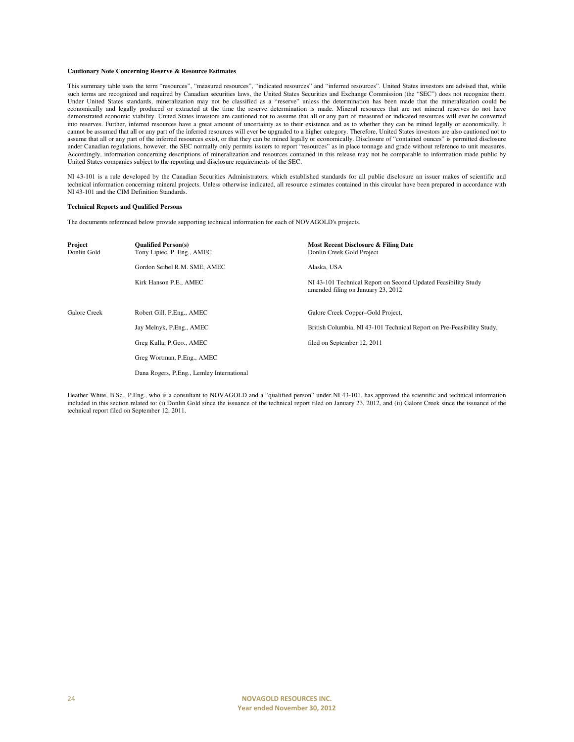#### **Cautionary Note Concerning Reserve & Resource Estimates**

 This summary table uses the term "resources", "measured resources", "indicated resources" and "inferred resources". United States investors are advised that, while such terms are recognized and required by Canadian securities laws, the United States Securities and Exchange Commission (the "SEC") does not recognize them. Under United States standards, mineralization may not be classified as a "reserve" unless the determination has been made that the mineralization could be economically and legally produced or extracted at the time the reserve determination is made. Mineral resources that are not mineral reserves do not have demonstrated economic viability. United States investors are cautioned not to assume that all or any part of measured or indicated resources will ever be converted into reserves. Further, inferred resources have a great amount of uncertainty as to their existence and as to whether they can be mined legally or economically. It cannot be assumed that all or any part of the inferred resources will ever be upgraded to a higher category. Therefore, United States investors are also cautioned not to assume that all or any part of the inferred resources exist, or that they can be mined legally or economically. Disclosure of "contained ounces" is permitted disclosure under Canadian regulations, however, the SEC normally only permits issuers to report "resources" as in place tonnage and grade without reference to unit measures. Accordingly, information concerning descriptions of mineralization and resources contained in this release may not be comparable to information made public by United States companies subject to the reporting and disclosure requirements of the SEC.

NI 43-101 is a rule developed by the Canadian Securities Administrators, which established standards for all public disclosure an issuer makes of scientific and technical information concerning mineral projects. Unless otherwise indicated, all resource estimates contained in this circular have been prepared in accordance with NI 43-101 and the CIM Definition Standards.

#### **Technical Reports and Qualified Persons**

The documents referenced below provide supporting technical information for each of NOVAGOLD's projects.

| Project<br>Donlin Gold | <b>Qualified Person(s)</b><br>Tony Lipiec, P. Eng., AMEC | Most Recent Disclosure & Filing Date<br>Donlin Creek Gold Project                                    |
|------------------------|----------------------------------------------------------|------------------------------------------------------------------------------------------------------|
|                        | Gordon Seibel R.M. SME, AMEC                             | Alaska, USA                                                                                          |
|                        | Kirk Hanson P.E., AMEC                                   | NI 43-101 Technical Report on Second Updated Feasibility Study<br>amended filing on January 23, 2012 |
| Galore Creek           | Robert Gill, P.Eng., AMEC                                | Galore Creek Copper–Gold Project,                                                                    |
|                        | Jay Melnyk, P.Eng., AMEC                                 | British Columbia, NI 43-101 Technical Report on Pre-Feasibility Study,                               |
|                        | Greg Kulla, P.Geo., AMEC                                 | filed on September 12, 2011                                                                          |
|                        | Greg Wortman, P.Eng., AMEC                               |                                                                                                      |
|                        | Dana Rogers, P.Eng., Lemley International                |                                                                                                      |

Heather White, B.Sc., P.Eng., who is a consultant to NOVAGOLD and a "qualified person" under NI 43-101, has approved the scientific and technical information included in this section related to: (i) Donlin Gold since the issuance of the technical report filed on January 23, 2012, and (ii) Galore Creek since the issuance of the technical report filed on September 12, 2011.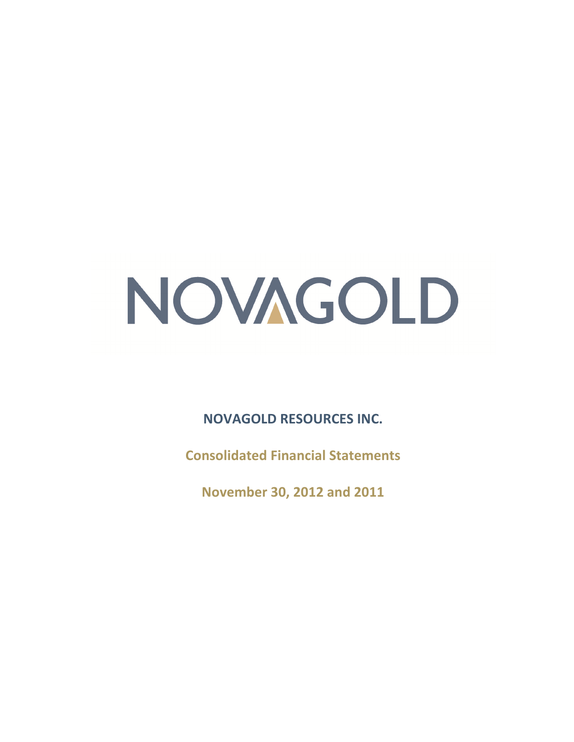# NOVAGOLD

NOVAGOLD RESOURCES INC.

Consolidated Financial Statements

November 30, 2012 and 2011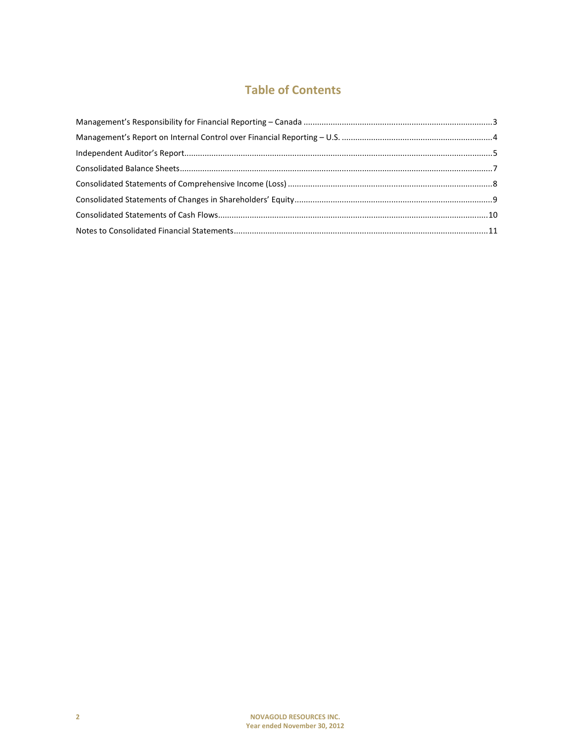# Table of Contents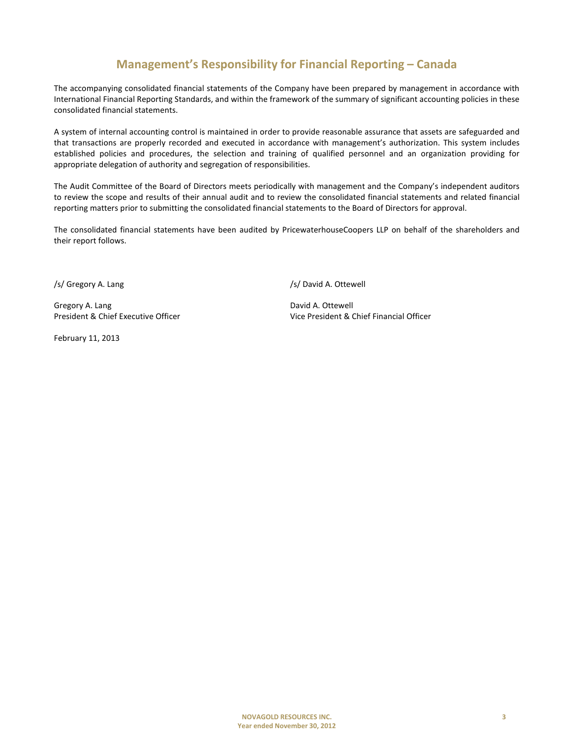# Management's Responsibility for Financial Reporting – Canada

The accompanying consolidated financial statements of the Company have been prepared by management in accordance with International Financial Reporting Standards, and within the framework of the summary of significant accounting policies in these consolidated financial statements.

A system of internal accounting control is maintained in order to provide reasonable assurance that assets are safeguarded and that transactions are properly recorded and executed in accordance with management's authorization. This system includes established policies and procedures, the selection and training of qualified personnel and an organization providing for appropriate delegation of authority and segregation of responsibilities.

The Audit Committee of the Board of Directors meets periodically with management and the Company's independent auditors to review the scope and results of their annual audit and to review the consolidated financial statements and related financial reporting matters prior to submitting the consolidated financial statements to the Board of Directors for approval.

The consolidated financial statements have been audited by PricewaterhouseCoopers LLP on behalf of the shareholders and their report follows.

Gregory A. Lang **David A. Ottewell** 

/s/ Gregory A. Lang /s/ David A. Ottewell

President & Chief Executive Officer Vice President & Chief Financial Officer

February 11, 2013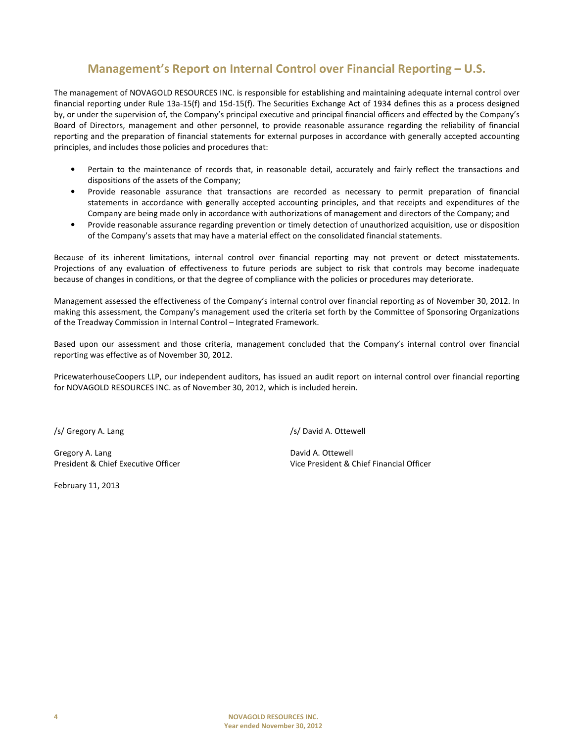# Management's Report on Internal Control over Financial Reporting – U.S.

The management of NOVAGOLD RESOURCES INC. is responsible for establishing and maintaining adequate internal control over financial reporting under Rule 13a-15(f) and 15d-15(f). The Securities Exchange Act of 1934 defines this as a process designed by, or under the supervision of, the Company's principal executive and principal financial officers and effected by the Company's Board of Directors, management and other personnel, to provide reasonable assurance regarding the reliability of financial reporting and the preparation of financial statements for external purposes in accordance with generally accepted accounting principles, and includes those policies and procedures that:

- Pertain to the maintenance of records that, in reasonable detail, accurately and fairly reflect the transactions and dispositions of the assets of the Company;
- Provide reasonable assurance that transactions are recorded as necessary to permit preparation of financial statements in accordance with generally accepted accounting principles, and that receipts and expenditures of the Company are being made only in accordance with authorizations of management and directors of the Company; and
- Provide reasonable assurance regarding prevention or timely detection of unauthorized acquisition, use or disposition of the Company's assets that may have a material effect on the consolidated financial statements.

Because of its inherent limitations, internal control over financial reporting may not prevent or detect misstatements. Projections of any evaluation of effectiveness to future periods are subject to risk that controls may become inadequate because of changes in conditions, or that the degree of compliance with the policies or procedures may deteriorate.

Management assessed the effectiveness of the Company's internal control over financial reporting as of November 30, 2012. In making this assessment, the Company's management used the criteria set forth by the Committee of Sponsoring Organizations of the Treadway Commission in Internal Control – Integrated Framework.

Based upon our assessment and those criteria, management concluded that the Company's internal control over financial reporting was effective as of November 30, 2012.

PricewaterhouseCoopers LLP, our independent auditors, has issued an audit report on internal control over financial reporting for NOVAGOLD RESOURCES INC. as of November 30, 2012, which is included herein.

Gregory A. Lang **David A. Ottewell** 

/s/ Gregory A. Lang /s/ David A. Ottewell

President & Chief Executive Officer Vice President & Chief Financial Officer

February 11, 2013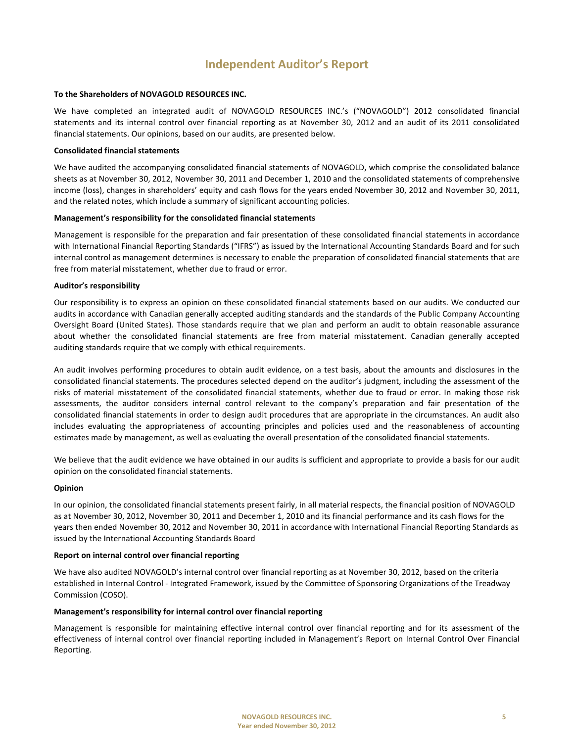# Independent Auditor's Report

#### To the Shareholders of NOVAGOLD RESOURCES INC.

We have completed an integrated audit of NOVAGOLD RESOURCES INC.'s ("NOVAGOLD") 2012 consolidated financial statements and its internal control over financial reporting as at November 30, 2012 and an audit of its 2011 consolidated financial statements. Our opinions, based on our audits, are presented below.

#### Consolidated financial statements

We have audited the accompanying consolidated financial statements of NOVAGOLD, which comprise the consolidated balance sheets as at November 30, 2012, November 30, 2011 and December 1, 2010 and the consolidated statements of comprehensive income (loss), changes in shareholders' equity and cash flows for the years ended November 30, 2012 and November 30, 2011, and the related notes, which include a summary of significant accounting policies.

### Management's responsibility for the consolidated financial statements

Management is responsible for the preparation and fair presentation of these consolidated financial statements in accordance with International Financial Reporting Standards ("IFRS") as issued by the International Accounting Standards Board and for such internal control as management determines is necessary to enable the preparation of consolidated financial statements that are free from material misstatement, whether due to fraud or error.

#### Auditor's responsibility

Our responsibility is to express an opinion on these consolidated financial statements based on our audits. We conducted our audits in accordance with Canadian generally accepted auditing standards and the standards of the Public Company Accounting Oversight Board (United States). Those standards require that we plan and perform an audit to obtain reasonable assurance about whether the consolidated financial statements are free from material misstatement. Canadian generally accepted auditing standards require that we comply with ethical requirements.

An audit involves performing procedures to obtain audit evidence, on a test basis, about the amounts and disclosures in the consolidated financial statements. The procedures selected depend on the auditor's judgment, including the assessment of the risks of material misstatement of the consolidated financial statements, whether due to fraud or error. In making those risk assessments, the auditor considers internal control relevant to the company's preparation and fair presentation of the consolidated financial statements in order to design audit procedures that are appropriate in the circumstances. An audit also includes evaluating the appropriateness of accounting principles and policies used and the reasonableness of accounting estimates made by management, as well as evaluating the overall presentation of the consolidated financial statements.

We believe that the audit evidence we have obtained in our audits is sufficient and appropriate to provide a basis for our audit opinion on the consolidated financial statements.

## Opinion

In our opinion, the consolidated financial statements present fairly, in all material respects, the financial position of NOVAGOLD as at November 30, 2012, November 30, 2011 and December 1, 2010 and its financial performance and its cash flows for the years then ended November 30, 2012 and November 30, 2011 in accordance with International Financial Reporting Standards as issued by the International Accounting Standards Board

#### Report on internal control over financial reporting

We have also audited NOVAGOLD's internal control over financial reporting as at November 30, 2012, based on the criteria established in Internal Control - Integrated Framework, issued by the Committee of Sponsoring Organizations of the Treadway Commission (COSO).

#### Management's responsibility for internal control over financial reporting

Management is responsible for maintaining effective internal control over financial reporting and for its assessment of the effectiveness of internal control over financial reporting included in Management's Report on Internal Control Over Financial Reporting.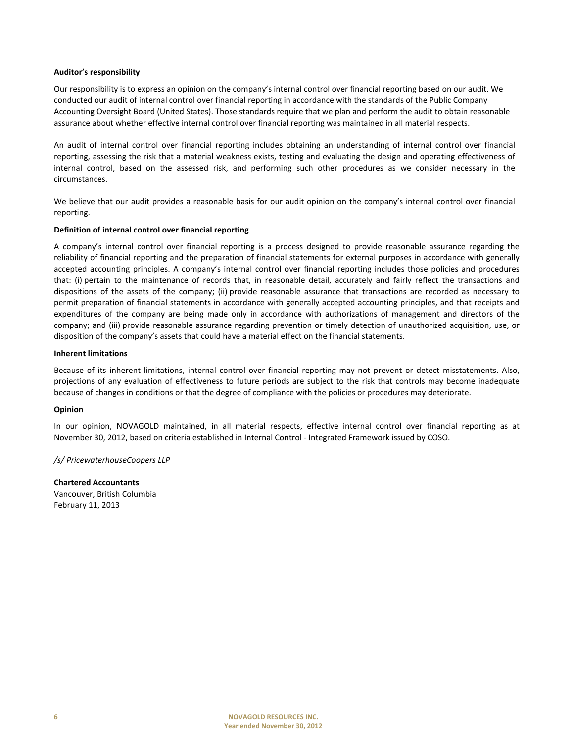## Auditor's responsibility

Our responsibility is to express an opinion on the company's internal control over financial reporting based on our audit. We conducted our audit of internal control over financial reporting in accordance with the standards of the Public Company Accounting Oversight Board (United States). Those standards require that we plan and perform the audit to obtain reasonable assurance about whether effective internal control over financial reporting was maintained in all material respects.

An audit of internal control over financial reporting includes obtaining an understanding of internal control over financial reporting, assessing the risk that a material weakness exists, testing and evaluating the design and operating effectiveness of internal control, based on the assessed risk, and performing such other procedures as we consider necessary in the circumstances.

We believe that our audit provides a reasonable basis for our audit opinion on the company's internal control over financial reporting.

#### Definition of internal control over financial reporting

A company's internal control over financial reporting is a process designed to provide reasonable assurance regarding the reliability of financial reporting and the preparation of financial statements for external purposes in accordance with generally accepted accounting principles. A company's internal control over financial reporting includes those policies and procedures that: (i) pertain to the maintenance of records that, in reasonable detail, accurately and fairly reflect the transactions and dispositions of the assets of the company; (ii) provide reasonable assurance that transactions are recorded as necessary to permit preparation of financial statements in accordance with generally accepted accounting principles, and that receipts and expenditures of the company are being made only in accordance with authorizations of management and directors of the company; and (iii) provide reasonable assurance regarding prevention or timely detection of unauthorized acquisition, use, or disposition of the company's assets that could have a material effect on the financial statements.

#### Inherent limitations

Because of its inherent limitations, internal control over financial reporting may not prevent or detect misstatements. Also, projections of any evaluation of effectiveness to future periods are subject to the risk that controls may become inadequate because of changes in conditions or that the degree of compliance with the policies or procedures may deteriorate.

## Opinion

In our opinion, NOVAGOLD maintained, in all material respects, effective internal control over financial reporting as at November 30, 2012, based on criteria established in Internal Control - Integrated Framework issued by COSO.

/s/ PricewaterhouseCoopers LLP

Chartered Accountants Vancouver, British Columbia February 11, 2013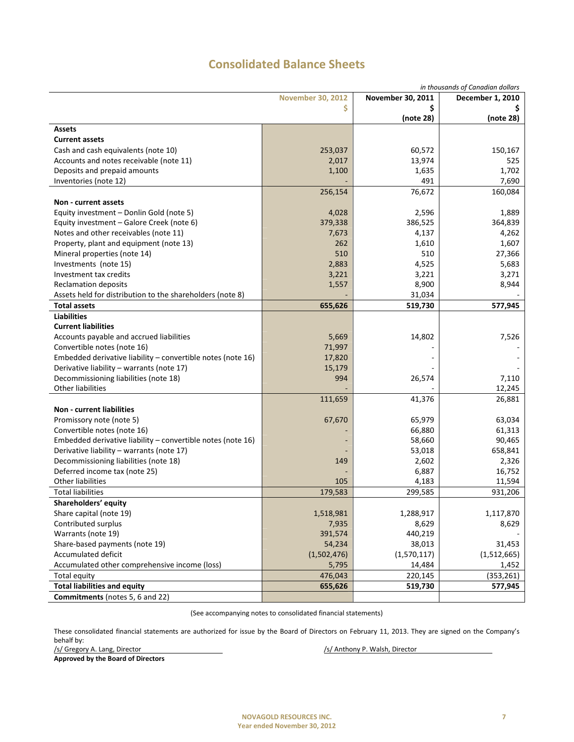| <b>Consolidated Balance Sheets</b> |  |
|------------------------------------|--|
|------------------------------------|--|

| in thousands of Canadian dollars                            |                          |                   |                  |  |
|-------------------------------------------------------------|--------------------------|-------------------|------------------|--|
|                                                             | <b>November 30, 2012</b> | November 30, 2011 | December 1, 2010 |  |
|                                                             | Ś                        | Ś.                |                  |  |
|                                                             |                          | (note 28)         | (note 28)        |  |
| <b>Assets</b>                                               |                          |                   |                  |  |
| <b>Current assets</b>                                       |                          |                   |                  |  |
| Cash and cash equivalents (note 10)                         | 253,037                  | 60,572            | 150,167          |  |
| Accounts and notes receivable (note 11)                     | 2,017                    | 13,974            | 525              |  |
| Deposits and prepaid amounts                                | 1,100                    | 1,635             | 1,702            |  |
| Inventories (note 12)                                       |                          | 491               | 7,690            |  |
|                                                             | 256,154                  | 76,672            | 160,084          |  |
| Non - current assets                                        |                          |                   |                  |  |
| Equity investment - Donlin Gold (note 5)                    | 4,028                    | 2,596             | 1,889            |  |
| Equity investment - Galore Creek (note 6)                   | 379,338                  | 386,525           | 364,839          |  |
| Notes and other receivables (note 11)                       | 7,673                    | 4,137             | 4,262            |  |
| Property, plant and equipment (note 13)                     | 262                      | 1,610             | 1,607            |  |
| Mineral properties (note 14)                                | 510                      | 510               | 27,366           |  |
| Investments (note 15)                                       | 2,883                    | 4,525             | 5,683            |  |
| Investment tax credits                                      | 3,221                    | 3,221             | 3,271            |  |
| <b>Reclamation deposits</b>                                 | 1,557                    | 8,900             | 8,944            |  |
| Assets held for distribution to the shareholders (note 8)   |                          | 31,034            |                  |  |
| <b>Total assets</b>                                         | 655,626                  | 519,730           | 577,945          |  |
| <b>Liabilities</b>                                          |                          |                   |                  |  |
| <b>Current liabilities</b>                                  |                          |                   |                  |  |
| Accounts payable and accrued liabilities                    | 5,669                    | 14,802            | 7,526            |  |
| Convertible notes (note 16)                                 | 71,997                   |                   |                  |  |
| Embedded derivative liability - convertible notes (note 16) | 17,820                   |                   |                  |  |
| Derivative liability - warrants (note 17)                   | 15,179                   |                   |                  |  |
| Decommissioning liabilities (note 18)                       | 994                      | 26,574            | 7,110            |  |
| Other liabilities                                           |                          |                   | 12,245           |  |
|                                                             | 111,659                  | 41,376            | 26,881           |  |
| <b>Non - current liabilities</b>                            |                          |                   |                  |  |
| Promissory note (note 5)                                    | 67,670                   | 65,979            | 63,034           |  |
| Convertible notes (note 16)                                 |                          | 66,880            | 61,313           |  |
| Embedded derivative liability - convertible notes (note 16) |                          | 58,660            | 90,465           |  |
| Derivative liability - warrants (note 17)                   |                          | 53,018            | 658,841          |  |
| Decommissioning liabilities (note 18)                       | 149                      | 2,602             | 2,326            |  |
| Deferred income tax (note 25)<br><b>Other liabilities</b>   |                          | 6,887             | 16,752           |  |
|                                                             | 105                      | 4,183             | 11,594           |  |
| <b>Total liabilities</b>                                    | 179,583                  | 299,585           | 931,206          |  |
| Shareholders' equity                                        |                          |                   |                  |  |
| Share capital (note 19)                                     | 1,518,981                | 1,288,917         | 1,117,870        |  |
| Contributed surplus                                         | 7,935                    | 8,629             | 8,629            |  |
| Warrants (note 19)                                          | 391,574                  | 440,219           |                  |  |
| Share-based payments (note 19)                              | 54,234                   | 38,013            | 31,453           |  |
| <b>Accumulated deficit</b>                                  | (1,502,476)              | (1,570,117)       | (1,512,665)      |  |
| Accumulated other comprehensive income (loss)               | 5,795                    | 14,484            | 1,452            |  |
| Total equity                                                | 476,043                  | 220,145           | (353, 261)       |  |
| <b>Total liabilities and equity</b>                         | 655,626                  | 519,730           | 577,945          |  |
| Commitments (notes 5, 6 and 22)                             |                          |                   |                  |  |

(See accompanying notes to consolidated financial statements)

These consolidated financial statements are authorized for issue by the Board of Directors on February 11, 2013. They are signed on the Company's behalf by:

/s/ Gregory A. Lang, Director /s/ Anthony P. Walsh, Director

Approved by the Board of Directors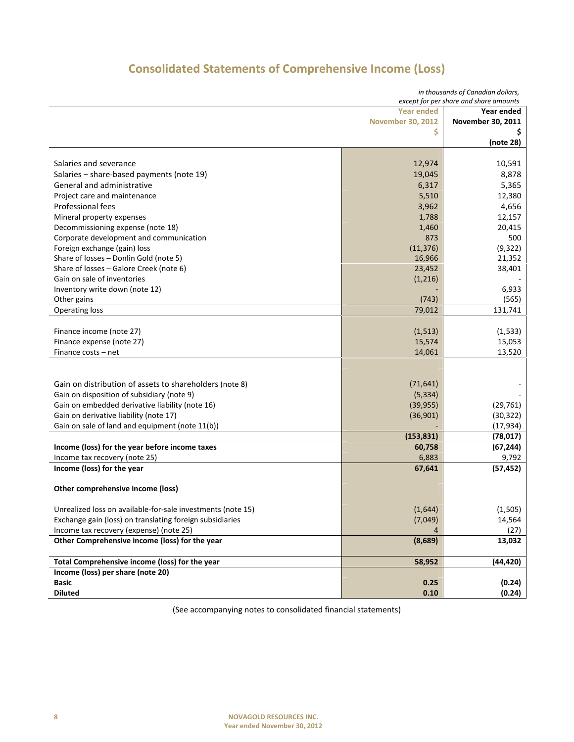# Consolidated Statements of Comprehensive Income (Loss)

|                                                                              |                          | in thousands of Canadian dollars,      |
|------------------------------------------------------------------------------|--------------------------|----------------------------------------|
|                                                                              |                          | except for per share and share amounts |
|                                                                              | <b>Year ended</b>        | Year ended                             |
|                                                                              | <b>November 30, 2012</b> | November 30, 2011                      |
|                                                                              | \$                       | (note 28)                              |
|                                                                              |                          |                                        |
| Salaries and severance                                                       | 12,974                   | 10,591                                 |
| Salaries – share-based payments (note 19)                                    | 19,045                   | 8,878                                  |
| General and administrative                                                   | 6,317                    | 5,365                                  |
| Project care and maintenance                                                 |                          |                                        |
| Professional fees                                                            | 5,510<br>3,962           | 12,380<br>4,656                        |
| Mineral property expenses                                                    |                          | 12,157                                 |
|                                                                              | 1,788<br>1,460           | 20,415                                 |
| Decommissioning expense (note 18)<br>Corporate development and communication | 873                      | 500                                    |
| Foreign exchange (gain) loss                                                 | (11, 376)                | (9, 322)                               |
| Share of losses - Donlin Gold (note 5)                                       | 16,966                   | 21,352                                 |
| Share of losses - Galore Creek (note 6)                                      | 23,452                   | 38,401                                 |
| Gain on sale of inventories                                                  | (1,216)                  |                                        |
| Inventory write down (note 12)                                               |                          | 6,933                                  |
| Other gains                                                                  | (743)                    | (565)                                  |
| <b>Operating loss</b>                                                        | 79,012                   | 131,741                                |
|                                                                              |                          |                                        |
| Finance income (note 27)                                                     | (1,513)                  | (1, 533)                               |
| Finance expense (note 27)                                                    | 15,574                   | 15,053                                 |
| Finance costs - net                                                          | 14,061                   | 13,520                                 |
|                                                                              |                          |                                        |
|                                                                              |                          |                                        |
| Gain on distribution of assets to shareholders (note 8)                      | (71, 641)                |                                        |
| Gain on disposition of subsidiary (note 9)                                   | (5, 334)                 |                                        |
| Gain on embedded derivative liability (note 16)                              | (39, 955)                | (29, 761)                              |
| Gain on derivative liability (note 17)                                       | (36,901)                 | (30, 322)                              |
| Gain on sale of land and equipment (note 11(b))                              |                          | (17, 934)                              |
|                                                                              | (153, 831)               | (78, 017)                              |
| Income (loss) for the year before income taxes                               | 60,758                   | (67, 244)                              |
| Income tax recovery (note 25)                                                | 6,883                    | 9,792                                  |
| Income (loss) for the year                                                   | 67,641                   | (57, 452)                              |
|                                                                              |                          |                                        |
| Other comprehensive income (loss)                                            |                          |                                        |
| Unrealized loss on available-for-sale investments (note 15)                  | (1,644)                  | (1, 505)                               |
| Exchange gain (loss) on translating foreign subsidiaries                     | (7,049)                  | 14,564                                 |
| Income tax recovery (expense) (note 25)                                      |                          | (27)                                   |
| Other Comprehensive income (loss) for the year                               | (8,689)                  | 13,032                                 |
|                                                                              |                          |                                        |
| Total Comprehensive income (loss) for the year                               | 58,952                   | (44, 420)                              |
| Income (loss) per share (note 20)                                            |                          |                                        |
| <b>Basic</b>                                                                 | 0.25                     | (0.24)                                 |
| <b>Diluted</b>                                                               | 0.10                     | (0.24)                                 |

(See accompanying notes to consolidated financial statements)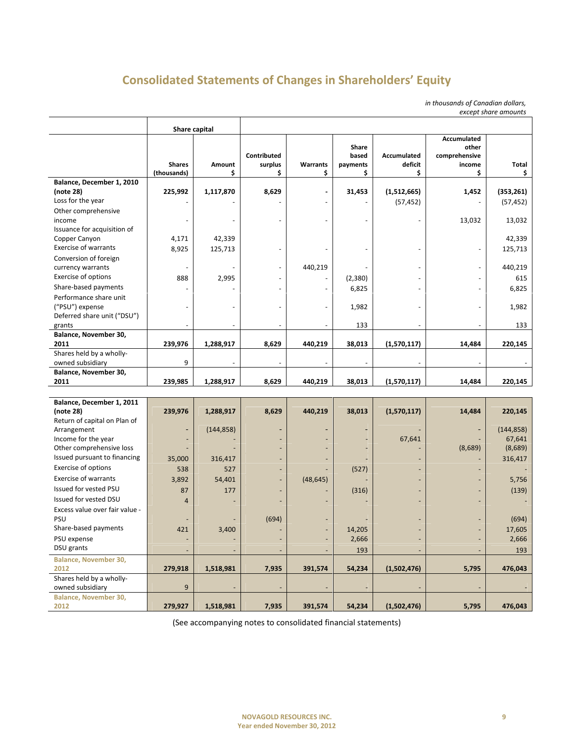# Consolidated Statements of Changes in Shareholders' Equity

in thousands of Canadian dollars, except share amounts

|                                              | Share capital                |              |                              |                |                                  |                              |                                                              |             |
|----------------------------------------------|------------------------------|--------------|------------------------------|----------------|----------------------------------|------------------------------|--------------------------------------------------------------|-------------|
|                                              | <b>Shares</b><br>(thousands) | Amount<br>\$ | Contributed<br>surplus<br>\$ | Warrants<br>\$ | Share<br>based<br>payments<br>\$ | Accumulated<br>deficit<br>\$ | <b>Accumulated</b><br>other<br>comprehensive<br>income<br>\$ | Total<br>\$ |
| Balance, December 1, 2010                    |                              |              |                              |                |                                  |                              |                                                              |             |
| (note 28)                                    | 225,992                      | 1,117,870    | 8,629                        |                | 31,453                           | (1,512,665)                  | 1,452                                                        | (353, 261)  |
| Loss for the year                            |                              |              |                              |                |                                  | (57, 452)                    |                                                              | (57, 452)   |
| Other comprehensive                          |                              |              |                              |                |                                  |                              |                                                              |             |
| income                                       |                              |              |                              |                |                                  |                              | 13,032                                                       | 13,032      |
| Issuance for acquisition of                  |                              |              |                              |                |                                  |                              |                                                              |             |
| Copper Canyon                                | 4,171                        | 42,339       |                              |                |                                  |                              |                                                              | 42,339      |
| <b>Exercise of warrants</b>                  | 8,925                        | 125,713      |                              |                |                                  |                              |                                                              | 125,713     |
| Conversion of foreign                        |                              |              |                              |                |                                  |                              |                                                              |             |
| currency warrants                            |                              |              |                              | 440,219        |                                  |                              |                                                              | 440,219     |
| <b>Exercise of options</b>                   | 888                          | 2,995        |                              |                | (2, 380)                         |                              |                                                              | 615         |
| Share-based payments                         |                              |              |                              |                | 6,825                            |                              |                                                              | 6,825       |
| Performance share unit                       |                              |              |                              |                |                                  |                              |                                                              |             |
| ("PSU") expense                              |                              |              |                              |                | 1,982                            |                              |                                                              | 1,982       |
| Deferred share unit ("DSU")                  |                              |              |                              |                |                                  |                              |                                                              |             |
| grants                                       |                              |              |                              |                | 133                              |                              |                                                              | 133         |
| Balance, November 30,                        |                              |              |                              |                |                                  |                              |                                                              |             |
| 2011                                         | 239,976                      | 1,288,917    | 8,629                        | 440,219        | 38,013                           | (1,570,117)                  | 14,484                                                       | 220,145     |
| Shares held by a wholly-<br>owned subsidiary | 9                            |              |                              |                |                                  |                              |                                                              |             |
| Balance, November 30,                        |                              |              |                              |                |                                  |                              |                                                              |             |
| 2011                                         | 239,985                      | 1,288,917    | 8,629                        | 440,219        | 38,013                           | (1,570,117)                  | 14,484                                                       | 220,145     |
|                                              |                              |              |                              |                |                                  |                              |                                                              |             |
| Balance, December 1, 2011                    |                              |              |                              |                |                                  |                              |                                                              |             |
| (note 28)                                    | 239,976                      | 1,288,917    | 8,629                        | 440,219        | 38,013                           | (1,570,117)                  | 14,484                                                       | 220,145     |
| Return of capital on Plan of                 |                              |              |                              |                |                                  |                              |                                                              |             |
| Arrangement                                  |                              | (144, 858)   |                              |                |                                  |                              |                                                              | (144, 858)  |
| Income for the year                          |                              |              |                              |                |                                  | 67,641                       |                                                              | 67,641      |
| Other comprehensive loss                     |                              |              |                              |                |                                  |                              | (8,689)                                                      | (8,689)     |
| Issued pursuant to financing                 | 35,000                       | 316,417      |                              |                |                                  |                              |                                                              | 316,417     |
| Exercise of options                          | 538                          | 527          |                              |                | (527)                            |                              |                                                              |             |
| <b>Exercise of warrants</b>                  | 3,892                        | 54,401       |                              | (48, 645)      |                                  |                              |                                                              | 5,756       |

(See accompanying notes to consolidated financial statements)

Issued for vested PSU 87 177 - - (316) - - (139) Issued for vested DSU 4 - - - - - - -

PSU - | - | - | (694) | - | - | - | - | - | (694) Share-based payments  $421$   $3,400$  - 14,205 - 14,205 PSU expense - - - - 2,666 - - 2,666 DSU grants - - - - 193 - - 193

2012 279,918 1,518,981 7,935 391,574 54,234 (1,502,476) 5,795 476,043

2012 279,927 1,518,981 7,935 391,574 54,234 (1,502,476) 5,795 476,043

Excess value over fair value -

Balance, November 30,

Shares held by a wholly-

Balance, November 30,

owned subsidiary **Party 19 and 19 and 19 and 19 and 19 and 19 and 19 and 19 and 19 and 19 and 19 and 19 and 19**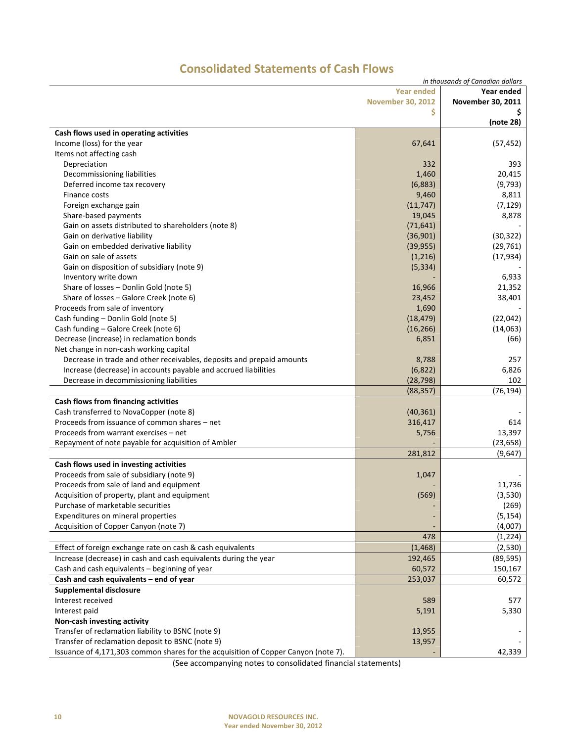# Consolidated Statements of Cash Flows

|                                                                                    |                          | in thousands of Canadian dollars |
|------------------------------------------------------------------------------------|--------------------------|----------------------------------|
|                                                                                    | <b>Year ended</b>        | Year ended                       |
|                                                                                    | <b>November 30, 2012</b> | November 30, 2011                |
|                                                                                    | \$                       |                                  |
|                                                                                    |                          | (note 28)                        |
| Cash flows used in operating activities                                            |                          |                                  |
| Income (loss) for the year                                                         | 67,641                   | (57, 452)                        |
| Items not affecting cash                                                           |                          |                                  |
| Depreciation                                                                       | 332                      | 393                              |
| Decommissioning liabilities                                                        | 1,460                    | 20,415                           |
| Deferred income tax recovery                                                       | (6,883)                  | (9, 793)                         |
| Finance costs                                                                      | 9,460                    | 8,811                            |
| Foreign exchange gain                                                              | (11, 747)                | (7, 129)                         |
| Share-based payments                                                               | 19,045                   | 8,878                            |
| Gain on assets distributed to shareholders (note 8)                                | (71, 641)                |                                  |
| Gain on derivative liability                                                       | (36,901)                 | (30, 322)                        |
| Gain on embedded derivative liability                                              | (39, 955)                | (29, 761)                        |
| Gain on sale of assets                                                             | (1, 216)                 | (17, 934)                        |
| Gain on disposition of subsidiary (note 9)                                         | (5, 334)                 |                                  |
| Inventory write down                                                               |                          | 6,933                            |
| Share of losses - Donlin Gold (note 5)                                             | 16,966                   | 21,352                           |
| Share of losses - Galore Creek (note 6)                                            | 23,452                   | 38,401                           |
| Proceeds from sale of inventory                                                    | 1,690                    |                                  |
| Cash funding - Donlin Gold (note 5)                                                | (18, 479)                | (22, 042)                        |
| Cash funding - Galore Creek (note 6)                                               | (16, 266)                | (14,063)                         |
| Decrease (increase) in reclamation bonds                                           | 6,851                    | (66)                             |
| Net change in non-cash working capital                                             |                          |                                  |
| Decrease in trade and other receivables, deposits and prepaid amounts              | 8,788                    | 257                              |
| Increase (decrease) in accounts payable and accrued liabilities                    | (6,822)                  | 6,826                            |
| Decrease in decommissioning liabilities                                            | (28, 798)                | 102                              |
|                                                                                    | (88, 357)                | (76, 194)                        |
| Cash flows from financing activities                                               |                          |                                  |
| Cash transferred to NovaCopper (note 8)                                            | (40, 361)                |                                  |
| Proceeds from issuance of common shares - net                                      | 316,417                  | 614                              |
| Proceeds from warrant exercises - net                                              | 5,756                    | 13,397                           |
| Repayment of note payable for acquisition of Ambler                                |                          | (23, 658)                        |
|                                                                                    | 281,812                  | (9,647)                          |
| Cash flows used in investing activities                                            |                          |                                  |
| Proceeds from sale of subsidiary (note 9)                                          | 1,047                    |                                  |
| Proceeds from sale of land and equipment                                           |                          | 11,736                           |
| Acquisition of property, plant and equipment                                       | (569)                    | (3,530)                          |
| Purchase of marketable securities                                                  |                          | (269)                            |
| Expenditures on mineral properties                                                 |                          | (5, 154)                         |
| Acquisition of Copper Canyon (note 7)                                              |                          | (4,007)                          |
|                                                                                    | 478                      | (1, 224)                         |
| Effect of foreign exchange rate on cash & cash equivalents                         | (1, 468)                 | (2,530)                          |
| Increase (decrease) in cash and cash equivalents during the year                   | 192,465                  | (89, 595)                        |
| Cash and cash equivalents - beginning of year                                      | 60,572                   | 150,167                          |
| Cash and cash equivalents - end of year                                            | 253,037                  | 60,572                           |
| <b>Supplemental disclosure</b>                                                     |                          |                                  |
| Interest received                                                                  | 589                      | 577                              |
| Interest paid                                                                      | 5,191                    | 5,330                            |
| Non-cash investing activity                                                        |                          |                                  |
| Transfer of reclamation liability to BSNC (note 9)                                 | 13,955                   |                                  |
| Transfer of reclamation deposit to BSNC (note 9)                                   | 13,957                   |                                  |
| Issuance of 4,171,303 common shares for the acquisition of Copper Canyon (note 7). |                          | 42,339                           |

(See accompanying notes to consolidated financial statements)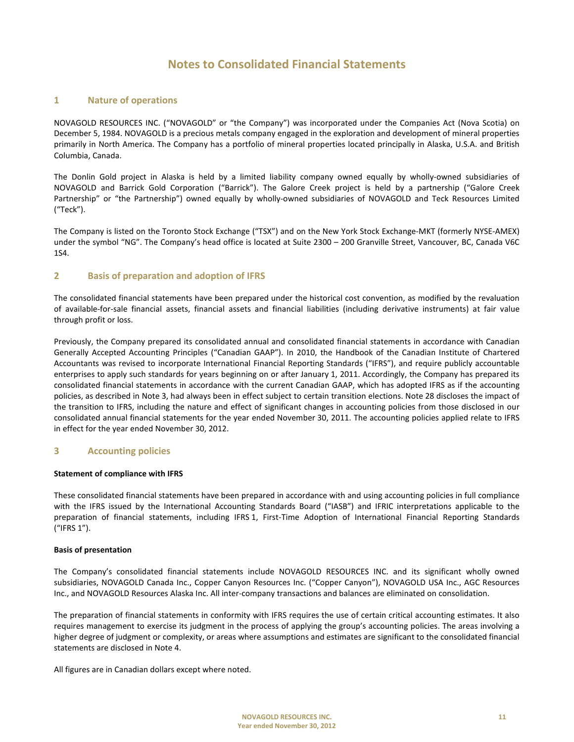# 1 Nature of operations

NOVAGOLD RESOURCES INC. ("NOVAGOLD" or "the Company") was incorporated under the Companies Act (Nova Scotia) on December 5, 1984. NOVAGOLD is a precious metals company engaged in the exploration and development of mineral properties primarily in North America. The Company has a portfolio of mineral properties located principally in Alaska, U.S.A. and British Columbia, Canada.

The Donlin Gold project in Alaska is held by a limited liability company owned equally by wholly-owned subsidiaries of NOVAGOLD and Barrick Gold Corporation ("Barrick"). The Galore Creek project is held by a partnership ("Galore Creek Partnership" or "the Partnership") owned equally by wholly-owned subsidiaries of NOVAGOLD and Teck Resources Limited ("Teck").

The Company is listed on the Toronto Stock Exchange ("TSX") and on the New York Stock Exchange-MKT (formerly NYSE-AMEX) under the symbol "NG". The Company's head office is located at Suite 2300 – 200 Granville Street, Vancouver, BC, Canada V6C 1S4.

# 2 Basis of preparation and adoption of IFRS

The consolidated financial statements have been prepared under the historical cost convention, as modified by the revaluation of available-for-sale financial assets, financial assets and financial liabilities (including derivative instruments) at fair value through profit or loss.

Previously, the Company prepared its consolidated annual and consolidated financial statements in accordance with Canadian Generally Accepted Accounting Principles ("Canadian GAAP"). In 2010, the Handbook of the Canadian Institute of Chartered Accountants was revised to incorporate International Financial Reporting Standards ("IFRS"), and require publicly accountable enterprises to apply such standards for years beginning on or after January 1, 2011. Accordingly, the Company has prepared its consolidated financial statements in accordance with the current Canadian GAAP, which has adopted IFRS as if the accounting policies, as described in Note 3, had always been in effect subject to certain transition elections. Note 28 discloses the impact of the transition to IFRS, including the nature and effect of significant changes in accounting policies from those disclosed in our consolidated annual financial statements for the year ended November 30, 2011. The accounting policies applied relate to IFRS in effect for the year ended November 30, 2012.

## 3 Accounting policies

## Statement of compliance with IFRS

These consolidated financial statements have been prepared in accordance with and using accounting policies in full compliance with the IFRS issued by the International Accounting Standards Board ("IASB") and IFRIC interpretations applicable to the preparation of financial statements, including IFRS 1, First-Time Adoption of International Financial Reporting Standards ("IFRS 1").

## Basis of presentation

The Company's consolidated financial statements include NOVAGOLD RESOURCES INC. and its significant wholly owned subsidiaries, NOVAGOLD Canada Inc., Copper Canyon Resources Inc. ("Copper Canyon"), NOVAGOLD USA Inc., AGC Resources Inc., and NOVAGOLD Resources Alaska Inc. All inter-company transactions and balances are eliminated on consolidation.

The preparation of financial statements in conformity with IFRS requires the use of certain critical accounting estimates. It also requires management to exercise its judgment in the process of applying the group's accounting policies. The areas involving a higher degree of judgment or complexity, or areas where assumptions and estimates are significant to the consolidated financial statements are disclosed in Note 4.

All figures are in Canadian dollars except where noted.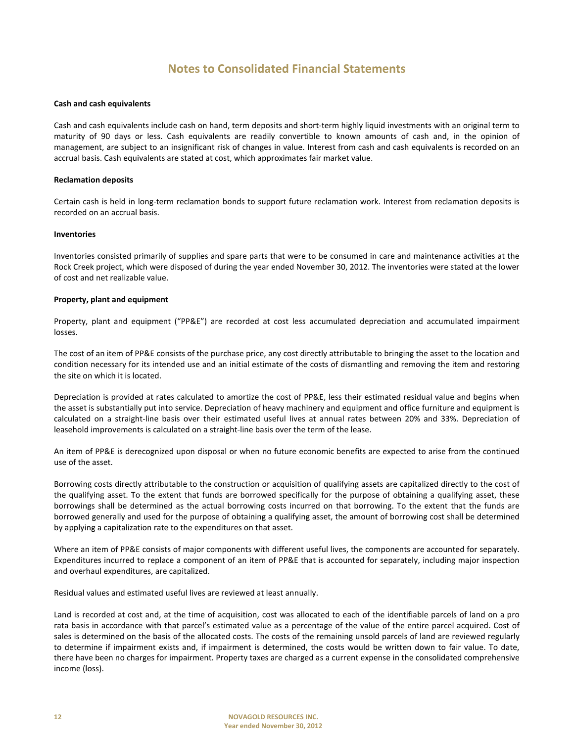#### Cash and cash equivalents

Cash and cash equivalents include cash on hand, term deposits and short-term highly liquid investments with an original term to maturity of 90 days or less. Cash equivalents are readily convertible to known amounts of cash and, in the opinion of management, are subject to an insignificant risk of changes in value. Interest from cash and cash equivalents is recorded on an accrual basis. Cash equivalents are stated at cost, which approximates fair market value.

#### Reclamation deposits

Certain cash is held in long-term reclamation bonds to support future reclamation work. Interest from reclamation deposits is recorded on an accrual basis.

#### Inventories

Inventories consisted primarily of supplies and spare parts that were to be consumed in care and maintenance activities at the Rock Creek project, which were disposed of during the year ended November 30, 2012. The inventories were stated at the lower of cost and net realizable value.

#### Property, plant and equipment

Property, plant and equipment ("PP&E") are recorded at cost less accumulated depreciation and accumulated impairment losses.

The cost of an item of PP&E consists of the purchase price, any cost directly attributable to bringing the asset to the location and condition necessary for its intended use and an initial estimate of the costs of dismantling and removing the item and restoring the site on which it is located.

Depreciation is provided at rates calculated to amortize the cost of PP&E, less their estimated residual value and begins when the asset is substantially put into service. Depreciation of heavy machinery and equipment and office furniture and equipment is calculated on a straight-line basis over their estimated useful lives at annual rates between 20% and 33%. Depreciation of leasehold improvements is calculated on a straight-line basis over the term of the lease.

An item of PP&E is derecognized upon disposal or when no future economic benefits are expected to arise from the continued use of the asset.

Borrowing costs directly attributable to the construction or acquisition of qualifying assets are capitalized directly to the cost of the qualifying asset. To the extent that funds are borrowed specifically for the purpose of obtaining a qualifying asset, these borrowings shall be determined as the actual borrowing costs incurred on that borrowing. To the extent that the funds are borrowed generally and used for the purpose of obtaining a qualifying asset, the amount of borrowing cost shall be determined by applying a capitalization rate to the expenditures on that asset.

Where an item of PP&E consists of major components with different useful lives, the components are accounted for separately. Expenditures incurred to replace a component of an item of PP&E that is accounted for separately, including major inspection and overhaul expenditures, are capitalized.

Residual values and estimated useful lives are reviewed at least annually.

Land is recorded at cost and, at the time of acquisition, cost was allocated to each of the identifiable parcels of land on a pro rata basis in accordance with that parcel's estimated value as a percentage of the value of the entire parcel acquired. Cost of sales is determined on the basis of the allocated costs. The costs of the remaining unsold parcels of land are reviewed regularly to determine if impairment exists and, if impairment is determined, the costs would be written down to fair value. To date, there have been no charges for impairment. Property taxes are charged as a current expense in the consolidated comprehensive income (loss).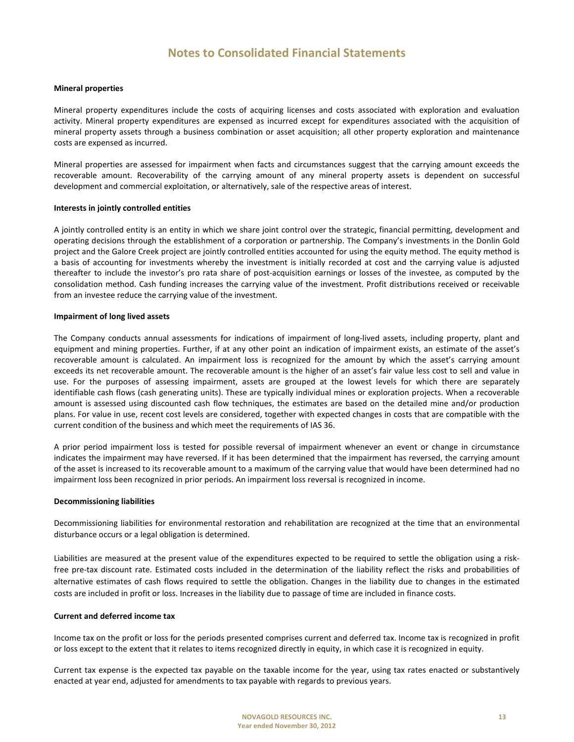#### Mineral properties

Mineral property expenditures include the costs of acquiring licenses and costs associated with exploration and evaluation activity. Mineral property expenditures are expensed as incurred except for expenditures associated with the acquisition of mineral property assets through a business combination or asset acquisition; all other property exploration and maintenance costs are expensed as incurred.

Mineral properties are assessed for impairment when facts and circumstances suggest that the carrying amount exceeds the recoverable amount. Recoverability of the carrying amount of any mineral property assets is dependent on successful development and commercial exploitation, or alternatively, sale of the respective areas of interest.

#### Interests in jointly controlled entities

A jointly controlled entity is an entity in which we share joint control over the strategic, financial permitting, development and operating decisions through the establishment of a corporation or partnership. The Company's investments in the Donlin Gold project and the Galore Creek project are jointly controlled entities accounted for using the equity method. The equity method is a basis of accounting for investments whereby the investment is initially recorded at cost and the carrying value is adjusted thereafter to include the investor's pro rata share of post-acquisition earnings or losses of the investee, as computed by the consolidation method. Cash funding increases the carrying value of the investment. Profit distributions received or receivable from an investee reduce the carrying value of the investment.

#### Impairment of long lived assets

The Company conducts annual assessments for indications of impairment of long-lived assets, including property, plant and equipment and mining properties. Further, if at any other point an indication of impairment exists, an estimate of the asset's recoverable amount is calculated. An impairment loss is recognized for the amount by which the asset's carrying amount exceeds its net recoverable amount. The recoverable amount is the higher of an asset's fair value less cost to sell and value in use. For the purposes of assessing impairment, assets are grouped at the lowest levels for which there are separately identifiable cash flows (cash generating units). These are typically individual mines or exploration projects. When a recoverable amount is assessed using discounted cash flow techniques, the estimates are based on the detailed mine and/or production plans. For value in use, recent cost levels are considered, together with expected changes in costs that are compatible with the current condition of the business and which meet the requirements of IAS 36.

A prior period impairment loss is tested for possible reversal of impairment whenever an event or change in circumstance indicates the impairment may have reversed. If it has been determined that the impairment has reversed, the carrying amount of the asset is increased to its recoverable amount to a maximum of the carrying value that would have been determined had no impairment loss been recognized in prior periods. An impairment loss reversal is recognized in income.

#### Decommissioning liabilities

Decommissioning liabilities for environmental restoration and rehabilitation are recognized at the time that an environmental disturbance occurs or a legal obligation is determined.

Liabilities are measured at the present value of the expenditures expected to be required to settle the obligation using a riskfree pre-tax discount rate. Estimated costs included in the determination of the liability reflect the risks and probabilities of alternative estimates of cash flows required to settle the obligation. Changes in the liability due to changes in the estimated costs are included in profit or loss. Increases in the liability due to passage of time are included in finance costs.

#### Current and deferred income tax

Income tax on the profit or loss for the periods presented comprises current and deferred tax. Income tax is recognized in profit or loss except to the extent that it relates to items recognized directly in equity, in which case it is recognized in equity.

Current tax expense is the expected tax payable on the taxable income for the year, using tax rates enacted or substantively enacted at year end, adjusted for amendments to tax payable with regards to previous years.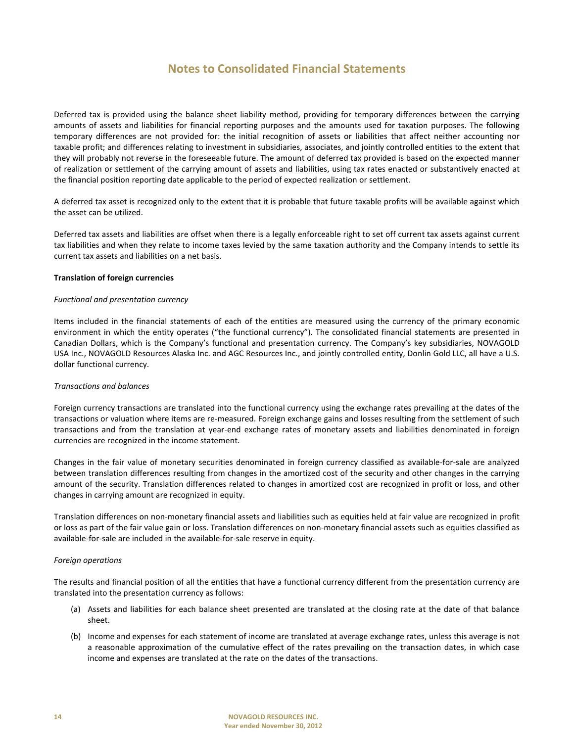Deferred tax is provided using the balance sheet liability method, providing for temporary differences between the carrying amounts of assets and liabilities for financial reporting purposes and the amounts used for taxation purposes. The following temporary differences are not provided for: the initial recognition of assets or liabilities that affect neither accounting nor taxable profit; and differences relating to investment in subsidiaries, associates, and jointly controlled entities to the extent that they will probably not reverse in the foreseeable future. The amount of deferred tax provided is based on the expected manner of realization or settlement of the carrying amount of assets and liabilities, using tax rates enacted or substantively enacted at the financial position reporting date applicable to the period of expected realization or settlement.

A deferred tax asset is recognized only to the extent that it is probable that future taxable profits will be available against which the asset can be utilized.

Deferred tax assets and liabilities are offset when there is a legally enforceable right to set off current tax assets against current tax liabilities and when they relate to income taxes levied by the same taxation authority and the Company intends to settle its current tax assets and liabilities on a net basis.

#### Translation of foreign currencies

#### Functional and presentation currency

Items included in the financial statements of each of the entities are measured using the currency of the primary economic environment in which the entity operates ("the functional currency"). The consolidated financial statements are presented in Canadian Dollars, which is the Company's functional and presentation currency. The Company's key subsidiaries, NOVAGOLD USA Inc., NOVAGOLD Resources Alaska Inc. and AGC Resources Inc., and jointly controlled entity, Donlin Gold LLC, all have a U.S. dollar functional currency.

#### Transactions and balances

Foreign currency transactions are translated into the functional currency using the exchange rates prevailing at the dates of the transactions or valuation where items are re-measured. Foreign exchange gains and losses resulting from the settlement of such transactions and from the translation at year-end exchange rates of monetary assets and liabilities denominated in foreign currencies are recognized in the income statement.

Changes in the fair value of monetary securities denominated in foreign currency classified as available-for-sale are analyzed between translation differences resulting from changes in the amortized cost of the security and other changes in the carrying amount of the security. Translation differences related to changes in amortized cost are recognized in profit or loss, and other changes in carrying amount are recognized in equity.

Translation differences on non-monetary financial assets and liabilities such as equities held at fair value are recognized in profit or loss as part of the fair value gain or loss. Translation differences on non-monetary financial assets such as equities classified as available-for-sale are included in the available-for-sale reserve in equity.

#### Foreign operations

The results and financial position of all the entities that have a functional currency different from the presentation currency are translated into the presentation currency as follows:

- (a) Assets and liabilities for each balance sheet presented are translated at the closing rate at the date of that balance sheet.
- (b) Income and expenses for each statement of income are translated at average exchange rates, unless this average is not a reasonable approximation of the cumulative effect of the rates prevailing on the transaction dates, in which case income and expenses are translated at the rate on the dates of the transactions.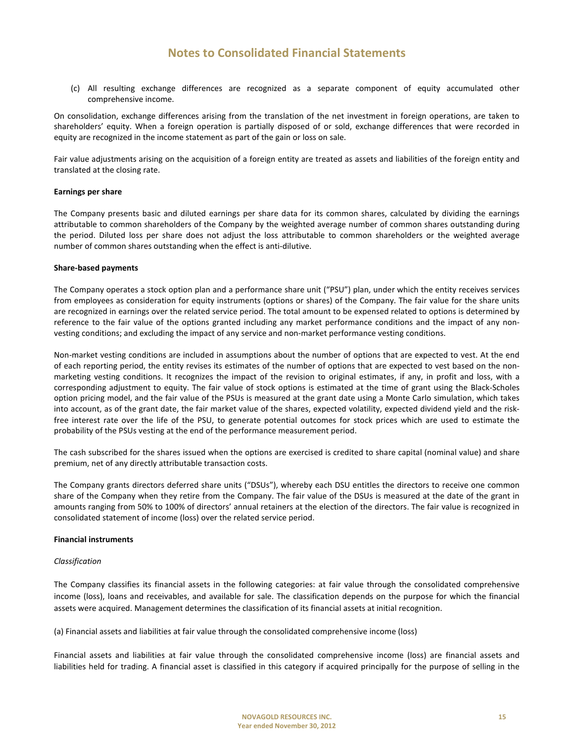(c) All resulting exchange differences are recognized as a separate component of equity accumulated other comprehensive income.

On consolidation, exchange differences arising from the translation of the net investment in foreign operations, are taken to shareholders' equity. When a foreign operation is partially disposed of or sold, exchange differences that were recorded in equity are recognized in the income statement as part of the gain or loss on sale.

Fair value adjustments arising on the acquisition of a foreign entity are treated as assets and liabilities of the foreign entity and translated at the closing rate.

#### Earnings per share

The Company presents basic and diluted earnings per share data for its common shares, calculated by dividing the earnings attributable to common shareholders of the Company by the weighted average number of common shares outstanding during the period. Diluted loss per share does not adjust the loss attributable to common shareholders or the weighted average number of common shares outstanding when the effect is anti-dilutive.

#### Share-based payments

The Company operates a stock option plan and a performance share unit ("PSU") plan, under which the entity receives services from employees as consideration for equity instruments (options or shares) of the Company. The fair value for the share units are recognized in earnings over the related service period. The total amount to be expensed related to options is determined by reference to the fair value of the options granted including any market performance conditions and the impact of any nonvesting conditions; and excluding the impact of any service and non-market performance vesting conditions.

Non-market vesting conditions are included in assumptions about the number of options that are expected to vest. At the end of each reporting period, the entity revises its estimates of the number of options that are expected to vest based on the nonmarketing vesting conditions. It recognizes the impact of the revision to original estimates, if any, in profit and loss, with a corresponding adjustment to equity. The fair value of stock options is estimated at the time of grant using the Black-Scholes option pricing model, and the fair value of the PSUs is measured at the grant date using a Monte Carlo simulation, which takes into account, as of the grant date, the fair market value of the shares, expected volatility, expected dividend yield and the riskfree interest rate over the life of the PSU, to generate potential outcomes for stock prices which are used to estimate the probability of the PSUs vesting at the end of the performance measurement period.

The cash subscribed for the shares issued when the options are exercised is credited to share capital (nominal value) and share premium, net of any directly attributable transaction costs.

The Company grants directors deferred share units ("DSUs"), whereby each DSU entitles the directors to receive one common share of the Company when they retire from the Company. The fair value of the DSUs is measured at the date of the grant in amounts ranging from 50% to 100% of directors' annual retainers at the election of the directors. The fair value is recognized in consolidated statement of income (loss) over the related service period.

#### Financial instruments

#### Classification

The Company classifies its financial assets in the following categories: at fair value through the consolidated comprehensive income (loss), loans and receivables, and available for sale. The classification depends on the purpose for which the financial assets were acquired. Management determines the classification of its financial assets at initial recognition.

(a) Financial assets and liabilities at fair value through the consolidated comprehensive income (loss)

Financial assets and liabilities at fair value through the consolidated comprehensive income (loss) are financial assets and liabilities held for trading. A financial asset is classified in this category if acquired principally for the purpose of selling in the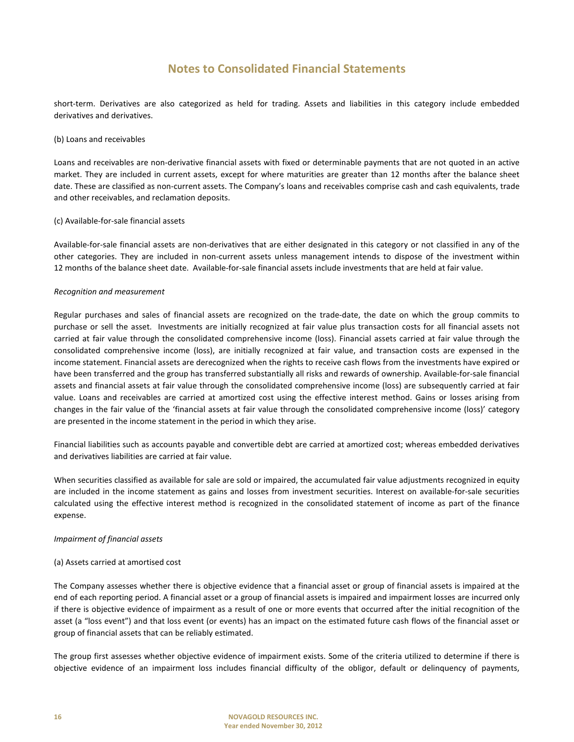short-term. Derivatives are also categorized as held for trading. Assets and liabilities in this category include embedded derivatives and derivatives.

## (b) Loans and receivables

Loans and receivables are non-derivative financial assets with fixed or determinable payments that are not quoted in an active market. They are included in current assets, except for where maturities are greater than 12 months after the balance sheet date. These are classified as non-current assets. The Company's loans and receivables comprise cash and cash equivalents, trade and other receivables, and reclamation deposits.

## (c) Available-for-sale financial assets

Available-for-sale financial assets are non-derivatives that are either designated in this category or not classified in any of the other categories. They are included in non-current assets unless management intends to dispose of the investment within 12 months of the balance sheet date. Available-for-sale financial assets include investments that are held at fair value.

## Recognition and measurement

Regular purchases and sales of financial assets are recognized on the trade-date, the date on which the group commits to purchase or sell the asset. Investments are initially recognized at fair value plus transaction costs for all financial assets not carried at fair value through the consolidated comprehensive income (loss). Financial assets carried at fair value through the consolidated comprehensive income (loss), are initially recognized at fair value, and transaction costs are expensed in the income statement. Financial assets are derecognized when the rights to receive cash flows from the investments have expired or have been transferred and the group has transferred substantially all risks and rewards of ownership. Available-for-sale financial assets and financial assets at fair value through the consolidated comprehensive income (loss) are subsequently carried at fair value. Loans and receivables are carried at amortized cost using the effective interest method. Gains or losses arising from changes in the fair value of the 'financial assets at fair value through the consolidated comprehensive income (loss)' category are presented in the income statement in the period in which they arise.

Financial liabilities such as accounts payable and convertible debt are carried at amortized cost; whereas embedded derivatives and derivatives liabilities are carried at fair value.

When securities classified as available for sale are sold or impaired, the accumulated fair value adjustments recognized in equity are included in the income statement as gains and losses from investment securities. Interest on available-for-sale securities calculated using the effective interest method is recognized in the consolidated statement of income as part of the finance expense.

## Impairment of financial assets

## (a) Assets carried at amortised cost

The Company assesses whether there is objective evidence that a financial asset or group of financial assets is impaired at the end of each reporting period. A financial asset or a group of financial assets is impaired and impairment losses are incurred only if there is objective evidence of impairment as a result of one or more events that occurred after the initial recognition of the asset (a "loss event") and that loss event (or events) has an impact on the estimated future cash flows of the financial asset or group of financial assets that can be reliably estimated.

The group first assesses whether objective evidence of impairment exists. Some of the criteria utilized to determine if there is objective evidence of an impairment loss includes financial difficulty of the obligor, default or delinquency of payments,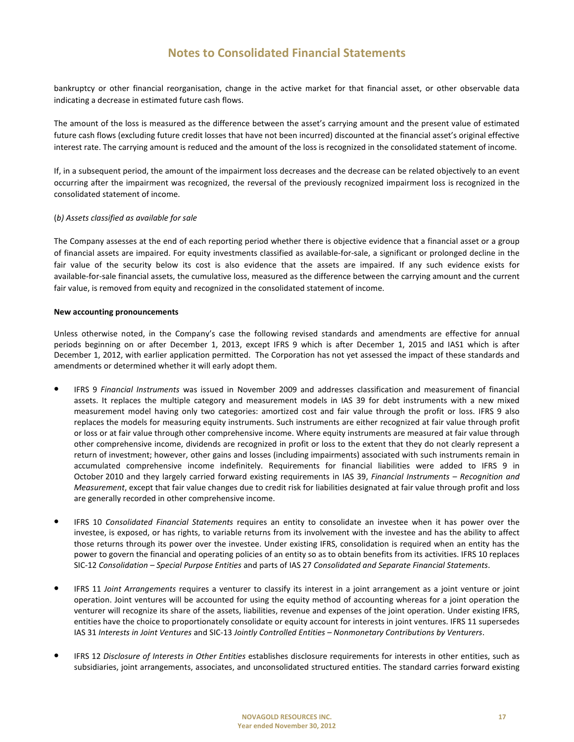bankruptcy or other financial reorganisation, change in the active market for that financial asset, or other observable data indicating a decrease in estimated future cash flows.

The amount of the loss is measured as the difference between the asset's carrying amount and the present value of estimated future cash flows (excluding future credit losses that have not been incurred) discounted at the financial asset's original effective interest rate. The carrying amount is reduced and the amount of the loss is recognized in the consolidated statement of income.

If, in a subsequent period, the amount of the impairment loss decreases and the decrease can be related objectively to an event occurring after the impairment was recognized, the reversal of the previously recognized impairment loss is recognized in the consolidated statement of income.

## (b) Assets classified as available for sale

The Company assesses at the end of each reporting period whether there is objective evidence that a financial asset or a group of financial assets are impaired. For equity investments classified as available-for-sale, a significant or prolonged decline in the fair value of the security below its cost is also evidence that the assets are impaired. If any such evidence exists for available-for-sale financial assets, the cumulative loss, measured as the difference between the carrying amount and the current fair value, is removed from equity and recognized in the consolidated statement of income.

#### New accounting pronouncements

Unless otherwise noted, in the Company's case the following revised standards and amendments are effective for annual periods beginning on or after December 1, 2013, except IFRS 9 which is after December 1, 2015 and IAS1 which is after December 1, 2012, with earlier application permitted. The Corporation has not yet assessed the impact of these standards and amendments or determined whether it will early adopt them.

- IFRS 9 Financial Instruments was issued in November 2009 and addresses classification and measurement of financial assets. It replaces the multiple category and measurement models in IAS 39 for debt instruments with a new mixed measurement model having only two categories: amortized cost and fair value through the profit or loss. IFRS 9 also replaces the models for measuring equity instruments. Such instruments are either recognized at fair value through profit or loss or at fair value through other comprehensive income. Where equity instruments are measured at fair value through other comprehensive income, dividends are recognized in profit or loss to the extent that they do not clearly represent a return of investment; however, other gains and losses (including impairments) associated with such instruments remain in accumulated comprehensive income indefinitely. Requirements for financial liabilities were added to IFRS 9 in October 2010 and they largely carried forward existing requirements in IAS 39, Financial Instruments – Recognition and Measurement, except that fair value changes due to credit risk for liabilities designated at fair value through profit and loss are generally recorded in other comprehensive income.
- IFRS 10 Consolidated Financial Statements requires an entity to consolidate an investee when it has power over the investee, is exposed, or has rights, to variable returns from its involvement with the investee and has the ability to affect those returns through its power over the investee. Under existing IFRS, consolidation is required when an entity has the power to govern the financial and operating policies of an entity so as to obtain benefits from its activities. IFRS 10 replaces SIC-12 Consolidation – Special Purpose Entities and parts of IAS 27 Consolidated and Separate Financial Statements.
- IFRS 11 Joint Arrangements requires a venturer to classify its interest in a joint arrangement as a joint venture or joint operation. Joint ventures will be accounted for using the equity method of accounting whereas for a joint operation the venturer will recognize its share of the assets, liabilities, revenue and expenses of the joint operation. Under existing IFRS, entities have the choice to proportionately consolidate or equity account for interests in joint ventures. IFRS 11 supersedes IAS 31 Interests in Joint Ventures and SIC-13 Jointly Controlled Entities – Nonmonetary Contributions by Venturers.
- IFRS 12 Disclosure of Interests in Other Entities establishes disclosure requirements for interests in other entities, such as subsidiaries, joint arrangements, associates, and unconsolidated structured entities. The standard carries forward existing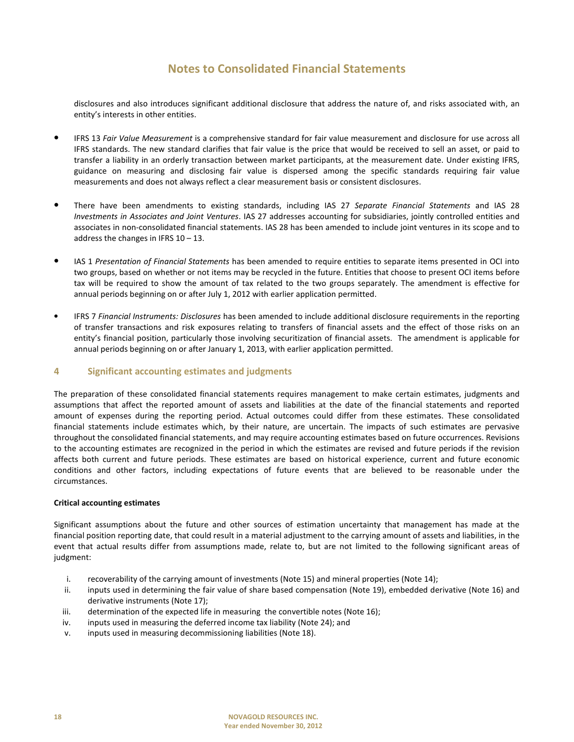disclosures and also introduces significant additional disclosure that address the nature of, and risks associated with, an entity's interests in other entities.

- IFRS 13 Fair Value Measurement is a comprehensive standard for fair value measurement and disclosure for use across all IFRS standards. The new standard clarifies that fair value is the price that would be received to sell an asset, or paid to transfer a liability in an orderly transaction between market participants, at the measurement date. Under existing IFRS, guidance on measuring and disclosing fair value is dispersed among the specific standards requiring fair value measurements and does not always reflect a clear measurement basis or consistent disclosures.
- There have been amendments to existing standards, including IAS 27 Separate Financial Statements and IAS 28 Investments in Associates and Joint Ventures. IAS 27 addresses accounting for subsidiaries, jointly controlled entities and associates in non-consolidated financial statements. IAS 28 has been amended to include joint ventures in its scope and to address the changes in IFRS 10 – 13.
- IAS 1 Presentation of Financial Statements has been amended to require entities to separate items presented in OCI into two groups, based on whether or not items may be recycled in the future. Entities that choose to present OCI items before tax will be required to show the amount of tax related to the two groups separately. The amendment is effective for annual periods beginning on or after July 1, 2012 with earlier application permitted.
- IFRS 7 Financial Instruments: Disclosures has been amended to include additional disclosure requirements in the reporting of transfer transactions and risk exposures relating to transfers of financial assets and the effect of those risks on an entity's financial position, particularly those involving securitization of financial assets. The amendment is applicable for annual periods beginning on or after January 1, 2013, with earlier application permitted.

## 4 Significant accounting estimates and judgments

The preparation of these consolidated financial statements requires management to make certain estimates, judgments and assumptions that affect the reported amount of assets and liabilities at the date of the financial statements and reported amount of expenses during the reporting period. Actual outcomes could differ from these estimates. These consolidated financial statements include estimates which, by their nature, are uncertain. The impacts of such estimates are pervasive throughout the consolidated financial statements, and may require accounting estimates based on future occurrences. Revisions to the accounting estimates are recognized in the period in which the estimates are revised and future periods if the revision affects both current and future periods. These estimates are based on historical experience, current and future economic conditions and other factors, including expectations of future events that are believed to be reasonable under the circumstances.

## Critical accounting estimates

Significant assumptions about the future and other sources of estimation uncertainty that management has made at the financial position reporting date, that could result in a material adjustment to the carrying amount of assets and liabilities, in the event that actual results differ from assumptions made, relate to, but are not limited to the following significant areas of judgment:

- i. recoverability of the carrying amount of investments (Note 15) and mineral properties (Note 14);
- ii. inputs used in determining the fair value of share based compensation (Note 19), embedded derivative (Note 16) and derivative instruments (Note 17);
- iii. determination of the expected life in measuring the convertible notes (Note 16);
- iv. inputs used in measuring the deferred income tax liability (Note 24); and
- v. inputs used in measuring decommissioning liabilities (Note 18).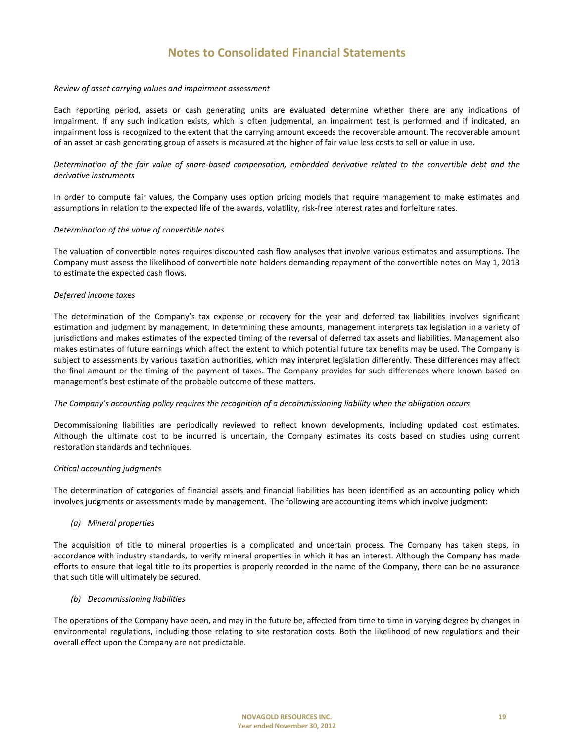#### Review of asset carrying values and impairment assessment

Each reporting period, assets or cash generating units are evaluated determine whether there are any indications of impairment. If any such indication exists, which is often judgmental, an impairment test is performed and if indicated, an impairment loss is recognized to the extent that the carrying amount exceeds the recoverable amount. The recoverable amount of an asset or cash generating group of assets is measured at the higher of fair value less costs to sell or value in use.

# Determination of the fair value of share-based compensation, embedded derivative related to the convertible debt and the derivative instruments

In order to compute fair values, the Company uses option pricing models that require management to make estimates and assumptions in relation to the expected life of the awards, volatility, risk-free interest rates and forfeiture rates.

#### Determination of the value of convertible notes.

The valuation of convertible notes requires discounted cash flow analyses that involve various estimates and assumptions. The Company must assess the likelihood of convertible note holders demanding repayment of the convertible notes on May 1, 2013 to estimate the expected cash flows.

#### Deferred income taxes

The determination of the Company's tax expense or recovery for the year and deferred tax liabilities involves significant estimation and judgment by management. In determining these amounts, management interprets tax legislation in a variety of jurisdictions and makes estimates of the expected timing of the reversal of deferred tax assets and liabilities. Management also makes estimates of future earnings which affect the extent to which potential future tax benefits may be used. The Company is subject to assessments by various taxation authorities, which may interpret legislation differently. These differences may affect the final amount or the timing of the payment of taxes. The Company provides for such differences where known based on management's best estimate of the probable outcome of these matters.

## The Company's accounting policy requires the recognition of a decommissioning liability when the obligation occurs

Decommissioning liabilities are periodically reviewed to reflect known developments, including updated cost estimates. Although the ultimate cost to be incurred is uncertain, the Company estimates its costs based on studies using current restoration standards and techniques.

#### Critical accounting judgments

The determination of categories of financial assets and financial liabilities has been identified as an accounting policy which involves judgments or assessments made by management. The following are accounting items which involve judgment:

## (a) Mineral properties

The acquisition of title to mineral properties is a complicated and uncertain process. The Company has taken steps, in accordance with industry standards, to verify mineral properties in which it has an interest. Although the Company has made efforts to ensure that legal title to its properties is properly recorded in the name of the Company, there can be no assurance that such title will ultimately be secured.

#### (b) Decommissioning liabilities

The operations of the Company have been, and may in the future be, affected from time to time in varying degree by changes in environmental regulations, including those relating to site restoration costs. Both the likelihood of new regulations and their overall effect upon the Company are not predictable.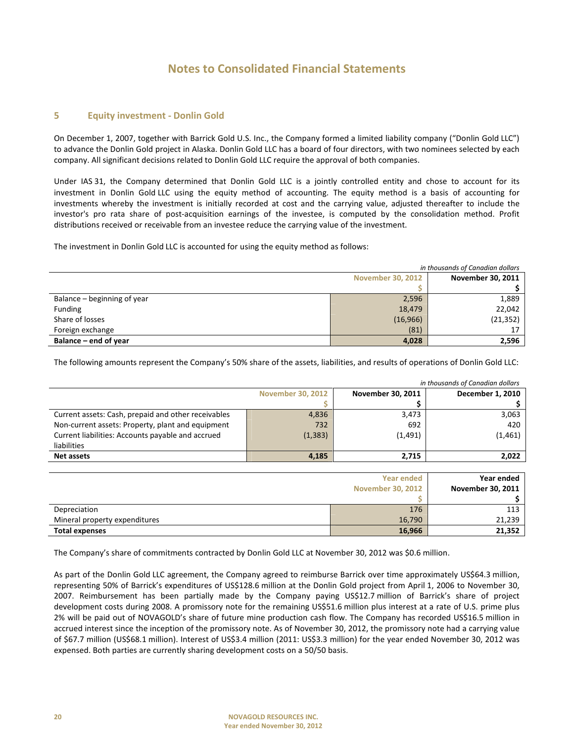# 5 Equity investment - Donlin Gold

On December 1, 2007, together with Barrick Gold U.S. Inc., the Company formed a limited liability company ("Donlin Gold LLC") to advance the Donlin Gold project in Alaska. Donlin Gold LLC has a board of four directors, with two nominees selected by each company. All significant decisions related to Donlin Gold LLC require the approval of both companies.

Under IAS 31, the Company determined that Donlin Gold LLC is a jointly controlled entity and chose to account for its investment in Donlin Gold LLC using the equity method of accounting. The equity method is a basis of accounting for investments whereby the investment is initially recorded at cost and the carrying value, adjusted thereafter to include the investor's pro rata share of post-acquisition earnings of the investee, is computed by the consolidation method. Profit distributions received or receivable from an investee reduce the carrying value of the investment.

The investment in Donlin Gold LLC is accounted for using the equity method as follows:

| in thousands of Canadian dollars |                          |                   |
|----------------------------------|--------------------------|-------------------|
|                                  | <b>November 30, 2012</b> | November 30, 2011 |
|                                  |                          |                   |
| Balance – beginning of year      | 2,596                    | 1,889             |
| Funding                          | 18,479                   | 22,042            |
| Share of losses                  | (16, 966)                | (21, 352)         |
| Foreign exchange                 | (81)                     | 17                |
| Balance – end of year            | 4,028                    | 2,596             |

The following amounts represent the Company's 50% share of the assets, liabilities, and results of operations of Donlin Gold LLC:

| in thousands of Canadian dollars                    |                          |                   |                  |  |
|-----------------------------------------------------|--------------------------|-------------------|------------------|--|
|                                                     | <b>November 30, 2012</b> | November 30, 2011 | December 1, 2010 |  |
|                                                     |                          |                   |                  |  |
| Current assets: Cash, prepaid and other receivables | 4,836                    | 3,473             | 3,063            |  |
| Non-current assets: Property, plant and equipment   | 732                      | 692               | 420              |  |
| Current liabilities: Accounts payable and accrued   | (1, 383)                 | (1, 491)          | (1,461)          |  |
| liabilities                                         |                          |                   |                  |  |
| <b>Net assets</b>                                   | 4,185                    | 2,715             | 2.022            |  |

|                               | <b>Year ended</b>        | Year ended        |
|-------------------------------|--------------------------|-------------------|
|                               | <b>November 30, 2012</b> | November 30, 2011 |
|                               |                          |                   |
| Depreciation                  | 176                      | 113               |
| Mineral property expenditures | 16,790                   | 21,239            |
| <b>Total expenses</b>         | 16,966                   | 21,352            |

The Company's share of commitments contracted by Donlin Gold LLC at November 30, 2012 was \$0.6 million.

As part of the Donlin Gold LLC agreement, the Company agreed to reimburse Barrick over time approximately US\$64.3 million, representing 50% of Barrick's expenditures of US\$128.6 million at the Donlin Gold project from April 1, 2006 to November 30, 2007. Reimbursement has been partially made by the Company paying US\$12.7 million of Barrick's share of project development costs during 2008. A promissory note for the remaining US\$51.6 million plus interest at a rate of U.S. prime plus 2% will be paid out of NOVAGOLD's share of future mine production cash flow. The Company has recorded US\$16.5 million in accrued interest since the inception of the promissory note. As of November 30, 2012, the promissory note had a carrying value of \$67.7 million (US\$68.1 million). Interest of US\$3.4 million (2011: US\$3.3 million) for the year ended November 30, 2012 was expensed. Both parties are currently sharing development costs on a 50/50 basis.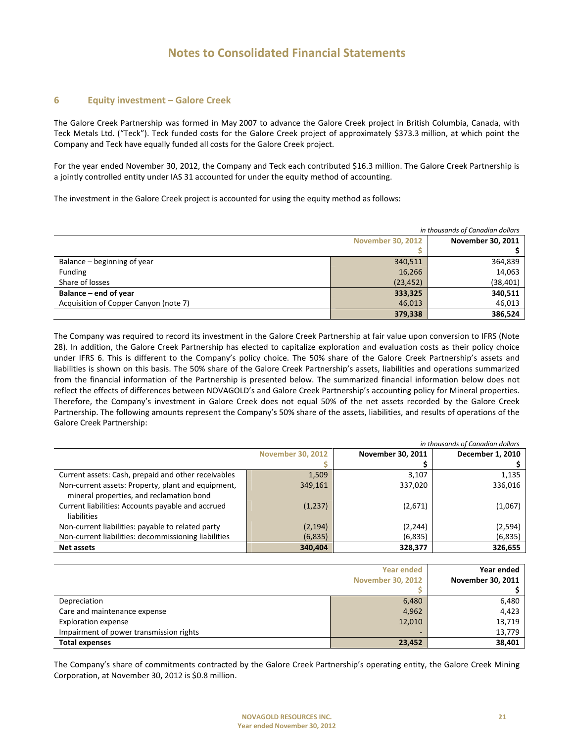## 6 Equity investment – Galore Creek

The Galore Creek Partnership was formed in May 2007 to advance the Galore Creek project in British Columbia, Canada, with Teck Metals Ltd. ("Teck"). Teck funded costs for the Galore Creek project of approximately \$373.3 million, at which point the Company and Teck have equally funded all costs for the Galore Creek project.

For the year ended November 30, 2012, the Company and Teck each contributed \$16.3 million. The Galore Creek Partnership is a jointly controlled entity under IAS 31 accounted for under the equity method of accounting.

The investment in the Galore Creek project is accounted for using the equity method as follows:

| in thousands of Canadian dollars      |                          |                          |
|---------------------------------------|--------------------------|--------------------------|
|                                       | <b>November 30, 2012</b> | <b>November 30, 2011</b> |
|                                       |                          |                          |
| Balance – beginning of year           | 340,511                  | 364,839                  |
| Funding                               | 16,266                   | 14,063                   |
| Share of losses                       | (23, 452)                | (38, 401)                |
| Balance – end of year                 | 333,325                  | 340,511                  |
| Acquisition of Copper Canyon (note 7) | 46,013                   | 46,013                   |
|                                       | 379,338                  | 386,524                  |

The Company was required to record its investment in the Galore Creek Partnership at fair value upon conversion to IFRS (Note 28). In addition, the Galore Creek Partnership has elected to capitalize exploration and evaluation costs as their policy choice under IFRS 6. This is different to the Company's policy choice. The 50% share of the Galore Creek Partnership's assets and liabilities is shown on this basis. The 50% share of the Galore Creek Partnership's assets, liabilities and operations summarized from the financial information of the Partnership is presented below. The summarized financial information below does not reflect the effects of differences between NOVAGOLD's and Galore Creek Partnership's accounting policy for Mineral properties. Therefore, the Company's investment in Galore Creek does not equal 50% of the net assets recorded by the Galore Creek Partnership. The following amounts represent the Company's 50% share of the assets, liabilities, and results of operations of the Galore Creek Partnership:

|                                                      |                          |                   | in thousands of Canadian dollars |
|------------------------------------------------------|--------------------------|-------------------|----------------------------------|
|                                                      | <b>November 30, 2012</b> | November 30, 2011 | December 1, 2010                 |
|                                                      |                          |                   |                                  |
| Current assets: Cash, prepaid and other receivables  | 1,509                    | 3,107             | 1,135                            |
| Non-current assets: Property, plant and equipment,   | 349,161                  | 337,020           | 336,016                          |
| mineral properties, and reclamation bond             |                          |                   |                                  |
| Current liabilities: Accounts payable and accrued    | (1,237)                  | (2,671)           | (1,067)                          |
| liabilities                                          |                          |                   |                                  |
| Non-current liabilities: payable to related party    | (2, 194)                 | (2, 244)          | (2,594)                          |
| Non-current liabilities: decommissioning liabilities | (6,835)                  | (6, 835)          | (6, 835)                         |
| Net assets                                           | 340,404                  | 328,377           | 326,655                          |

|                                         | <b>Year ended</b>        | Year ended               |
|-----------------------------------------|--------------------------|--------------------------|
|                                         | <b>November 30, 2012</b> | <b>November 30, 2011</b> |
|                                         |                          |                          |
| Depreciation                            | 6,480                    | 6,480                    |
| Care and maintenance expense            | 4,962                    | 4,423                    |
| <b>Exploration expense</b>              | 12,010                   | 13,719                   |
| Impairment of power transmission rights | -                        | 13,779                   |
| <b>Total expenses</b>                   | 23,452                   | 38,401                   |

The Company's share of commitments contracted by the Galore Creek Partnership's operating entity, the Galore Creek Mining Corporation, at November 30, 2012 is \$0.8 million.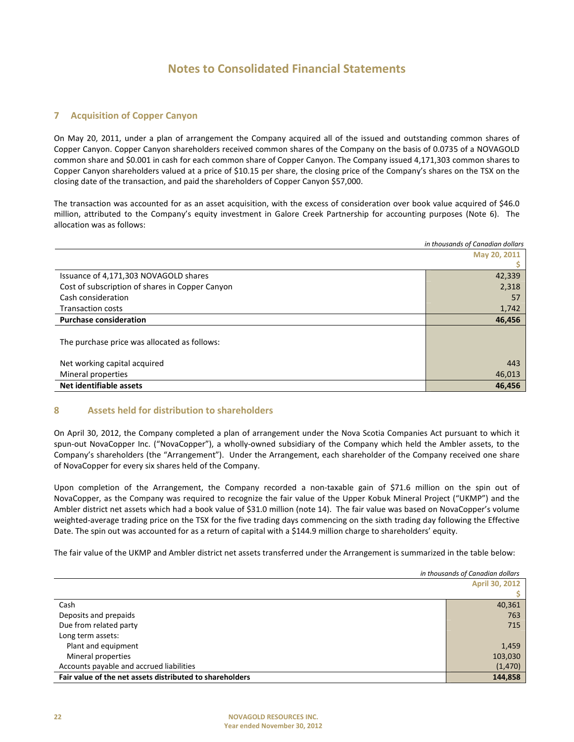# 7 Acquisition of Copper Canyon

On May 20, 2011, under a plan of arrangement the Company acquired all of the issued and outstanding common shares of Copper Canyon. Copper Canyon shareholders received common shares of the Company on the basis of 0.0735 of a NOVAGOLD common share and \$0.001 in cash for each common share of Copper Canyon. The Company issued 4,171,303 common shares to Copper Canyon shareholders valued at a price of \$10.15 per share, the closing price of the Company's shares on the TSX on the closing date of the transaction, and paid the shareholders of Copper Canyon \$57,000.

The transaction was accounted for as an asset acquisition, with the excess of consideration over book value acquired of \$46.0 million, attributed to the Company's equity investment in Galore Creek Partnership for accounting purposes (Note 6). The allocation was as follows:

|                                                 | in thousands of Canadian dollars |
|-------------------------------------------------|----------------------------------|
|                                                 | May 20, 2011                     |
|                                                 |                                  |
| Issuance of 4,171,303 NOVAGOLD shares           | 42,339                           |
| Cost of subscription of shares in Copper Canyon | 2,318                            |
| Cash consideration                              | 57                               |
| <b>Transaction costs</b>                        | 1,742                            |
| <b>Purchase consideration</b>                   | 46,456                           |
|                                                 |                                  |
| The purchase price was allocated as follows:    |                                  |
|                                                 |                                  |
| Net working capital acquired                    | 443                              |
| Mineral properties                              | 46,013                           |
| Net identifiable assets                         | 46,456                           |

# 8 Assets held for distribution to shareholders

On April 30, 2012, the Company completed a plan of arrangement under the Nova Scotia Companies Act pursuant to which it spun-out NovaCopper Inc. ("NovaCopper"), a wholly-owned subsidiary of the Company which held the Ambler assets, to the Company's shareholders (the "Arrangement"). Under the Arrangement, each shareholder of the Company received one share of NovaCopper for every six shares held of the Company.

Upon completion of the Arrangement, the Company recorded a non-taxable gain of \$71.6 million on the spin out of NovaCopper, as the Company was required to recognize the fair value of the Upper Kobuk Mineral Project ("UKMP") and the Ambler district net assets which had a book value of \$31.0 million (note 14). The fair value was based on NovaCopper's volume weighted-average trading price on the TSX for the five trading days commencing on the sixth trading day following the Effective Date. The spin out was accounted for as a return of capital with a \$144.9 million charge to shareholders' equity.

The fair value of the UKMP and Ambler district net assets transferred under the Arrangement is summarized in the table below:

|                                                          | in thousands of Canadian dollars |
|----------------------------------------------------------|----------------------------------|
|                                                          | <b>April 30, 2012</b>            |
|                                                          |                                  |
| Cash                                                     | 40,361                           |
| Deposits and prepaids                                    | 763                              |
| Due from related party                                   | 715                              |
| Long term assets:                                        |                                  |
| Plant and equipment                                      | 1,459                            |
| Mineral properties                                       | 103,030                          |
| Accounts payable and accrued liabilities                 | (1, 470)                         |
| Fair value of the net assets distributed to shareholders | 144,858                          |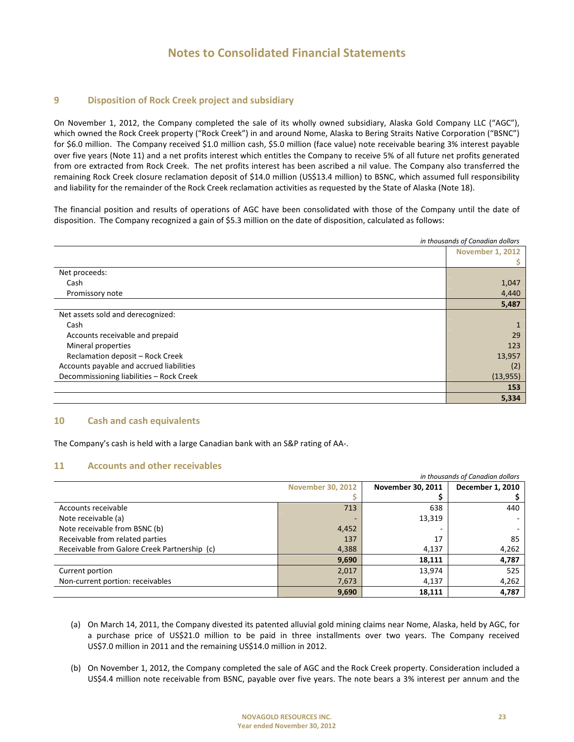# 9 Disposition of Rock Creek project and subsidiary

On November 1, 2012, the Company completed the sale of its wholly owned subsidiary, Alaska Gold Company LLC ("AGC"), which owned the Rock Creek property ("Rock Creek") in and around Nome, Alaska to Bering Straits Native Corporation ("BSNC") for \$6.0 million. The Company received \$1.0 million cash, \$5.0 million (face value) note receivable bearing 3% interest payable over five years (Note 11) and a net profits interest which entitles the Company to receive 5% of all future net profits generated from ore extracted from Rock Creek. The net profits interest has been ascribed a nil value. The Company also transferred the remaining Rock Creek closure reclamation deposit of \$14.0 million (US\$13.4 million) to BSNC, which assumed full responsibility and liability for the remainder of the Rock Creek reclamation activities as requested by the State of Alaska (Note 18).

The financial position and results of operations of AGC have been consolidated with those of the Company until the date of disposition. The Company recognized a gain of \$5.3 million on the date of disposition, calculated as follows:

|                                          | in thousands of Canadian dollars |
|------------------------------------------|----------------------------------|
|                                          | <b>November 1, 2012</b>          |
|                                          | Ş.                               |
| Net proceeds:                            |                                  |
| Cash                                     | 1,047                            |
| Promissory note                          | 4,440                            |
|                                          | 5,487                            |
| Net assets sold and derecognized:        |                                  |
| Cash                                     |                                  |
| Accounts receivable and prepaid          | 29                               |
| Mineral properties                       | 123                              |
| Reclamation deposit - Rock Creek         | 13,957                           |
| Accounts payable and accrued liabilities | (2)                              |
| Decommissioning liabilities - Rock Creek | (13, 955)                        |
|                                          | 153                              |
|                                          | 5,334                            |

# 10 Cash and cash equivalents

The Company's cash is held with a large Canadian bank with an S&P rating of AA-.

# 11 Accounts and other receivables

|                                              | in thousands of Canadian dollars |                   |                  |  |  |
|----------------------------------------------|----------------------------------|-------------------|------------------|--|--|
|                                              | <b>November 30, 2012</b>         | November 30, 2011 | December 1, 2010 |  |  |
|                                              |                                  |                   |                  |  |  |
| Accounts receivable                          | 713                              | 638               | 440              |  |  |
| Note receivable (a)                          |                                  | 13,319            |                  |  |  |
| Note receivable from BSNC (b)                | 4,452                            |                   |                  |  |  |
| Receivable from related parties              | 137                              | 17                | 85               |  |  |
| Receivable from Galore Creek Partnership (c) | 4,388                            | 4,137             | 4,262            |  |  |
|                                              | 9,690                            | 18,111            | 4,787            |  |  |
| Current portion                              | 2,017                            | 13,974            | 525              |  |  |
| Non-current portion: receivables             | 7,673                            | 4,137             | 4,262            |  |  |
|                                              | 9,690                            | 18,111            | 4,787            |  |  |

- (a) On March 14, 2011, the Company divested its patented alluvial gold mining claims near Nome, Alaska, held by AGC, for a purchase price of US\$21.0 million to be paid in three installments over two years. The Company received US\$7.0 million in 2011 and the remaining US\$14.0 million in 2012.
- (b) On November 1, 2012, the Company completed the sale of AGC and the Rock Creek property. Consideration included a US\$4.4 million note receivable from BSNC, payable over five years. The note bears a 3% interest per annum and the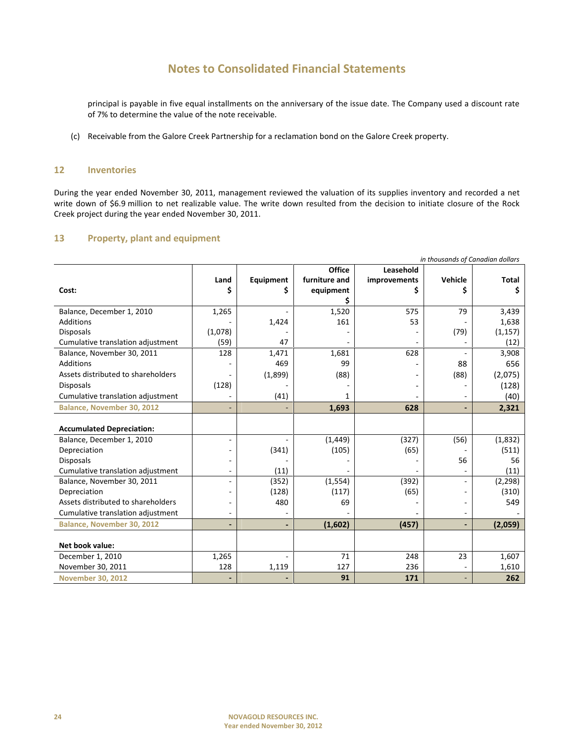principal is payable in five equal installments on the anniversary of the issue date. The Company used a discount rate of 7% to determine the value of the note receivable.

(c) Receivable from the Galore Creek Partnership for a reclamation bond on the Galore Creek property.

# 12 Inventories

During the year ended November 30, 2011, management reviewed the valuation of its supplies inventory and recorded a net write down of \$6.9 million to net realizable value. The write down resulted from the decision to initiate closure of the Rock Creek project during the year ended November 30, 2011.

# 13 Property, plant and equipment

| in thousands of Canadian dollars   |         |                  |               |              |         |          |
|------------------------------------|---------|------------------|---------------|--------------|---------|----------|
|                                    |         |                  | Office        | Leasehold    |         |          |
|                                    | Land    | <b>Equipment</b> | furniture and | improvements | Vehicle | Total    |
| Cost:                              |         | Ś.               | equipment     | \$           |         | \$       |
|                                    |         |                  |               |              |         |          |
| Balance, December 1, 2010          | 1,265   |                  | 1,520         | 575          | 79      | 3,439    |
| Additions                          |         | 1,424            | 161           | 53           |         | 1,638    |
| <b>Disposals</b>                   | (1,078) |                  |               |              | (79)    | (1, 157) |
| Cumulative translation adjustment  | (59)    | 47               |               |              |         | (12)     |
| Balance, November 30, 2011         | 128     | 1,471            | 1,681         | 628          |         | 3,908    |
| <b>Additions</b>                   |         | 469              | 99            |              | 88      | 656      |
| Assets distributed to shareholders |         | (1,899)          | (88)          |              | (88)    | (2,075)  |
| <b>Disposals</b>                   | (128)   |                  |               |              |         | (128)    |
| Cumulative translation adjustment  |         | (41)             | 1             |              |         | (40)     |
| <b>Balance, November 30, 2012</b>  |         |                  | 1,693         | 628          |         | 2,321    |
|                                    |         |                  |               |              |         |          |
| <b>Accumulated Depreciation:</b>   |         |                  |               |              |         |          |
| Balance, December 1, 2010          |         |                  | (1, 449)      | (327)        | (56)    | (1,832)  |
| Depreciation                       |         | (341)            | (105)         | (65)         |         | (511)    |
| <b>Disposals</b>                   |         |                  |               |              | 56      | 56       |
| Cumulative translation adjustment  |         | (11)             |               |              |         | (11)     |
| Balance, November 30, 2011         |         | (352)            | (1, 554)      | (392)        |         | (2, 298) |
| Depreciation                       |         | (128)            | (117)         | (65)         |         | (310)    |
| Assets distributed to shareholders |         | 480              | 69            |              |         | 549      |
| Cumulative translation adjustment  |         |                  |               |              |         |          |
| <b>Balance, November 30, 2012</b>  |         |                  | (1,602)       | (457)        |         | (2,059)  |
|                                    |         |                  |               |              |         |          |
| Net book value:                    |         |                  |               |              |         |          |
| December 1, 2010                   | 1,265   |                  | 71            | 248          | 23      | 1,607    |
| November 30, 2011                  | 128     | 1,119            | 127           | 236          |         | 1,610    |
| <b>November 30, 2012</b>           |         |                  | 91            | 171          |         | 262      |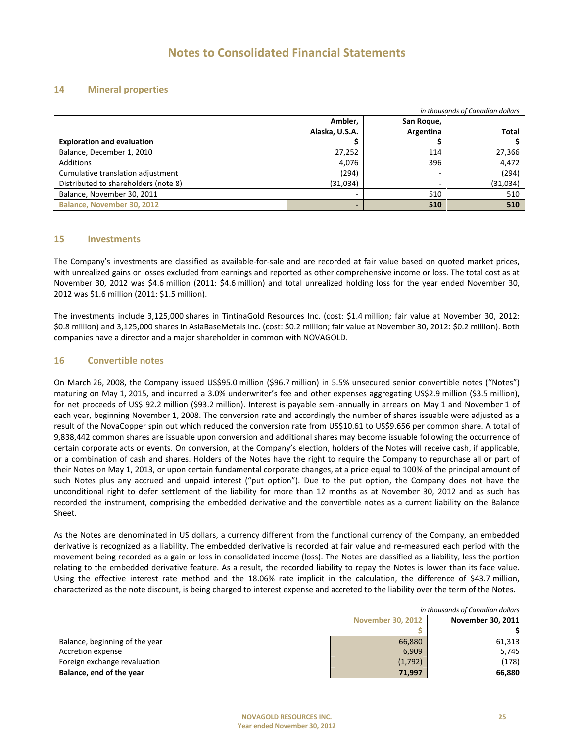# 14 Mineral properties

|                                      | in thousands of Canadian dollars |            |              |  |
|--------------------------------------|----------------------------------|------------|--------------|--|
|                                      | Ambler,                          | San Roque, |              |  |
|                                      | Alaska, U.S.A.                   | Argentina  | <b>Total</b> |  |
| <b>Exploration and evaluation</b>    |                                  |            |              |  |
| Balance, December 1, 2010            | 27,252                           | 114        | 27,366       |  |
| Additions                            | 4,076                            | 396        | 4,472        |  |
| Cumulative translation adjustment    | (294)                            |            | (294)        |  |
| Distributed to shareholders (note 8) | (31,034)                         |            | (31,034)     |  |
| Balance, November 30, 2011           | -                                | 510        | 510          |  |
| <b>Balance, November 30, 2012</b>    |                                  | 510        | 510          |  |

#### 15 Investments

The Company's investments are classified as available-for-sale and are recorded at fair value based on quoted market prices, with unrealized gains or losses excluded from earnings and reported as other comprehensive income or loss. The total cost as at November 30, 2012 was \$4.6 million (2011: \$4.6 million) and total unrealized holding loss for the year ended November 30, 2012 was \$1.6 million (2011: \$1.5 million).

The investments include 3,125,000 shares in TintinaGold Resources Inc. (cost: \$1.4 million; fair value at November 30, 2012: \$0.8 million) and 3,125,000 shares in AsiaBaseMetals Inc. (cost: \$0.2 million; fair value at November 30, 2012: \$0.2 million). Both companies have a director and a major shareholder in common with NOVAGOLD.

## 16 Convertible notes

On March 26, 2008, the Company issued US\$95.0 million (\$96.7 million) in 5.5% unsecured senior convertible notes ("Notes") maturing on May 1, 2015, and incurred a 3.0% underwriter's fee and other expenses aggregating US\$2.9 million (\$3.5 million), for net proceeds of US\$ 92.2 million (\$93.2 million). Interest is payable semi-annually in arrears on May 1 and November 1 of each year, beginning November 1, 2008. The conversion rate and accordingly the number of shares issuable were adjusted as a result of the NovaCopper spin out which reduced the conversion rate from US\$10.61 to US\$9.656 per common share. A total of 9,838,442 common shares are issuable upon conversion and additional shares may become issuable following the occurrence of certain corporate acts or events. On conversion, at the Company's election, holders of the Notes will receive cash, if applicable, or a combination of cash and shares. Holders of the Notes have the right to require the Company to repurchase all or part of their Notes on May 1, 2013, or upon certain fundamental corporate changes, at a price equal to 100% of the principal amount of such Notes plus any accrued and unpaid interest ("put option"). Due to the put option, the Company does not have the unconditional right to defer settlement of the liability for more than 12 months as at November 30, 2012 and as such has recorded the instrument, comprising the embedded derivative and the convertible notes as a current liability on the Balance Sheet.

As the Notes are denominated in US dollars, a currency different from the functional currency of the Company, an embedded derivative is recognized as a liability. The embedded derivative is recorded at fair value and re-measured each period with the movement being recorded as a gain or loss in consolidated income (loss). The Notes are classified as a liability, less the portion relating to the embedded derivative feature. As a result, the recorded liability to repay the Notes is lower than its face value. Using the effective interest rate method and the 18.06% rate implicit in the calculation, the difference of \$43.7 million, characterized as the note discount, is being charged to interest expense and accreted to the liability over the term of the Notes.

| in thousands of Canadian dollars |                                               |        |  |
|----------------------------------|-----------------------------------------------|--------|--|
|                                  | November 30, 2011<br><b>November 30, 2012</b> |        |  |
|                                  |                                               |        |  |
| Balance, beginning of the year   | 66,880                                        | 61,313 |  |
| Accretion expense                | 6,909                                         | 5,745  |  |
| Foreign exchange revaluation     | (1,792)                                       | (178)  |  |
| Balance, end of the year         | 71,997                                        | 66,880 |  |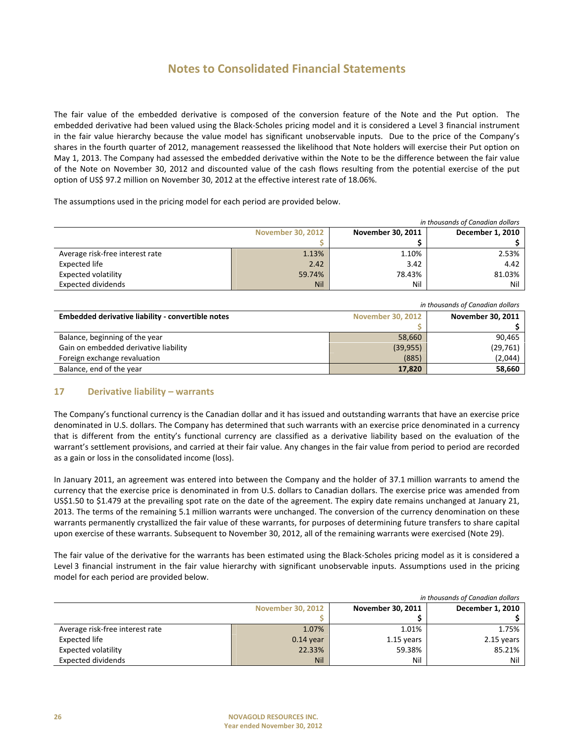The fair value of the embedded derivative is composed of the conversion feature of the Note and the Put option. The embedded derivative had been valued using the Black-Scholes pricing model and it is considered a Level 3 financial instrument in the fair value hierarchy because the value model has significant unobservable inputs. Due to the price of the Company's shares in the fourth quarter of 2012, management reassessed the likelihood that Note holders will exercise their Put option on May 1, 2013. The Company had assessed the embedded derivative within the Note to be the difference between the fair value of the Note on November 30, 2012 and discounted value of the cash flows resulting from the potential exercise of the put option of US\$ 97.2 million on November 30, 2012 at the effective interest rate of 18.06%.

The assumptions used in the pricing model for each period are provided below.

| in thousands of Canadian dollars |                                        |                  |        |  |  |  |
|----------------------------------|----------------------------------------|------------------|--------|--|--|--|
|                                  | November 30, 2012<br>November 30, 2011 | December 1, 2010 |        |  |  |  |
|                                  |                                        |                  |        |  |  |  |
| Average risk-free interest rate  | 1.13%                                  | 1.10%            | 2.53%  |  |  |  |
| Expected life                    | 2.42                                   | 3.42             | 4.42   |  |  |  |
| Expected volatility              | 59.74%                                 | 78.43%           | 81.03% |  |  |  |
| <b>Expected dividends</b>        | <b>Nil</b>                             | Nil              | Nil    |  |  |  |

in thousands of Canadian dollars

|                                                   | m thousands of canadian dollars |           |  |  |
|---------------------------------------------------|---------------------------------|-----------|--|--|
| Embedded derivative liability - convertible notes | <b>November 30, 2012</b>        |           |  |  |
|                                                   |                                 |           |  |  |
| Balance, beginning of the year                    | 58,660                          | 90,465    |  |  |
| Gain on embedded derivative liability             | (39, 955)                       | (29, 761) |  |  |
| Foreign exchange revaluation                      | (885)                           | (2,044)   |  |  |
| Balance, end of the year                          | 17,820                          | 58,660    |  |  |

# 17 Derivative liability – warrants

The Company's functional currency is the Canadian dollar and it has issued and outstanding warrants that have an exercise price denominated in U.S. dollars. The Company has determined that such warrants with an exercise price denominated in a currency that is different from the entity's functional currency are classified as a derivative liability based on the evaluation of the warrant's settlement provisions, and carried at their fair value. Any changes in the fair value from period to period are recorded as a gain or loss in the consolidated income (loss).

In January 2011, an agreement was entered into between the Company and the holder of 37.1 million warrants to amend the currency that the exercise price is denominated in from U.S. dollars to Canadian dollars. The exercise price was amended from US\$1.50 to \$1.479 at the prevailing spot rate on the date of the agreement. The expiry date remains unchanged at January 21, 2013. The terms of the remaining 5.1 million warrants were unchanged. The conversion of the currency denomination on these warrants permanently crystallized the fair value of these warrants, for purposes of determining future transfers to share capital upon exercise of these warrants. Subsequent to November 30, 2012, all of the remaining warrants were exercised (Note 29).

The fair value of the derivative for the warrants has been estimated using the Black-Scholes pricing model as it is considered a Level 3 financial instrument in the fair value hierarchy with significant unobservable inputs. Assumptions used in the pricing model for each period are provided below.

| in thousands of Canadian dollars |                   |                  |            |  |  |
|----------------------------------|-------------------|------------------|------------|--|--|
|                                  | November 30, 2011 | December 1, 2010 |            |  |  |
|                                  |                   |                  |            |  |  |
| Average risk-free interest rate  | 1.07%             | 1.01%            | 1.75%      |  |  |
| Expected life                    | $0.14$ year       | $1.15$ years     | 2.15 years |  |  |
| Expected volatility              | 22.33%            | 59.38%           | 85.21%     |  |  |
| <b>Expected dividends</b>        | <b>Nil</b>        | Nil              | Nil        |  |  |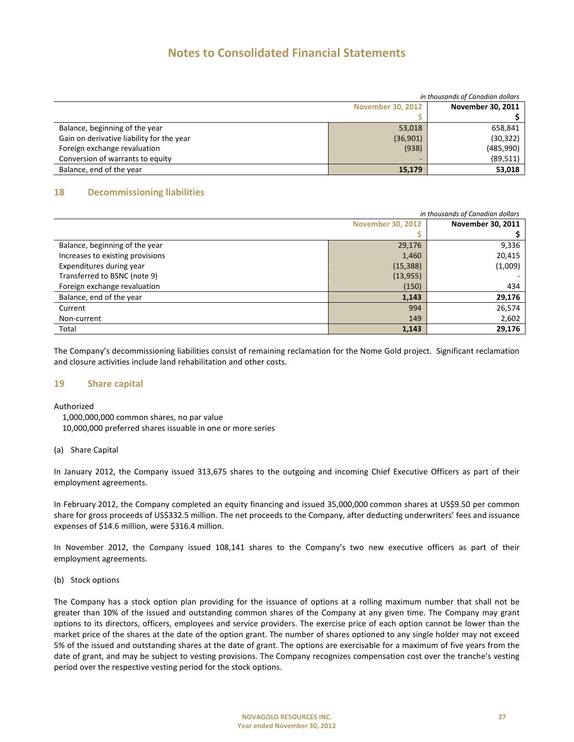| in thousands of Canadian dollars          |                          |                          |  |
|-------------------------------------------|--------------------------|--------------------------|--|
|                                           | <b>November 30, 2012</b> | <b>November 30, 2011</b> |  |
|                                           |                          |                          |  |
| Balance, beginning of the year            | 53,018                   | 658,841                  |  |
| Gain on derivative liability for the year | (36,901)                 | (30, 322)                |  |
| Foreign exchange revaluation              | (938)                    | (485,990)                |  |
| Conversion of warrants to equity          | -                        | (89, 511)                |  |
| Balance, end of the year                  | 15,179                   | 53,018                   |  |

# 18 Decommissioning liabilities

| in thousands of Canadian dollars |                          |                          |  |  |
|----------------------------------|--------------------------|--------------------------|--|--|
|                                  | <b>November 30, 2012</b> | <b>November 30, 2011</b> |  |  |
|                                  |                          |                          |  |  |
| Balance, beginning of the year   | 29,176                   | 9,336                    |  |  |
| Increases to existing provisions | 1,460                    | 20,415                   |  |  |
| Expenditures during year         | (15, 388)                | (1,009)                  |  |  |
| Transferred to BSNC (note 9)     | (13, 955)                |                          |  |  |
| Foreign exchange revaluation     | (150)                    | 434                      |  |  |
| Balance, end of the year         | 1,143                    | 29,176                   |  |  |
| Current                          | 994                      | 26,574                   |  |  |
| Non-current                      | 149                      | 2,602                    |  |  |
| Total                            | 1,143                    | 29,176                   |  |  |

The Company's decommissioning liabilities consist of remaining reclamation for the Nome Gold project. Significant reclamation and closure activities include land rehabilitation and other costs.

# 19 Share capital

## Authorized

1,000,000,000 common shares, no par value 10,000,000 preferred shares issuable in one or more series

## (a) Share Capital

In January 2012, the Company issued 313,675 shares to the outgoing and incoming Chief Executive Officers as part of their employment agreements.

In February 2012, the Company completed an equity financing and issued 35,000,000 common shares at US\$9.50 per common share for gross proceeds of US\$332.5 million. The net proceeds to the Company, after deducting underwriters' fees and issuance expenses of \$14.6 million, were \$316.4 million.

In November 2012, the Company issued 108,141 shares to the Company's two new executive officers as part of their employment agreements.

## (b) Stock options

The Company has a stock option plan providing for the issuance of options at a rolling maximum number that shall not be greater than 10% of the issued and outstanding common shares of the Company at any given time. The Company may grant options to its directors, officers, employees and service providers. The exercise price of each option cannot be lower than the market price of the shares at the date of the option grant. The number of shares optioned to any single holder may not exceed 5% of the issued and outstanding shares at the date of grant. The options are exercisable for a maximum of five years from the date of grant, and may be subject to vesting provisions. The Company recognizes compensation cost over the tranche's vesting period over the respective vesting period for the stock options.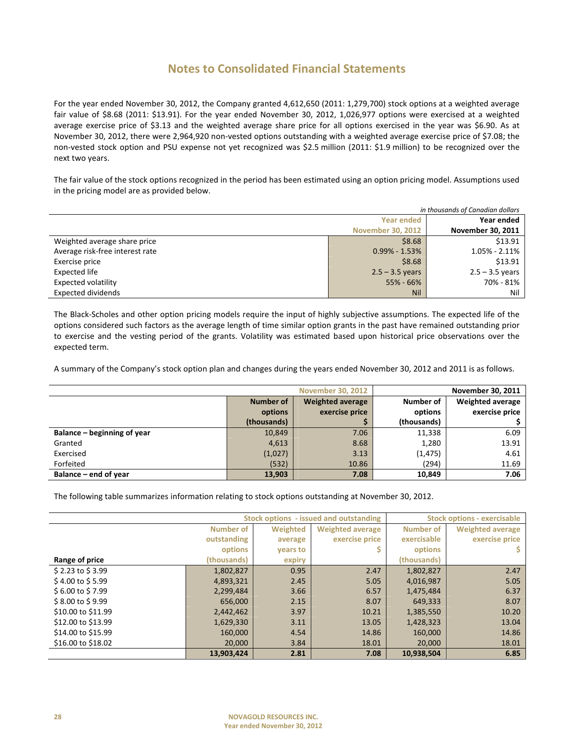For the year ended November 30, 2012, the Company granted 4,612,650 (2011: 1,279,700) stock options at a weighted average fair value of \$8.68 (2011: \$13.91). For the year ended November 30, 2012, 1,026,977 options were exercised at a weighted average exercise price of \$3.13 and the weighted average share price for all options exercised in the year was \$6.90. As at November 30, 2012, there were 2,964,920 non-vested options outstanding with a weighted average exercise price of \$7.08; the non-vested stock option and PSU expense not yet recognized was \$2.5 million (2011: \$1.9 million) to be recognized over the next two years.

The fair value of the stock options recognized in the period has been estimated using an option pricing model. Assumptions used in the pricing model are as provided below.

| in thousands of Canadian dollars |                          |                          |  |
|----------------------------------|--------------------------|--------------------------|--|
|                                  | <b>Year ended</b>        | Year ended               |  |
|                                  | <b>November 30, 2012</b> | <b>November 30, 2011</b> |  |
| Weighted average share price     | \$8.68                   | \$13.91                  |  |
| Average risk-free interest rate  | $0.99\% - 1.53\%$        | $1.05\% - 2.11\%$        |  |
| Exercise price                   | \$8.68                   | \$13.91                  |  |
| Expected life                    | $2.5 - 3.5$ years        | $2.5 - 3.5$ years        |  |
| <b>Expected volatility</b>       | $55\% - 66\%$            | 70% - 81%                |  |
| <b>Expected dividends</b>        | <b>Nil</b>               | Nil                      |  |

The Black-Scholes and other option pricing models require the input of highly subjective assumptions. The expected life of the options considered such factors as the average length of time similar option grants in the past have remained outstanding prior to exercise and the vesting period of the grants. Volatility was estimated based upon historical price observations over the expected term.

A summary of the Company's stock option plan and changes during the years ended November 30, 2012 and 2011 is as follows.

| <b>November 30, 2012</b>    |             |                         |             | <b>November 30, 2011</b> |
|-----------------------------|-------------|-------------------------|-------------|--------------------------|
|                             | Number of   | <b>Weighted average</b> | Number of   | <b>Weighted average</b>  |
|                             | options     | exercise price          | options     | exercise price           |
|                             | (thousands) |                         | (thousands) |                          |
| Balance – beginning of year | 10,849      | 7.06                    | 11,338      | 6.09                     |
| Granted                     | 4,613       | 8.68                    | 1,280       | 13.91                    |
| Exercised                   | (1,027)     | 3.13                    | (1, 475)    | 4.61                     |
| Forfeited                   | (532)       | 10.86                   | (294)       | 11.69                    |
| Balance – end of year       | 13,903      | 7.08                    | 10,849      | 7.06                     |

The following table summarizes information relating to stock options outstanding at November 30, 2012.

|                    | Stock options - issued and outstanding |          |                         |                  | <b>Stock options - exercisable</b> |
|--------------------|----------------------------------------|----------|-------------------------|------------------|------------------------------------|
|                    | Number of                              | Weighted | <b>Weighted average</b> | <b>Number of</b> | <b>Weighted average</b>            |
|                    | outstanding                            | average  | exercise price          | exercisable      | exercise price                     |
|                    | options                                | years to |                         | options          |                                    |
| Range of price     | (thousands)                            | expiry   |                         | (thousands)      |                                    |
| $$2.23$ to $$3.99$ | 1,802,827                              | 0.95     | 2.47                    | 1,802,827        | 2.47                               |
| \$4.00 to \$5.99   | 4,893,321                              | 2.45     | 5.05                    | 4,016,987        | 5.05                               |
| \$6.00 to \$7.99   | 2,299,484                              | 3.66     | 6.57                    | 1,475,484        | 6.37                               |
| \$8.00 to \$9.99   | 656,000                                | 2.15     | 8.07                    | 649.333          | 8.07                               |
| \$10.00 to \$11.99 | 2,442,462                              | 3.97     | 10.21                   | 1,385,550        | 10.20                              |
| \$12.00 to \$13.99 | 1,629,330                              | 3.11     | 13.05                   | 1,428,323        | 13.04                              |
| \$14.00 to \$15.99 | 160,000                                | 4.54     | 14.86                   | 160,000          | 14.86                              |
| \$16.00 to \$18.02 | 20,000                                 | 3.84     | 18.01                   | 20,000           | 18.01                              |
|                    | 13,903,424                             | 2.81     | 7.08                    | 10,938,504       | 6.85                               |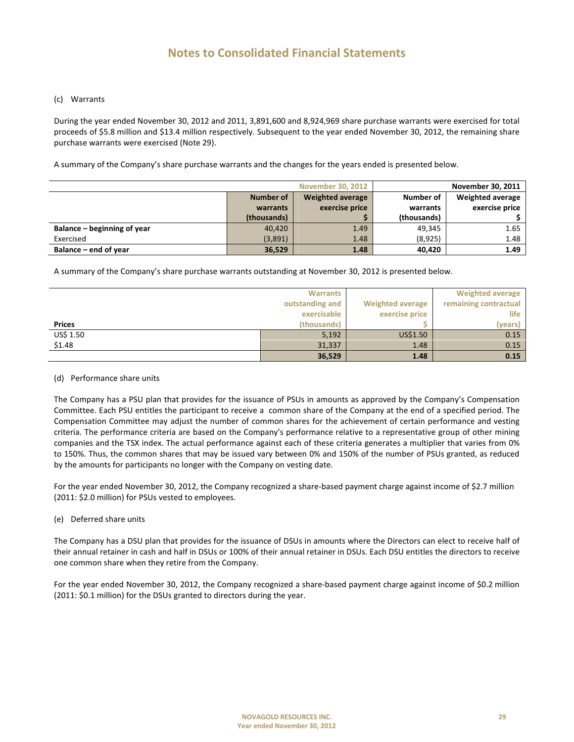## (c) Warrants

During the year ended November 30, 2012 and 2011, 3,891,600 and 8,924,969 share purchase warrants were exercised for total proceeds of \$5.8 million and \$13.4 million respectively. Subsequent to the year ended November 30, 2012, the remaining share purchase warrants were exercised (Note 29).

A summary of the Company's share purchase warrants and the changes for the years ended is presented below.

|                             |             | November 30, 2011       |             |                         |
|-----------------------------|-------------|-------------------------|-------------|-------------------------|
|                             | Number of   | <b>Weighted average</b> | Number of   | <b>Weighted average</b> |
|                             | warrants    | exercise price          | warrants    | exercise price          |
|                             | (thousands) |                         | (thousands) |                         |
| Balance – beginning of year | 40,420      | 1.49                    | 49.345      | 1.65                    |
| Exercised                   | (3,891)     | 1.48                    | (8,925)     | 1.48                    |
| Balance – end of year       | 36,529      | 1.48                    | 40,420      | 1.49                    |

A summary of the Company's share purchase warrants outstanding at November 30, 2012 is presented below.

|               | <b>Warrants</b> |                         | <b>Weighted average</b> |
|---------------|-----------------|-------------------------|-------------------------|
|               | outstanding and | <b>Weighted average</b> | remaining contractual   |
|               | exercisable     | exercise price          | life                    |
| <b>Prices</b> | (thousands)     |                         | (years)                 |
| US\$ 1.50     | 5,192           | US\$1.50                | 0.15                    |
| \$1.48        | 31,337          | 1.48                    | 0.15                    |
|               | 36,529          | 1.48                    | 0.15                    |

#### (d) Performance share units

The Company has a PSU plan that provides for the issuance of PSUs in amounts as approved by the Company's Compensation Committee. Each PSU entitles the participant to receive a common share of the Company at the end of a specified period. The Compensation Committee may adjust the number of common shares for the achievement of certain performance and vesting criteria. The performance criteria are based on the Company's performance relative to a representative group of other mining companies and the TSX index. The actual performance against each of these criteria generates a multiplier that varies from 0% to 150%. Thus, the common shares that may be issued vary between 0% and 150% of the number of PSUs granted, as reduced by the amounts for participants no longer with the Company on vesting date.

For the year ended November 30, 2012, the Company recognized a share-based payment charge against income of \$2.7 million (2011: \$2.0 million) for PSUs vested to employees.

## (e) Deferred share units

The Company has a DSU plan that provides for the issuance of DSUs in amounts where the Directors can elect to receive half of their annual retainer in cash and half in DSUs or 100% of their annual retainer in DSUs. Each DSU entitles the directors to receive one common share when they retire from the Company.

For the year ended November 30, 2012, the Company recognized a share-based payment charge against income of \$0.2 million (2011: \$0.1 million) for the DSUs granted to directors during the year.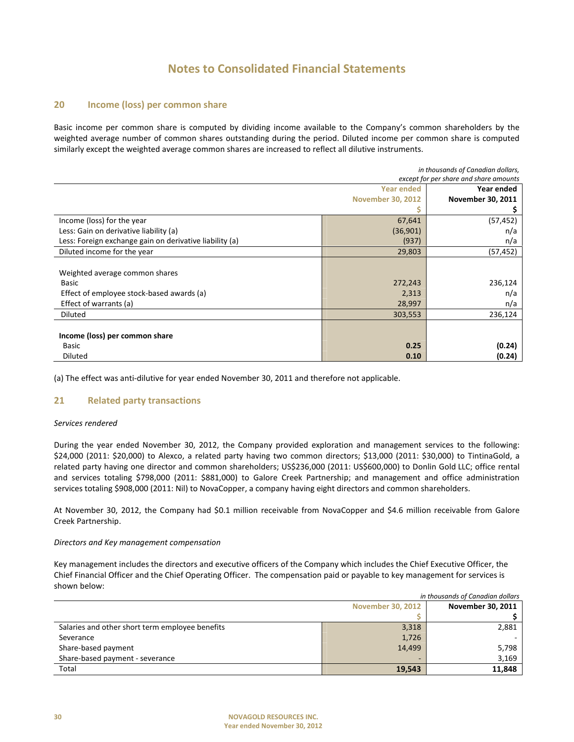# 20 Income (loss) per common share

Basic income per common share is computed by dividing income available to the Company's common shareholders by the weighted average number of common shares outstanding during the period. Diluted income per common share is computed similarly except the weighted average common shares are increased to reflect all dilutive instruments.

| in thousands of Canadian dollars,<br>except for per share and share amounts |                          |                          |  |  |
|-----------------------------------------------------------------------------|--------------------------|--------------------------|--|--|
|                                                                             | <b>Year ended</b>        | Year ended               |  |  |
|                                                                             | <b>November 30, 2012</b> | <b>November 30, 2011</b> |  |  |
|                                                                             |                          |                          |  |  |
| Income (loss) for the year                                                  | 67,641                   | (57, 452)                |  |  |
| Less: Gain on derivative liability (a)                                      | (36,901)                 | n/a                      |  |  |
| Less: Foreign exchange gain on derivative liability (a)                     | (937)                    | n/a                      |  |  |
| Diluted income for the year                                                 | 29,803                   | (57, 452)                |  |  |
| Weighted average common shares                                              |                          |                          |  |  |
| Basic                                                                       | 272,243                  | 236,124                  |  |  |
| Effect of employee stock-based awards (a)                                   | 2,313                    | n/a                      |  |  |
| Effect of warrants (a)                                                      | 28,997                   | n/a                      |  |  |
| <b>Diluted</b>                                                              | 303,553                  | 236,124                  |  |  |
|                                                                             |                          |                          |  |  |
| Income (loss) per common share                                              |                          |                          |  |  |
| <b>Basic</b>                                                                | 0.25                     | (0.24)                   |  |  |
| <b>Diluted</b>                                                              | 0.10                     | (0.24)                   |  |  |

(a) The effect was anti-dilutive for year ended November 30, 2011 and therefore not applicable.

## 21 Related party transactions

#### Services rendered

During the year ended November 30, 2012, the Company provided exploration and management services to the following: \$24,000 (2011: \$20,000) to Alexco, a related party having two common directors; \$13,000 (2011: \$30,000) to TintinaGold, a related party having one director and common shareholders; US\$236,000 (2011: US\$600,000) to Donlin Gold LLC; office rental and services totaling \$798,000 (2011: \$881,000) to Galore Creek Partnership; and management and office administration services totaling \$908,000 (2011: Nil) to NovaCopper, a company having eight directors and common shareholders.

At November 30, 2012, the Company had \$0.1 million receivable from NovaCopper and \$4.6 million receivable from Galore Creek Partnership.

### Directors and Key management compensation

Key management includes the directors and executive officers of the Company which includes the Chief Executive Officer, the Chief Financial Officer and the Chief Operating Officer. The compensation paid or payable to key management for services is shown below:

| in thousands of Canadian dollars                |                          |                          |  |  |
|-------------------------------------------------|--------------------------|--------------------------|--|--|
|                                                 | <b>November 30, 2012</b> | <b>November 30, 2011</b> |  |  |
|                                                 |                          |                          |  |  |
| Salaries and other short term employee benefits | 3,318                    | 2,881                    |  |  |
| Severance                                       | 1,726                    |                          |  |  |
| Share-based payment                             | 14.499                   | 5,798                    |  |  |
| Share-based payment - severance                 | -                        | 3.169                    |  |  |
| Total                                           | 19.543                   | 11,848                   |  |  |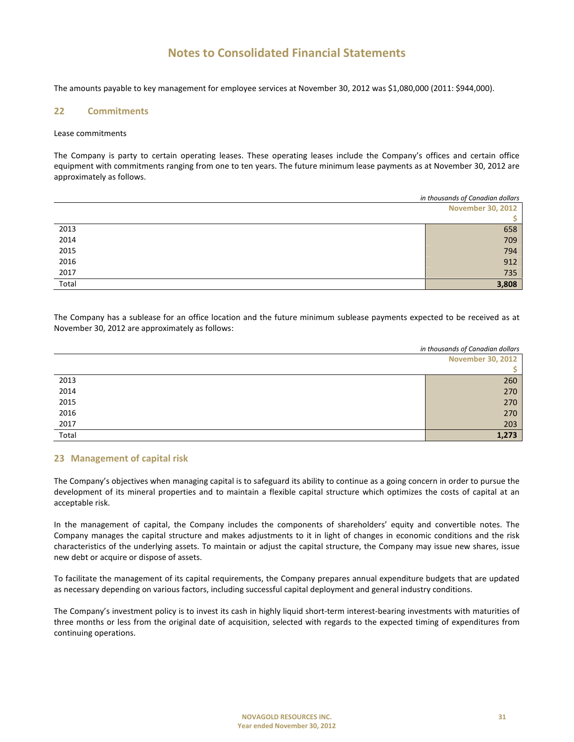The amounts payable to key management for employee services at November 30, 2012 was \$1,080,000 (2011: \$944,000).

# 22 Commitments

#### Lease commitments

The Company is party to certain operating leases. These operating leases include the Company's offices and certain office equipment with commitments ranging from one to ten years. The future minimum lease payments as at November 30, 2012 are approximately as follows.

|       | in thousands of Canadian dollars |
|-------|----------------------------------|
|       | <b>November 30, 2012</b>         |
|       |                                  |
| 2013  | 658                              |
| 2014  | 709                              |
| 2015  | 794                              |
| 2016  | 912                              |
| 2017  | 735                              |
| Total | 3,808                            |

The Company has a sublease for an office location and the future minimum sublease payments expected to be received as at November 30, 2012 are approximately as follows:

|       | in thousands of Canadian dollars |
|-------|----------------------------------|
|       | <b>November 30, 2012</b>         |
|       |                                  |
| 2013  | 260                              |
| 2014  | 270                              |
| 2015  | 270                              |
| 2016  | 270                              |
| 2017  | 203                              |
| Total | 1,273                            |

# 23 Management of capital risk

The Company's objectives when managing capital is to safeguard its ability to continue as a going concern in order to pursue the development of its mineral properties and to maintain a flexible capital structure which optimizes the costs of capital at an acceptable risk.

In the management of capital, the Company includes the components of shareholders' equity and convertible notes. The Company manages the capital structure and makes adjustments to it in light of changes in economic conditions and the risk characteristics of the underlying assets. To maintain or adjust the capital structure, the Company may issue new shares, issue new debt or acquire or dispose of assets.

To facilitate the management of its capital requirements, the Company prepares annual expenditure budgets that are updated as necessary depending on various factors, including successful capital deployment and general industry conditions.

The Company's investment policy is to invest its cash in highly liquid short-term interest-bearing investments with maturities of three months or less from the original date of acquisition, selected with regards to the expected timing of expenditures from continuing operations.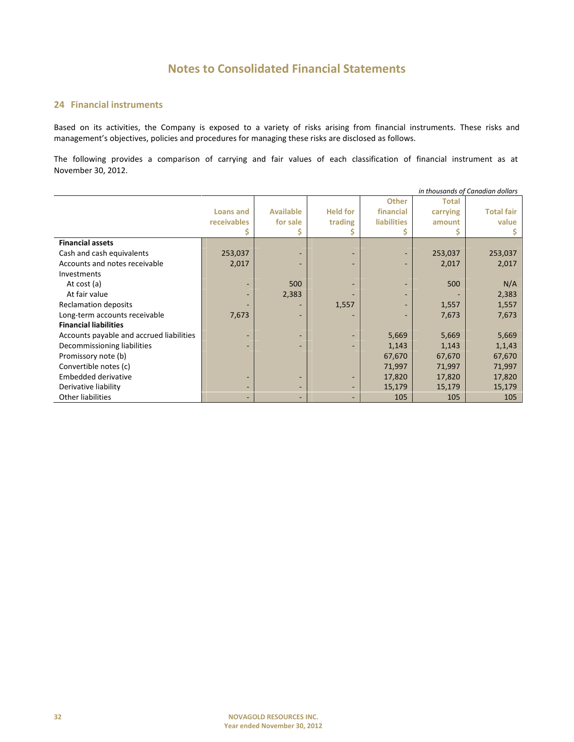# 24 Financial instruments

Based on its activities, the Company is exposed to a variety of risks arising from financial instruments. These risks and management's objectives, policies and procedures for managing these risks are disclosed as follows.

The following provides a comparison of carrying and fair values of each classification of financial instrument as at November 30, 2012.

| in thousands of Canadian dollars         |                  |                  |                 |                    |              |                   |
|------------------------------------------|------------------|------------------|-----------------|--------------------|--------------|-------------------|
|                                          |                  |                  |                 | <b>Other</b>       | <b>Total</b> |                   |
|                                          | <b>Loans and</b> | <b>Available</b> | <b>Held for</b> | financial          | carrying     | <b>Total fair</b> |
|                                          | receivables      | for sale         | trading         | <b>liabilities</b> | amount       | value             |
|                                          |                  |                  |                 | Ş                  |              |                   |
| <b>Financial assets</b>                  |                  |                  |                 |                    |              |                   |
| Cash and cash equivalents                | 253,037          |                  |                 | ٠                  | 253,037      | 253,037           |
| Accounts and notes receivable            | 2,017            |                  |                 | ۰                  | 2,017        | 2,017             |
| Investments                              |                  |                  |                 |                    |              |                   |
| At cost $(a)$                            |                  | 500              |                 | ٠                  | 500          | N/A               |
| At fair value                            |                  | 2,383            |                 | ٠                  |              | 2,383             |
| <b>Reclamation deposits</b>              |                  |                  | 1,557           | ۰                  | 1,557        | 1,557             |
| Long-term accounts receivable            | 7,673            |                  |                 |                    | 7,673        | 7,673             |
| <b>Financial liabilities</b>             |                  |                  |                 |                    |              |                   |
| Accounts payable and accrued liabilities |                  |                  |                 | 5,669              | 5,669        | 5,669             |
| Decommissioning liabilities              |                  |                  |                 | 1,143              | 1,143        | 1,1,43            |
| Promissory note (b)                      |                  |                  |                 | 67,670             | 67,670       | 67,670            |
| Convertible notes (c)                    |                  |                  |                 | 71,997             | 71,997       | 71,997            |
| Embedded derivative                      |                  |                  |                 | 17,820             | 17,820       | 17,820            |
| Derivative liability                     |                  |                  |                 | 15,179             | 15,179       | 15,179            |
| <b>Other liabilities</b>                 |                  |                  |                 | 105                | 105          | 105               |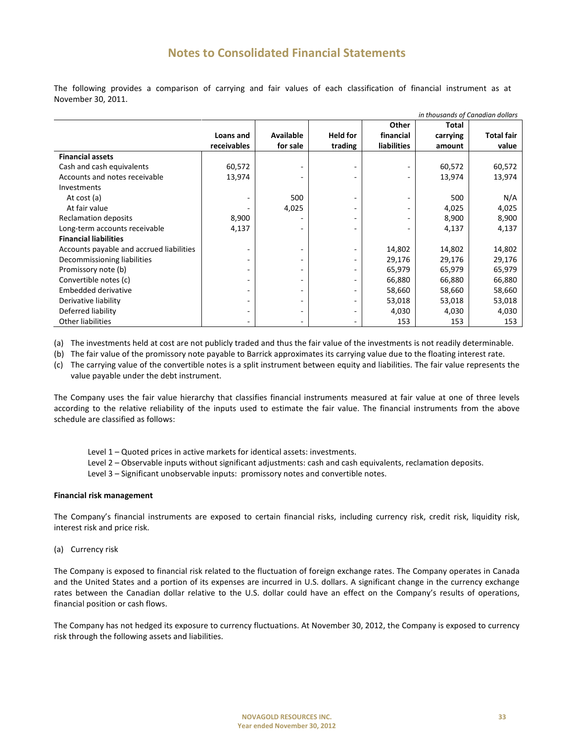The following provides a comparison of carrying and fair values of each classification of financial instrument as at November 30, 2011.

|                                          | in thousands of Canadian dollars |                  |                          |                    |              |                   |
|------------------------------------------|----------------------------------|------------------|--------------------------|--------------------|--------------|-------------------|
|                                          |                                  |                  |                          | Other              | <b>Total</b> |                   |
|                                          | Loans and                        | <b>Available</b> | <b>Held for</b>          | financial          | carrying     | <b>Total fair</b> |
|                                          | receivables                      | for sale         | trading                  | <b>liabilities</b> | amount       | value             |
| <b>Financial assets</b>                  |                                  |                  |                          |                    |              |                   |
| Cash and cash equivalents                | 60,572                           |                  | ۰                        |                    | 60,572       | 60,572            |
| Accounts and notes receivable            | 13,974                           |                  |                          |                    | 13,974       | 13,974            |
| Investments                              |                                  |                  |                          |                    |              |                   |
| At cost (a)                              |                                  | 500              | ٠                        |                    | 500          | N/A               |
| At fair value                            |                                  | 4,025            | ۰                        |                    | 4,025        | 4,025             |
| <b>Reclamation deposits</b>              | 8,900                            |                  | $\overline{\phantom{a}}$ |                    | 8,900        | 8,900             |
| Long-term accounts receivable            | 4,137                            |                  | ٠                        |                    | 4,137        | 4,137             |
| <b>Financial liabilities</b>             |                                  |                  |                          |                    |              |                   |
| Accounts payable and accrued liabilities |                                  |                  | ۰                        | 14,802             | 14,802       | 14,802            |
| Decommissioning liabilities              |                                  |                  | ٠                        | 29,176             | 29,176       | 29,176            |
| Promissory note (b)                      |                                  |                  | ۰                        | 65,979             | 65,979       | 65,979            |
| Convertible notes (c)                    |                                  |                  | ۰                        | 66,880             | 66,880       | 66,880            |
| Embedded derivative                      |                                  |                  | ۰                        | 58,660             | 58,660       | 58,660            |
| Derivative liability                     |                                  | ۰                | ۰                        | 53,018             | 53,018       | 53,018            |
| Deferred liability                       |                                  |                  | ۰                        | 4,030              | 4,030        | 4,030             |
| Other liabilities                        |                                  |                  | -                        | 153                | 153          | 153               |

(a) The investments held at cost are not publicly traded and thus the fair value of the investments is not readily determinable.

(b) The fair value of the promissory note payable to Barrick approximates its carrying value due to the floating interest rate.

(c) The carrying value of the convertible notes is a split instrument between equity and liabilities. The fair value represents the value payable under the debt instrument.

The Company uses the fair value hierarchy that classifies financial instruments measured at fair value at one of three levels according to the relative reliability of the inputs used to estimate the fair value. The financial instruments from the above schedule are classified as follows:

- Level 1 Quoted prices in active markets for identical assets: investments.
- Level 2 Observable inputs without significant adjustments: cash and cash equivalents, reclamation deposits.
- Level 3 Significant unobservable inputs: promissory notes and convertible notes.

#### Financial risk management

The Company's financial instruments are exposed to certain financial risks, including currency risk, credit risk, liquidity risk, interest risk and price risk.

(a) Currency risk

The Company is exposed to financial risk related to the fluctuation of foreign exchange rates. The Company operates in Canada and the United States and a portion of its expenses are incurred in U.S. dollars. A significant change in the currency exchange rates between the Canadian dollar relative to the U.S. dollar could have an effect on the Company's results of operations, financial position or cash flows.

The Company has not hedged its exposure to currency fluctuations. At November 30, 2012, the Company is exposed to currency risk through the following assets and liabilities.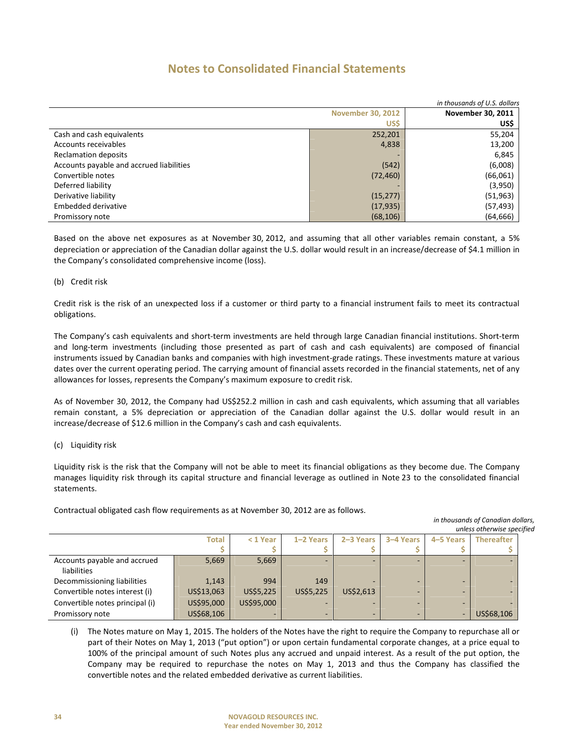| in thousands of U.S. dollars             |                          |                          |  |  |
|------------------------------------------|--------------------------|--------------------------|--|--|
|                                          | <b>November 30, 2012</b> | <b>November 30, 2011</b> |  |  |
|                                          | <b>USS</b>               | US\$                     |  |  |
| Cash and cash equivalents                | 252,201                  | 55,204                   |  |  |
| Accounts receivables                     | 4,838                    | 13,200                   |  |  |
| <b>Reclamation deposits</b>              |                          | 6,845                    |  |  |
| Accounts payable and accrued liabilities | (542)                    | (6,008)                  |  |  |
| Convertible notes                        | (72, 460)                | (66,061)                 |  |  |
| Deferred liability                       |                          | (3,950)                  |  |  |
| Derivative liability                     | (15, 277)                | (51, 963)                |  |  |
| Embedded derivative                      | (17, 935)                | (57, 493)                |  |  |
| Promissory note                          | (68, 106)                | (64, 666)                |  |  |

Based on the above net exposures as at November 30, 2012, and assuming that all other variables remain constant, a 5% depreciation or appreciation of the Canadian dollar against the U.S. dollar would result in an increase/decrease of \$4.1 million in the Company's consolidated comprehensive income (loss).

## (b) Credit risk

Credit risk is the risk of an unexpected loss if a customer or third party to a financial instrument fails to meet its contractual obligations.

The Company's cash equivalents and short-term investments are held through large Canadian financial institutions. Short-term and long-term investments (including those presented as part of cash and cash equivalents) are composed of financial instruments issued by Canadian banks and companies with high investment-grade ratings. These investments mature at various dates over the current operating period. The carrying amount of financial assets recorded in the financial statements, net of any allowances for losses, represents the Company's maximum exposure to credit risk.

As of November 30, 2012, the Company had US\$252.2 million in cash and cash equivalents, which assuming that all variables remain constant, a 5% depreciation or appreciation of the Canadian dollar against the U.S. dollar would result in an increase/decrease of \$12.6 million in the Company's cash and cash equivalents.

## (c) Liquidity risk

Liquidity risk is the risk that the Company will not be able to meet its financial obligations as they become due. The Company manages liquidity risk through its capital structure and financial leverage as outlined in Note 23 to the consolidated financial statements.

Contractual obligated cash flow requirements as at November 30, 2012 are as follows.

in thousands of Canadian dollars, unless otherwise specified

|                                 | Total      | $<$ 1 Year | 1-2 Years | 2-3 Years | 3-4 Years | 4-5 Years | <b>Thereafter</b> |
|---------------------------------|------------|------------|-----------|-----------|-----------|-----------|-------------------|
|                                 |            |            |           |           |           |           |                   |
| Accounts payable and accrued    | 5,669      | 5,669      |           |           | -         |           |                   |
| liabilities                     |            |            |           |           |           |           |                   |
| Decommissioning liabilities     | 1,143      | 994        | 149       |           |           |           |                   |
| Convertible notes interest (i)  | US\$13,063 | US\$5,225  | US\$5,225 | US\$2,613 | -         | -         |                   |
| Convertible notes principal (i) | US\$95,000 | US\$95,000 |           |           |           |           |                   |
| Promissory note                 | US\$68,106 |            | -         |           | -         |           | US\$68,106        |

(i) The Notes mature on May 1, 2015. The holders of the Notes have the right to require the Company to repurchase all or part of their Notes on May 1, 2013 ("put option") or upon certain fundamental corporate changes, at a price equal to 100% of the principal amount of such Notes plus any accrued and unpaid interest. As a result of the put option, the Company may be required to repurchase the notes on May 1, 2013 and thus the Company has classified the convertible notes and the related embedded derivative as current liabilities.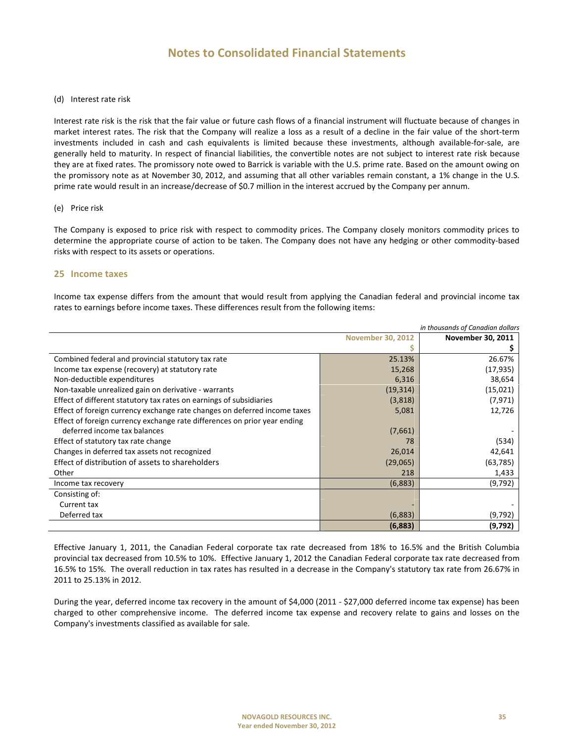(d) Interest rate risk

Interest rate risk is the risk that the fair value or future cash flows of a financial instrument will fluctuate because of changes in market interest rates. The risk that the Company will realize a loss as a result of a decline in the fair value of the short-term investments included in cash and cash equivalents is limited because these investments, although available-for-sale, are generally held to maturity. In respect of financial liabilities, the convertible notes are not subject to interest rate risk because they are at fixed rates. The promissory note owed to Barrick is variable with the U.S. prime rate. Based on the amount owing on the promissory note as at November 30, 2012, and assuming that all other variables remain constant, a 1% change in the U.S. prime rate would result in an increase/decrease of \$0.7 million in the interest accrued by the Company per annum.

#### (e) Price risk

The Company is exposed to price risk with respect to commodity prices. The Company closely monitors commodity prices to determine the appropriate course of action to be taken. The Company does not have any hedging or other commodity-based risks with respect to its assets or operations.

#### 25 Income taxes

Income tax expense differs from the amount that would result from applying the Canadian federal and provincial income tax rates to earnings before income taxes. These differences result from the following items:

| in thousands of Canadian dollars                                          |                          |                   |  |  |
|---------------------------------------------------------------------------|--------------------------|-------------------|--|--|
|                                                                           | <b>November 30, 2012</b> | November 30, 2011 |  |  |
|                                                                           |                          |                   |  |  |
| Combined federal and provincial statutory tax rate                        | 25.13%                   | 26.67%            |  |  |
| Income tax expense (recovery) at statutory rate                           | 15,268                   | (17, 935)         |  |  |
| Non-deductible expenditures                                               | 6,316                    | 38,654            |  |  |
| Non-taxable unrealized gain on derivative - warrants                      | (19, 314)                | (15,021)          |  |  |
| Effect of different statutory tax rates on earnings of subsidiaries       | (3,818)                  | (7, 971)          |  |  |
| Effect of foreign currency exchange rate changes on deferred income taxes | 5,081                    | 12,726            |  |  |
| Effect of foreign currency exchange rate differences on prior year ending |                          |                   |  |  |
| deferred income tax balances                                              | (7,661)                  |                   |  |  |
| Effect of statutory tax rate change                                       | 78                       | (534)             |  |  |
| Changes in deferred tax assets not recognized                             | 26,014                   | 42,641            |  |  |
| Effect of distribution of assets to shareholders                          | (29,065)                 | (63, 785)         |  |  |
| Other                                                                     | 218                      | 1,433             |  |  |
| Income tax recovery                                                       | (6,883)                  | (9, 792)          |  |  |
| Consisting of:                                                            |                          |                   |  |  |
| Current tax                                                               |                          |                   |  |  |
| Deferred tax                                                              | (6,883)                  | (9, 792)          |  |  |
|                                                                           | (6,883)                  | (9,792)           |  |  |

Effective January 1, 2011, the Canadian Federal corporate tax rate decreased from 18% to 16.5% and the British Columbia provincial tax decreased from 10.5% to 10%. Effective January 1, 2012 the Canadian Federal corporate tax rate decreased from 16.5% to 15%. The overall reduction in tax rates has resulted in a decrease in the Company's statutory tax rate from 26.67% in 2011 to 25.13% in 2012.

During the year, deferred income tax recovery in the amount of \$4,000 (2011 - \$27,000 deferred income tax expense) has been charged to other comprehensive income. The deferred income tax expense and recovery relate to gains and losses on the Company's investments classified as available for sale.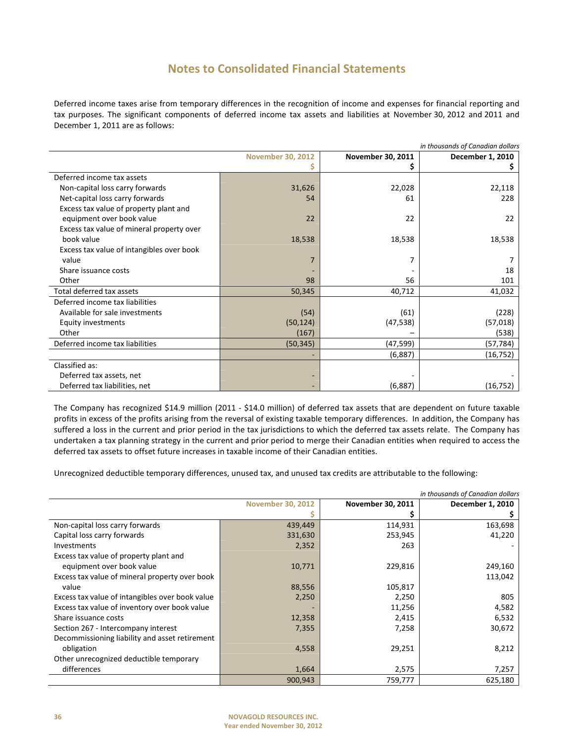Deferred income taxes arise from temporary differences in the recognition of income and expenses for financial reporting and tax purposes. The significant components of deferred income tax assets and liabilities at November 30, 2012 and 2011 and December 1, 2011 are as follows:

| in thousands of Canadian dollars          |                          |                   |                  |  |  |  |
|-------------------------------------------|--------------------------|-------------------|------------------|--|--|--|
|                                           | <b>November 30, 2012</b> | November 30, 2011 | December 1, 2010 |  |  |  |
|                                           |                          |                   |                  |  |  |  |
| Deferred income tax assets                |                          |                   |                  |  |  |  |
| Non-capital loss carry forwards           | 31,626                   | 22,028            | 22,118           |  |  |  |
| Net-capital loss carry forwards           | 54                       | 61                | 228              |  |  |  |
| Excess tax value of property plant and    |                          |                   |                  |  |  |  |
| equipment over book value                 | 22                       | 22                | 22               |  |  |  |
| Excess tax value of mineral property over |                          |                   |                  |  |  |  |
| book value                                | 18,538                   | 18,538            | 18,538           |  |  |  |
| Excess tax value of intangibles over book |                          |                   |                  |  |  |  |
| value                                     |                          |                   |                  |  |  |  |
| Share issuance costs                      |                          |                   | 18               |  |  |  |
| Other                                     | 98                       | 56                | 101              |  |  |  |
| Total deferred tax assets                 | 50,345                   | 40,712            | 41,032           |  |  |  |
| Deferred income tax liabilities           |                          |                   |                  |  |  |  |
| Available for sale investments            | (54)                     | (61)              | (228)            |  |  |  |
| Equity investments                        | (50, 124)                | (47, 538)         | (57, 018)        |  |  |  |
| Other                                     | (167)                    |                   | (538)            |  |  |  |
| Deferred income tax liabilities           | (50, 345)                | (47,599)          | (57, 784)        |  |  |  |
|                                           |                          | (6,887)           | (16, 752)        |  |  |  |
| Classified as:                            |                          |                   |                  |  |  |  |
| Deferred tax assets, net                  |                          |                   |                  |  |  |  |
| Deferred tax liabilities, net             |                          | (6,887)           | (16, 752)        |  |  |  |

The Company has recognized \$14.9 million (2011 - \$14.0 million) of deferred tax assets that are dependent on future taxable profits in excess of the profits arising from the reversal of existing taxable temporary differences. In addition, the Company has suffered a loss in the current and prior period in the tax jurisdictions to which the deferred tax assets relate. The Company has undertaken a tax planning strategy in the current and prior period to merge their Canadian entities when required to access the deferred tax assets to offset future increases in taxable income of their Canadian entities.

Unrecognized deductible temporary differences, unused tax, and unused tax credits are attributable to the following:

|                                                 |                          |                   | in thousands of Canadian dollars |
|-------------------------------------------------|--------------------------|-------------------|----------------------------------|
|                                                 | <b>November 30, 2012</b> | November 30, 2011 | December 1, 2010                 |
|                                                 |                          |                   |                                  |
| Non-capital loss carry forwards                 | 439,449                  | 114,931           | 163,698                          |
| Capital loss carry forwards                     | 331,630                  | 253,945           | 41,220                           |
| Investments                                     | 2,352                    | 263               |                                  |
| Excess tax value of property plant and          |                          |                   |                                  |
| equipment over book value                       | 10,771                   | 229,816           | 249,160                          |
| Excess tax value of mineral property over book  |                          |                   | 113,042                          |
| value                                           | 88,556                   | 105,817           |                                  |
| Excess tax value of intangibles over book value | 2,250                    | 2,250             | 805                              |
| Excess tax value of inventory over book value   |                          | 11,256            | 4,582                            |
| Share issuance costs                            | 12,358                   | 2,415             | 6,532                            |
| Section 267 - Intercompany interest             | 7,355                    | 7,258             | 30,672                           |
| Decommissioning liability and asset retirement  |                          |                   |                                  |
| obligation                                      | 4,558                    | 29,251            | 8,212                            |
| Other unrecognized deductible temporary         |                          |                   |                                  |
| differences                                     | 1,664                    | 2,575             | 7,257                            |
|                                                 | 900,943                  | 759,777           | 625,180                          |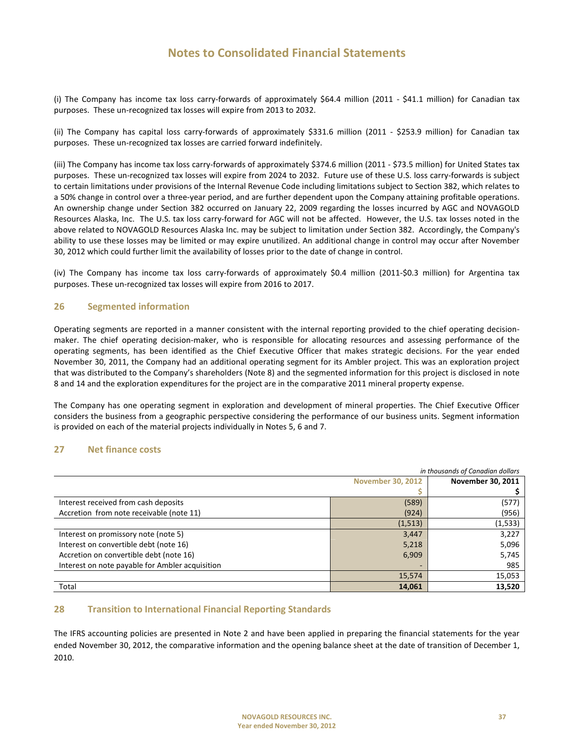(i) The Company has income tax loss carry-forwards of approximately \$64.4 million (2011 - \$41.1 million) for Canadian tax purposes. These un-recognized tax losses will expire from 2013 to 2032.

(ii) The Company has capital loss carry-forwards of approximately \$331.6 million (2011 - \$253.9 million) for Canadian tax purposes. These un-recognized tax losses are carried forward indefinitely.

(iii) The Company has income tax loss carry-forwards of approximately \$374.6 million (2011 - \$73.5 million) for United States tax purposes. These un-recognized tax losses will expire from 2024 to 2032. Future use of these U.S. loss carry-forwards is subject to certain limitations under provisions of the Internal Revenue Code including limitations subject to Section 382, which relates to a 50% change in control over a three-year period, and are further dependent upon the Company attaining profitable operations. An ownership change under Section 382 occurred on January 22, 2009 regarding the losses incurred by AGC and NOVAGOLD Resources Alaska, Inc. The U.S. tax loss carry-forward for AGC will not be affected. However, the U.S. tax losses noted in the above related to NOVAGOLD Resources Alaska Inc. may be subject to limitation under Section 382. Accordingly, the Company's ability to use these losses may be limited or may expire unutilized. An additional change in control may occur after November 30, 2012 which could further limit the availability of losses prior to the date of change in control.

(iv) The Company has income tax loss carry-forwards of approximately \$0.4 million (2011-\$0.3 million) for Argentina tax purposes. These un-recognized tax losses will expire from 2016 to 2017.

# 26 Segmented information

Operating segments are reported in a manner consistent with the internal reporting provided to the chief operating decisionmaker. The chief operating decision-maker, who is responsible for allocating resources and assessing performance of the operating segments, has been identified as the Chief Executive Officer that makes strategic decisions. For the year ended November 30, 2011, the Company had an additional operating segment for its Ambler project. This was an exploration project that was distributed to the Company's shareholders (Note 8) and the segmented information for this project is disclosed in note 8 and 14 and the exploration expenditures for the project are in the comparative 2011 mineral property expense.

The Company has one operating segment in exploration and development of mineral properties. The Chief Executive Officer considers the business from a geographic perspective considering the performance of our business units. Segment information is provided on each of the material projects individually in Notes 5, 6 and 7.

# 27 Net finance costs

| in thousands of Canadian dollars                |                          |                          |
|-------------------------------------------------|--------------------------|--------------------------|
|                                                 | <b>November 30, 2012</b> | <b>November 30, 2011</b> |
|                                                 |                          |                          |
| Interest received from cash deposits            | (589)                    | (577)                    |
| Accretion from note receivable (note 11)        | (924)                    | (956)                    |
|                                                 | (1, 513)                 | (1, 533)                 |
| Interest on promissory note (note 5)            | 3,447                    | 3,227                    |
| Interest on convertible debt (note 16)          | 5,218                    | 5,096                    |
| Accretion on convertible debt (note 16)         | 6,909                    | 5,745                    |
| Interest on note payable for Ambler acquisition | -                        | 985                      |
|                                                 | 15,574                   | 15,053                   |
| Total                                           | 14,061                   | 13,520                   |

# 28 Transition to International Financial Reporting Standards

The IFRS accounting policies are presented in Note 2 and have been applied in preparing the financial statements for the year ended November 30, 2012, the comparative information and the opening balance sheet at the date of transition of December 1, 2010.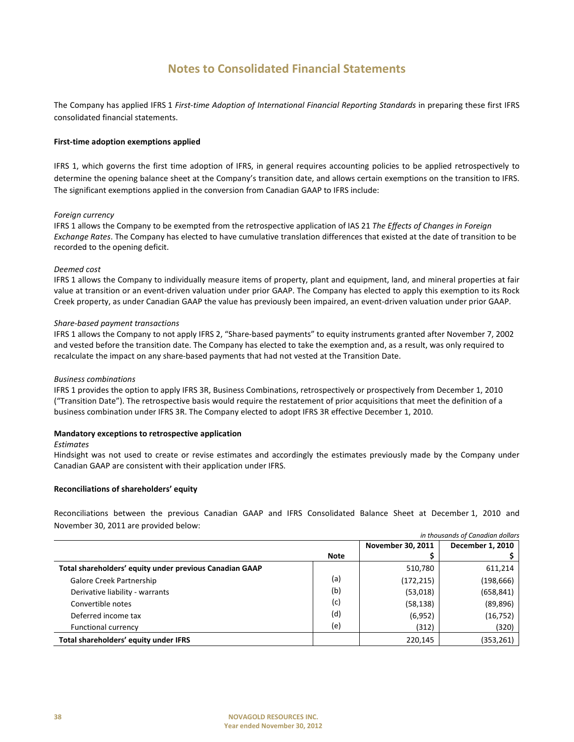The Company has applied IFRS 1 First-time Adoption of International Financial Reporting Standards in preparing these first IFRS consolidated financial statements.

## First-time adoption exemptions applied

IFRS 1, which governs the first time adoption of IFRS, in general requires accounting policies to be applied retrospectively to determine the opening balance sheet at the Company's transition date, and allows certain exemptions on the transition to IFRS. The significant exemptions applied in the conversion from Canadian GAAP to IFRS include:

#### Foreign currency

IFRS 1 allows the Company to be exempted from the retrospective application of IAS 21 The Effects of Changes in Foreign Exchange Rates. The Company has elected to have cumulative translation differences that existed at the date of transition to be recorded to the opening deficit.

#### Deemed cost

IFRS 1 allows the Company to individually measure items of property, plant and equipment, land, and mineral properties at fair value at transition or an event-driven valuation under prior GAAP. The Company has elected to apply this exemption to its Rock Creek property, as under Canadian GAAP the value has previously been impaired, an event-driven valuation under prior GAAP.

## Share-based payment transactions

IFRS 1 allows the Company to not apply IFRS 2, "Share-based payments" to equity instruments granted after November 7, 2002 and vested before the transition date. The Company has elected to take the exemption and, as a result, was only required to recalculate the impact on any share-based payments that had not vested at the Transition Date.

#### Business combinations

IFRS 1 provides the option to apply IFRS 3R, Business Combinations, retrospectively or prospectively from December 1, 2010 ("Transition Date"). The retrospective basis would require the restatement of prior acquisitions that meet the definition of a business combination under IFRS 3R. The Company elected to adopt IFRS 3R effective December 1, 2010.

## Mandatory exceptions to retrospective application

#### Estimates

Hindsight was not used to create or revise estimates and accordingly the estimates previously made by the Company under Canadian GAAP are consistent with their application under IFRS.

#### Reconciliations of shareholders' equity

Reconciliations between the previous Canadian GAAP and IFRS Consolidated Balance Sheet at December 1, 2010 and November 30, 2011 are provided below:

| in thousands of Canadian dollars                        |             |                          |                  |
|---------------------------------------------------------|-------------|--------------------------|------------------|
|                                                         |             | <b>November 30, 2011</b> | December 1, 2010 |
|                                                         | <b>Note</b> |                          |                  |
| Total shareholders' equity under previous Canadian GAAP |             | 510,780                  | 611,214          |
| Galore Creek Partnership                                | (a)         | (172, 215)               | (198, 666)       |
| Derivative liability - warrants                         | (b)         | (53,018)                 | (658, 841)       |
| Convertible notes                                       | (c)         | (58, 138)                | (89, 896)        |
| Deferred income tax                                     | (d)         | (6, 952)                 | (16, 752)        |
| <b>Functional currency</b>                              | (e)         | (312)                    | (320)            |
| Total shareholders' equity under IFRS                   |             | 220,145                  | (353,261)        |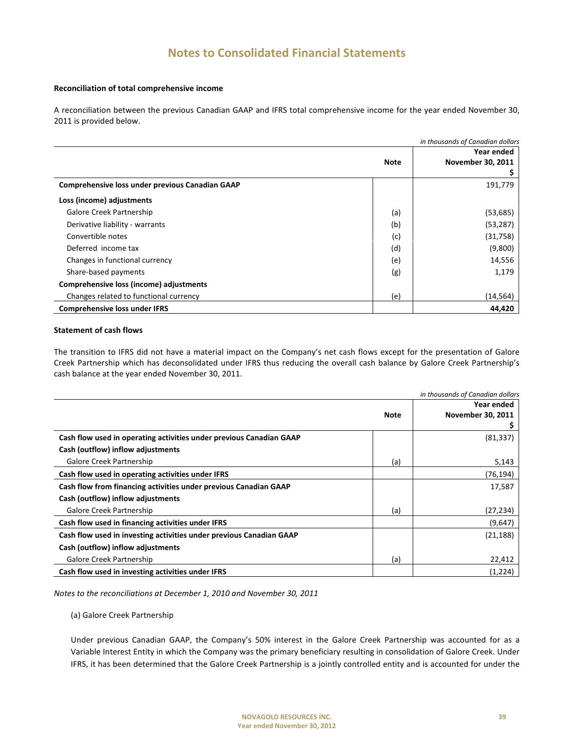## Reconciliation of total comprehensive income

A reconciliation between the previous Canadian GAAP and IFRS total comprehensive income for the year ended November 30, 2011 is provided below.

| in thousands of Canadian dollars                |             |                          |
|-------------------------------------------------|-------------|--------------------------|
|                                                 |             | Year ended               |
|                                                 | <b>Note</b> | <b>November 30, 2011</b> |
|                                                 |             |                          |
| Comprehensive loss under previous Canadian GAAP |             | 191,779                  |
| Loss (income) adjustments                       |             |                          |
| <b>Galore Creek Partnership</b>                 | (a)         | (53, 685)                |
| Derivative liability - warrants                 | (b)         | (53, 287)                |
| Convertible notes                               | (c)         | (31,758)                 |
| Deferred income tax                             | (d)         | (9,800)                  |
| Changes in functional currency                  | (e)         | 14,556                   |
| Share-based payments                            | (g)         | 1,179                    |
| Comprehensive loss (income) adjustments         |             |                          |
| Changes related to functional currency          | (e)         | (14, 564)                |
| <b>Comprehensive loss under IFRS</b>            |             | 44,420                   |

# Statement of cash flows

The transition to IFRS did not have a material impact on the Company's net cash flows except for the presentation of Galore Creek Partnership which has deconsolidated under IFRS thus reducing the overall cash balance by Galore Creek Partnership's cash balance at the year ended November 30, 2011.

| in thousands of Canadian dollars                                    |             |                   |
|---------------------------------------------------------------------|-------------|-------------------|
|                                                                     |             | Year ended        |
|                                                                     | <b>Note</b> | November 30, 2011 |
|                                                                     |             |                   |
| Cash flow used in operating activities under previous Canadian GAAP |             | (81, 337)         |
| Cash (outflow) inflow adjustments                                   |             |                   |
| <b>Galore Creek Partnership</b>                                     | (a)         | 5,143             |
| Cash flow used in operating activities under IFRS                   |             | (76, 194)         |
| Cash flow from financing activities under previous Canadian GAAP    |             | 17,587            |
| Cash (outflow) inflow adjustments                                   |             |                   |
| Galore Creek Partnership                                            | (a)         | (27, 234)         |
| Cash flow used in financing activities under IFRS                   |             | (9,647)           |
| Cash flow used in investing activities under previous Canadian GAAP |             | (21, 188)         |
| Cash (outflow) inflow adjustments                                   |             |                   |
| <b>Galore Creek Partnership</b>                                     | (a)         | 22,412            |
| Cash flow used in investing activities under IFRS                   |             | (1,224)           |

Notes to the reconciliations at December 1, 2010 and November 30, 2011

## (a) Galore Creek Partnership

Under previous Canadian GAAP, the Company's 50% interest in the Galore Creek Partnership was accounted for as a Variable Interest Entity in which the Company was the primary beneficiary resulting in consolidation of Galore Creek. Under IFRS, it has been determined that the Galore Creek Partnership is a jointly controlled entity and is accounted for under the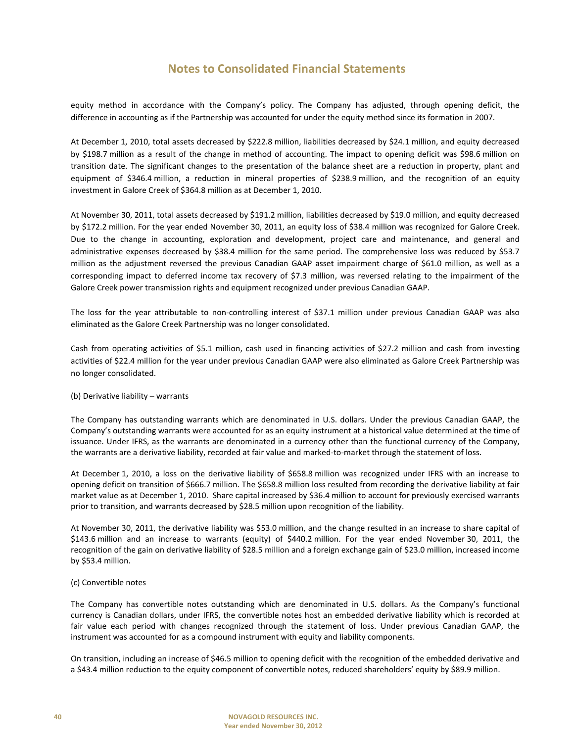equity method in accordance with the Company's policy. The Company has adjusted, through opening deficit, the difference in accounting as if the Partnership was accounted for under the equity method since its formation in 2007.

At December 1, 2010, total assets decreased by \$222.8 million, liabilities decreased by \$24.1 million, and equity decreased by \$198.7 million as a result of the change in method of accounting. The impact to opening deficit was \$98.6 million on transition date. The significant changes to the presentation of the balance sheet are a reduction in property, plant and equipment of \$346.4 million, a reduction in mineral properties of \$238.9 million, and the recognition of an equity investment in Galore Creek of \$364.8 million as at December 1, 2010.

At November 30, 2011, total assets decreased by \$191.2 million, liabilities decreased by \$19.0 million, and equity decreased by \$172.2 million. For the year ended November 30, 2011, an equity loss of \$38.4 million was recognized for Galore Creek. Due to the change in accounting, exploration and development, project care and maintenance, and general and administrative expenses decreased by \$38.4 million for the same period. The comprehensive loss was reduced by \$53.7 million as the adjustment reversed the previous Canadian GAAP asset impairment charge of \$61.0 million, as well as a corresponding impact to deferred income tax recovery of \$7.3 million, was reversed relating to the impairment of the Galore Creek power transmission rights and equipment recognized under previous Canadian GAAP.

The loss for the year attributable to non-controlling interest of \$37.1 million under previous Canadian GAAP was also eliminated as the Galore Creek Partnership was no longer consolidated.

Cash from operating activities of \$5.1 million, cash used in financing activities of \$27.2 million and cash from investing activities of \$22.4 million for the year under previous Canadian GAAP were also eliminated as Galore Creek Partnership was no longer consolidated.

## (b) Derivative liability – warrants

The Company has outstanding warrants which are denominated in U.S. dollars. Under the previous Canadian GAAP, the Company's outstanding warrants were accounted for as an equity instrument at a historical value determined at the time of issuance. Under IFRS, as the warrants are denominated in a currency other than the functional currency of the Company, the warrants are a derivative liability, recorded at fair value and marked-to-market through the statement of loss.

At December 1, 2010, a loss on the derivative liability of \$658.8 million was recognized under IFRS with an increase to opening deficit on transition of \$666.7 million. The \$658.8 million loss resulted from recording the derivative liability at fair market value as at December 1, 2010. Share capital increased by \$36.4 million to account for previously exercised warrants prior to transition, and warrants decreased by \$28.5 million upon recognition of the liability.

At November 30, 2011, the derivative liability was \$53.0 million, and the change resulted in an increase to share capital of \$143.6 million and an increase to warrants (equity) of \$440.2 million. For the year ended November 30, 2011, the recognition of the gain on derivative liability of \$28.5 million and a foreign exchange gain of \$23.0 million, increased income by \$53.4 million.

#### (c) Convertible notes

The Company has convertible notes outstanding which are denominated in U.S. dollars. As the Company's functional currency is Canadian dollars, under IFRS, the convertible notes host an embedded derivative liability which is recorded at fair value each period with changes recognized through the statement of loss. Under previous Canadian GAAP, the instrument was accounted for as a compound instrument with equity and liability components.

On transition, including an increase of \$46.5 million to opening deficit with the recognition of the embedded derivative and a \$43.4 million reduction to the equity component of convertible notes, reduced shareholders' equity by \$89.9 million.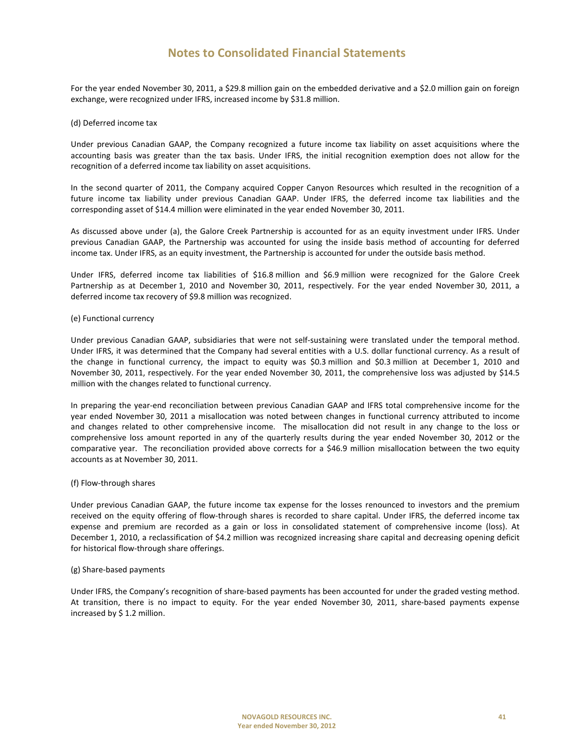For the year ended November 30, 2011, a \$29.8 million gain on the embedded derivative and a \$2.0 million gain on foreign exchange, were recognized under IFRS, increased income by \$31.8 million.

#### (d) Deferred income tax

Under previous Canadian GAAP, the Company recognized a future income tax liability on asset acquisitions where the accounting basis was greater than the tax basis. Under IFRS, the initial recognition exemption does not allow for the recognition of a deferred income tax liability on asset acquisitions.

In the second quarter of 2011, the Company acquired Copper Canyon Resources which resulted in the recognition of a future income tax liability under previous Canadian GAAP. Under IFRS, the deferred income tax liabilities and the corresponding asset of \$14.4 million were eliminated in the year ended November 30, 2011.

As discussed above under (a), the Galore Creek Partnership is accounted for as an equity investment under IFRS. Under previous Canadian GAAP, the Partnership was accounted for using the inside basis method of accounting for deferred income tax. Under IFRS, as an equity investment, the Partnership is accounted for under the outside basis method.

Under IFRS, deferred income tax liabilities of \$16.8 million and \$6.9 million were recognized for the Galore Creek Partnership as at December 1, 2010 and November 30, 2011, respectively. For the year ended November 30, 2011, a deferred income tax recovery of \$9.8 million was recognized.

#### (e) Functional currency

Under previous Canadian GAAP, subsidiaries that were not self-sustaining were translated under the temporal method. Under IFRS, it was determined that the Company had several entities with a U.S. dollar functional currency. As a result of the change in functional currency, the impact to equity was \$0.3 million and \$0.3 million at December 1, 2010 and November 30, 2011, respectively. For the year ended November 30, 2011, the comprehensive loss was adjusted by \$14.5 million with the changes related to functional currency.

In preparing the year-end reconciliation between previous Canadian GAAP and IFRS total comprehensive income for the year ended November 30, 2011 a misallocation was noted between changes in functional currency attributed to income and changes related to other comprehensive income. The misallocation did not result in any change to the loss or comprehensive loss amount reported in any of the quarterly results during the year ended November 30, 2012 or the comparative year. The reconciliation provided above corrects for a \$46.9 million misallocation between the two equity accounts as at November 30, 2011.

#### (f) Flow-through shares

Under previous Canadian GAAP, the future income tax expense for the losses renounced to investors and the premium received on the equity offering of flow-through shares is recorded to share capital. Under IFRS, the deferred income tax expense and premium are recorded as a gain or loss in consolidated statement of comprehensive income (loss). At December 1, 2010, a reclassification of \$4.2 million was recognized increasing share capital and decreasing opening deficit for historical flow-through share offerings.

## (g) Share-based payments

Under IFRS, the Company's recognition of share-based payments has been accounted for under the graded vesting method. At transition, there is no impact to equity. For the year ended November 30, 2011, share-based payments expense increased by \$ 1.2 million.